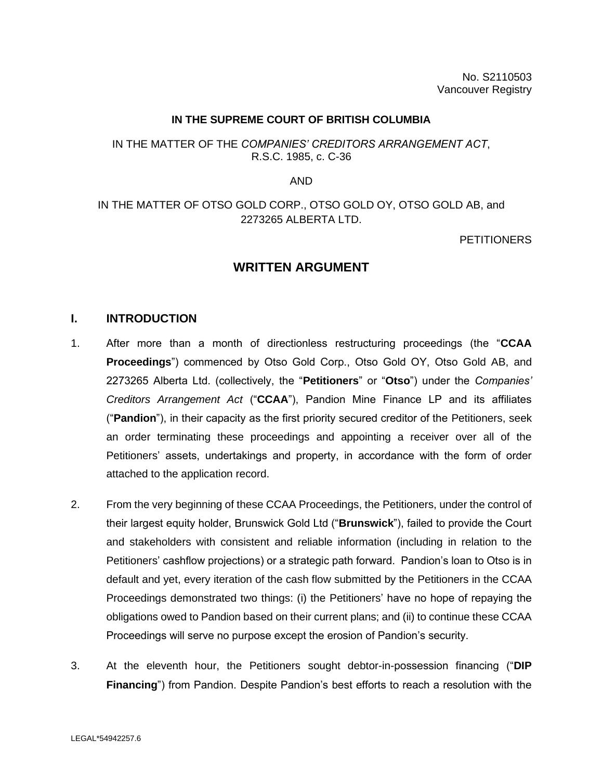### **IN THE SUPREME COURT OF BRITISH COLUMBIA**

## IN THE MATTER OF THE *COMPANIES' CREDITORS ARRANGEMENT ACT*, R.S.C. 1985, c. C-36

AND

# IN THE MATTER OF OTSO GOLD CORP., OTSO GOLD OY, OTSO GOLD AB, and 2273265 ALBERTA LTD.

### **PETITIONERS**

# **WRITTEN ARGUMENT**

### **I. INTRODUCTION**

- 1. After more than a month of directionless restructuring proceedings (the "**CCAA Proceedings**") commenced by Otso Gold Corp., Otso Gold OY, Otso Gold AB, and 2273265 Alberta Ltd. (collectively, the "**Petitioners**" or "**Otso**") under the *Companies' Creditors Arrangement Act* ("**CCAA**"), Pandion Mine Finance LP and its affiliates ("**Pandion**"), in their capacity as the first priority secured creditor of the Petitioners, seek an order terminating these proceedings and appointing a receiver over all of the Petitioners' assets, undertakings and property, in accordance with the form of order attached to the application record.
- 2. From the very beginning of these CCAA Proceedings, the Petitioners, under the control of their largest equity holder, Brunswick Gold Ltd ("**Brunswick**"), failed to provide the Court and stakeholders with consistent and reliable information (including in relation to the Petitioners' cashflow projections) or a strategic path forward. Pandion's loan to Otso is in default and yet, every iteration of the cash flow submitted by the Petitioners in the CCAA Proceedings demonstrated two things: (i) the Petitioners' have no hope of repaying the obligations owed to Pandion based on their current plans; and (ii) to continue these CCAA Proceedings will serve no purpose except the erosion of Pandion's security.
- 3. At the eleventh hour, the Petitioners sought debtor-in-possession financing ("**DIP Financing**") from Pandion. Despite Pandion's best efforts to reach a resolution with the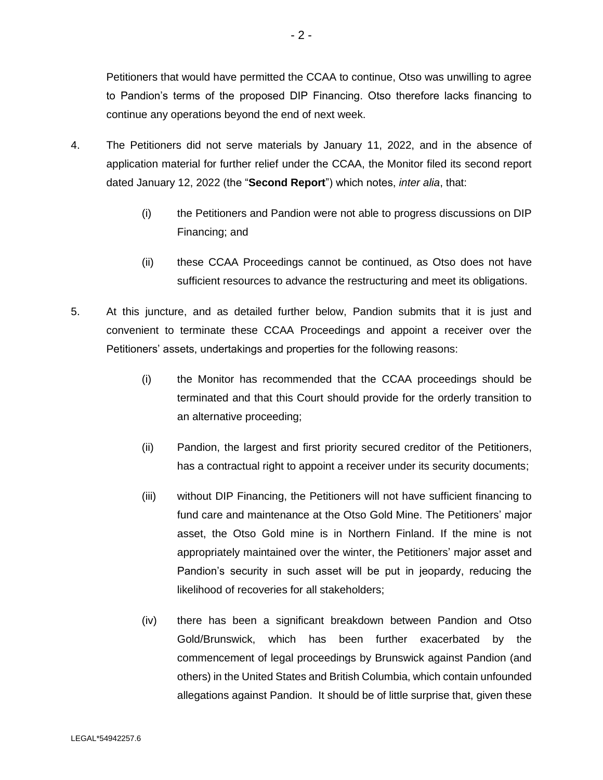Petitioners that would have permitted the CCAA to continue, Otso was unwilling to agree to Pandion's terms of the proposed DIP Financing. Otso therefore lacks financing to continue any operations beyond the end of next week.

- 4. The Petitioners did not serve materials by January 11, 2022, and in the absence of application material for further relief under the CCAA, the Monitor filed its second report dated January 12, 2022 (the "**Second Report**") which notes, *inter alia*, that:
	- (i) the Petitioners and Pandion were not able to progress discussions on DIP Financing; and
	- (ii) these CCAA Proceedings cannot be continued, as Otso does not have sufficient resources to advance the restructuring and meet its obligations.
- 5. At this juncture, and as detailed further below, Pandion submits that it is just and convenient to terminate these CCAA Proceedings and appoint a receiver over the Petitioners' assets, undertakings and properties for the following reasons:
	- (i) the Monitor has recommended that the CCAA proceedings should be terminated and that this Court should provide for the orderly transition to an alternative proceeding;
	- (ii) Pandion, the largest and first priority secured creditor of the Petitioners, has a contractual right to appoint a receiver under its security documents;
	- (iii) without DIP Financing, the Petitioners will not have sufficient financing to fund care and maintenance at the Otso Gold Mine. The Petitioners' major asset, the Otso Gold mine is in Northern Finland. If the mine is not appropriately maintained over the winter, the Petitioners' major asset and Pandion's security in such asset will be put in jeopardy, reducing the likelihood of recoveries for all stakeholders;
	- (iv) there has been a significant breakdown between Pandion and Otso Gold/Brunswick, which has been further exacerbated by the commencement of legal proceedings by Brunswick against Pandion (and others) in the United States and British Columbia, which contain unfounded allegations against Pandion. It should be of little surprise that, given these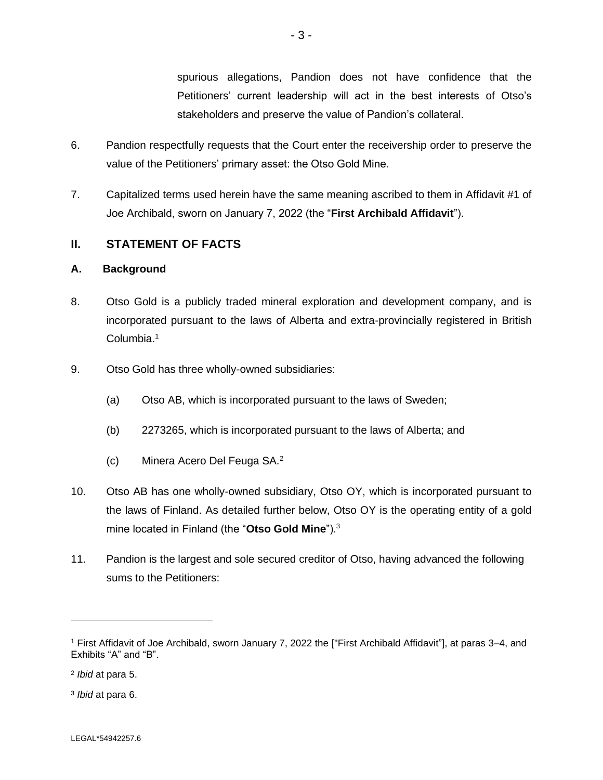spurious allegations, Pandion does not have confidence that the Petitioners' current leadership will act in the best interests of Otso's stakeholders and preserve the value of Pandion's collateral.

- 6. Pandion respectfully requests that the Court enter the receivership order to preserve the value of the Petitioners' primary asset: the Otso Gold Mine.
- 7. Capitalized terms used herein have the same meaning ascribed to them in Affidavit #1 of Joe Archibald, sworn on January 7, 2022 (the "**First Archibald Affidavit**").

# **II. STATEMENT OF FACTS**

## **A. Background**

- 8. Otso Gold is a publicly traded mineral exploration and development company, and is incorporated pursuant to the laws of Alberta and extra-provincially registered in British Columbia.<sup>1</sup>
- 9. Otso Gold has three wholly-owned subsidiaries:
	- (a) Otso AB, which is incorporated pursuant to the laws of Sweden;
	- (b) 2273265, which is incorporated pursuant to the laws of Alberta; and
	- (c) Minera Acero Del Feuga SA.<sup>2</sup>
- 10. Otso AB has one wholly-owned subsidiary, Otso OY, which is incorporated pursuant to the laws of Finland. As detailed further below, Otso OY is the operating entity of a gold mine located in Finland (the "**Otso Gold Mine**").<sup>3</sup>
- 11. Pandion is the largest and sole secured creditor of Otso, having advanced the following sums to the Petitioners:

3 *Ibid* at para 6.

<sup>1</sup> First Affidavit of Joe Archibald, sworn January 7, 2022 the ["First Archibald Affidavit"], at paras 3–4, and Exhibits "A" and "B".

<sup>2</sup> *Ibid* at para 5.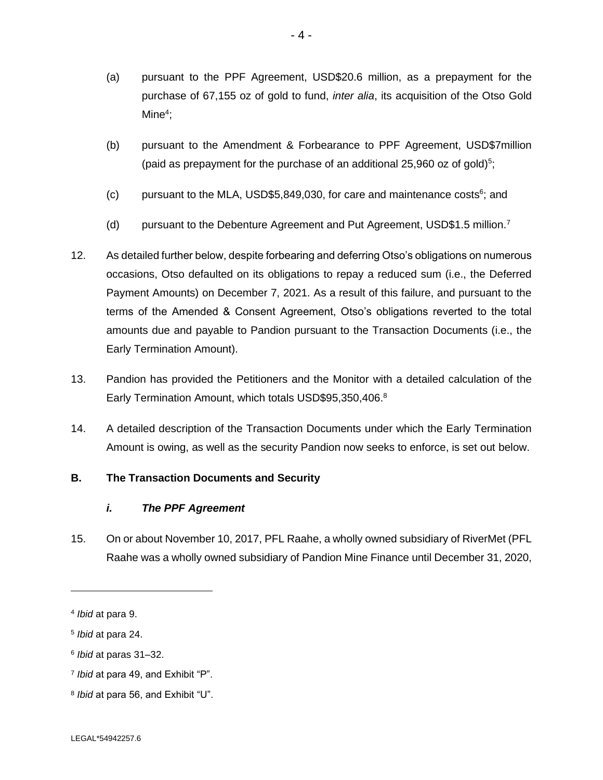- (a) pursuant to the PPF Agreement, USD\$20.6 million, as a prepayment for the purchase of 67,155 oz of gold to fund, *inter alia*, its acquisition of the Otso Gold Mine<sup>4</sup>;
- (b) pursuant to the Amendment & Forbearance to PPF Agreement, USD\$7million (paid as prepayment for the purchase of an additional 25,960 oz of gold) $5$ ;
- (c) pursuant to the MLA, USD\$5,849,030, for care and maintenance costs $6$ ; and
- (d) pursuant to the Debenture Agreement and Put Agreement, USD\$1.5 million.<sup>7</sup>
- 12. As detailed further below, despite forbearing and deferring Otso's obligations on numerous occasions, Otso defaulted on its obligations to repay a reduced sum (i.e., the Deferred Payment Amounts) on December 7, 2021. As a result of this failure, and pursuant to the terms of the Amended & Consent Agreement, Otso's obligations reverted to the total amounts due and payable to Pandion pursuant to the Transaction Documents (i.e., the Early Termination Amount).
- 13. Pandion has provided the Petitioners and the Monitor with a detailed calculation of the Early Termination Amount, which totals USD\$95,350,406.<sup>8</sup>
- 14. A detailed description of the Transaction Documents under which the Early Termination Amount is owing, as well as the security Pandion now seeks to enforce, is set out below.

# **B. The Transaction Documents and Security**

# *i. The PPF Agreement*

15. On or about November 10, 2017, PFL Raahe, a wholly owned subsidiary of RiverMet (PFL Raahe was a wholly owned subsidiary of Pandion Mine Finance until December 31, 2020,

<sup>4</sup> *Ibid* at para 9.

<sup>5</sup> *Ibid* at para 24.

<sup>6</sup> *Ibid* at paras 31–32.

<sup>7</sup> *Ibid* at para 49, and Exhibit "P".

<sup>8</sup> *Ibid* at para 56, and Exhibit "U".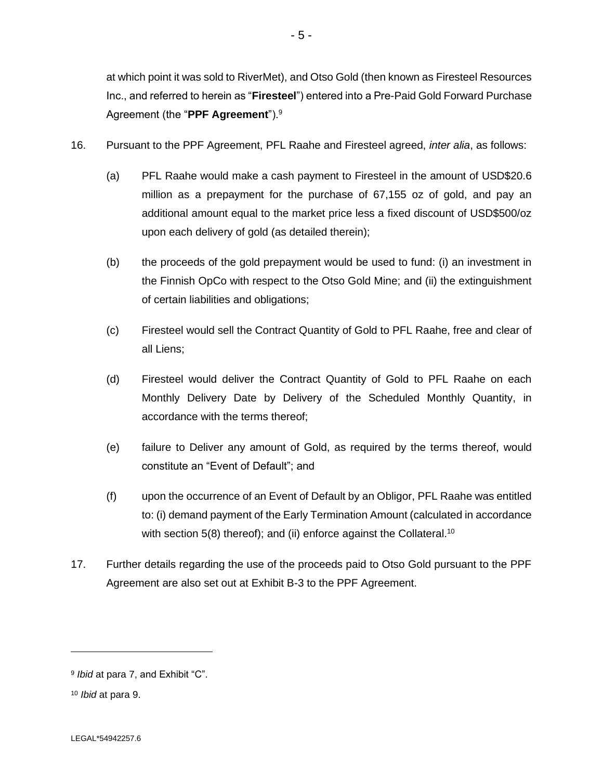at which point it was sold to RiverMet), and Otso Gold (then known as Firesteel Resources Inc., and referred to herein as "**Firesteel**") entered into a Pre-Paid Gold Forward Purchase Agreement (the "**PPF Agreement**").<sup>9</sup>

- 16. Pursuant to the PPF Agreement, PFL Raahe and Firesteel agreed, *inter alia*, as follows:
	- (a) PFL Raahe would make a cash payment to Firesteel in the amount of USD\$20.6 million as a prepayment for the purchase of 67,155 oz of gold, and pay an additional amount equal to the market price less a fixed discount of USD\$500/oz upon each delivery of gold (as detailed therein);
	- (b) the proceeds of the gold prepayment would be used to fund: (i) an investment in the Finnish OpCo with respect to the Otso Gold Mine; and (ii) the extinguishment of certain liabilities and obligations;
	- (c) Firesteel would sell the Contract Quantity of Gold to PFL Raahe, free and clear of all Liens;
	- (d) Firesteel would deliver the Contract Quantity of Gold to PFL Raahe on each Monthly Delivery Date by Delivery of the Scheduled Monthly Quantity, in accordance with the terms thereof;
	- (e) failure to Deliver any amount of Gold, as required by the terms thereof, would constitute an "Event of Default"; and
	- (f) upon the occurrence of an Event of Default by an Obligor, PFL Raahe was entitled to: (i) demand payment of the Early Termination Amount (calculated in accordance with section 5(8) thereof); and (ii) enforce against the Collateral.<sup>10</sup>
- 17. Further details regarding the use of the proceeds paid to Otso Gold pursuant to the PPF Agreement are also set out at Exhibit B-3 to the PPF Agreement.

<sup>9</sup> *Ibid* at para 7, and Exhibit "C".

<sup>10</sup> *Ibid* at para 9.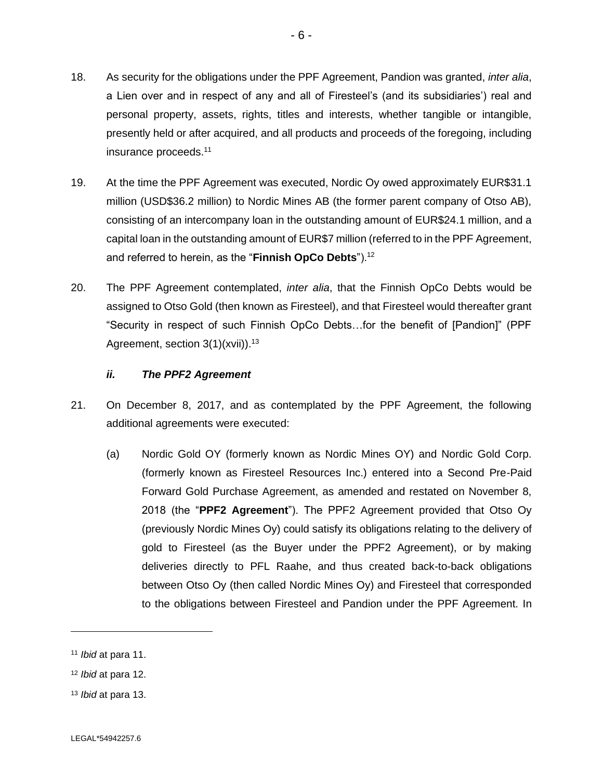- 18. As security for the obligations under the PPF Agreement, Pandion was granted, *inter alia*, a Lien over and in respect of any and all of Firesteel's (and its subsidiaries') real and personal property, assets, rights, titles and interests, whether tangible or intangible, presently held or after acquired, and all products and proceeds of the foregoing, including insurance proceeds.<sup>11</sup>
- 19. At the time the PPF Agreement was executed, Nordic Oy owed approximately EUR\$31.1 million (USD\$36.2 million) to Nordic Mines AB (the former parent company of Otso AB), consisting of an intercompany loan in the outstanding amount of EUR\$24.1 million, and a capital loan in the outstanding amount of EUR\$7 million (referred to in the PPF Agreement, and referred to herein, as the "**Finnish OpCo Debts**").<sup>12</sup>
- 20. The PPF Agreement contemplated, *inter alia*, that the Finnish OpCo Debts would be assigned to Otso Gold (then known as Firesteel), and that Firesteel would thereafter grant "Security in respect of such Finnish OpCo Debts…for the benefit of [Pandion]" (PPF Agreement, section  $3(1)(xvii)$ .<sup>13</sup>

## *ii. The PPF2 Agreement*

- 21. On December 8, 2017, and as contemplated by the PPF Agreement, the following additional agreements were executed:
	- (a) Nordic Gold OY (formerly known as Nordic Mines OY) and Nordic Gold Corp. (formerly known as Firesteel Resources Inc.) entered into a Second Pre-Paid Forward Gold Purchase Agreement, as amended and restated on November 8, 2018 (the "**PPF2 Agreement**"). The PPF2 Agreement provided that Otso Oy (previously Nordic Mines Oy) could satisfy its obligations relating to the delivery of gold to Firesteel (as the Buyer under the PPF2 Agreement), or by making deliveries directly to PFL Raahe, and thus created back-to-back obligations between Otso Oy (then called Nordic Mines Oy) and Firesteel that corresponded to the obligations between Firesteel and Pandion under the PPF Agreement. In

<sup>13</sup> *Ibid* at para 13.

<sup>11</sup> *Ibid* at para 11.

<sup>12</sup> *Ibid* at para 12.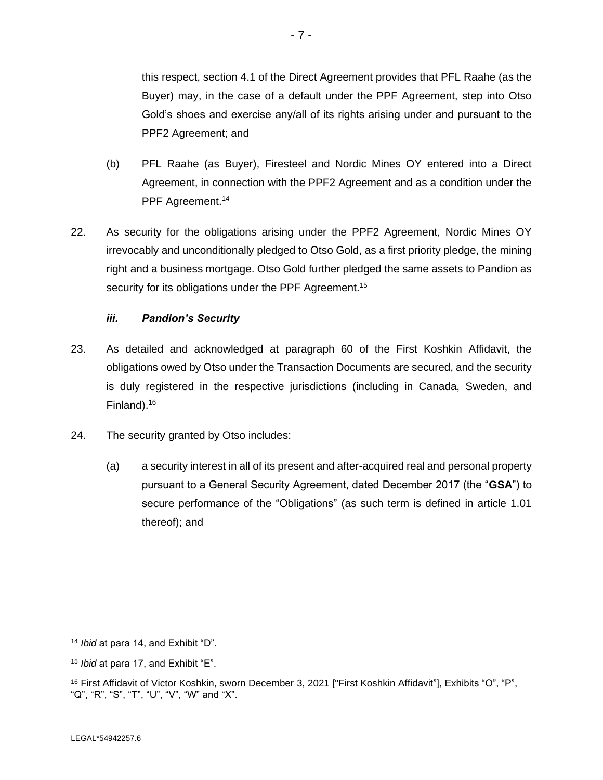this respect, section 4.1 of the Direct Agreement provides that PFL Raahe (as the Buyer) may, in the case of a default under the PPF Agreement, step into Otso Gold's shoes and exercise any/all of its rights arising under and pursuant to the PPF2 Agreement; and

- (b) PFL Raahe (as Buyer), Firesteel and Nordic Mines OY entered into a Direct Agreement, in connection with the PPF2 Agreement and as a condition under the PPF Agreement.<sup>14</sup>
- 22. As security for the obligations arising under the PPF2 Agreement, Nordic Mines OY irrevocably and unconditionally pledged to Otso Gold, as a first priority pledge, the mining right and a business mortgage. Otso Gold further pledged the same assets to Pandion as security for its obligations under the PPF Agreement.<sup>15</sup>

# *iii. Pandion's Security*

- 23. As detailed and acknowledged at paragraph 60 of the First Koshkin Affidavit, the obligations owed by Otso under the Transaction Documents are secured, and the security is duly registered in the respective jurisdictions (including in Canada, Sweden, and Finland).<sup>16</sup>
- 24. The security granted by Otso includes:
	- (a) a security interest in all of its present and after-acquired real and personal property pursuant to a General Security Agreement, dated December 2017 (the "**GSA**") to secure performance of the "Obligations" (as such term is defined in article 1.01 thereof); and

<sup>14</sup> *Ibid* at para 14, and Exhibit "D".

<sup>15</sup> *Ibid* at para 17, and Exhibit "E".

<sup>16</sup> First Affidavit of Victor Koshkin, sworn December 3, 2021 ["First Koshkin Affidavit"], Exhibits "O", "P", "Q", "R", "S", "T", "U", "V", "W" and "X".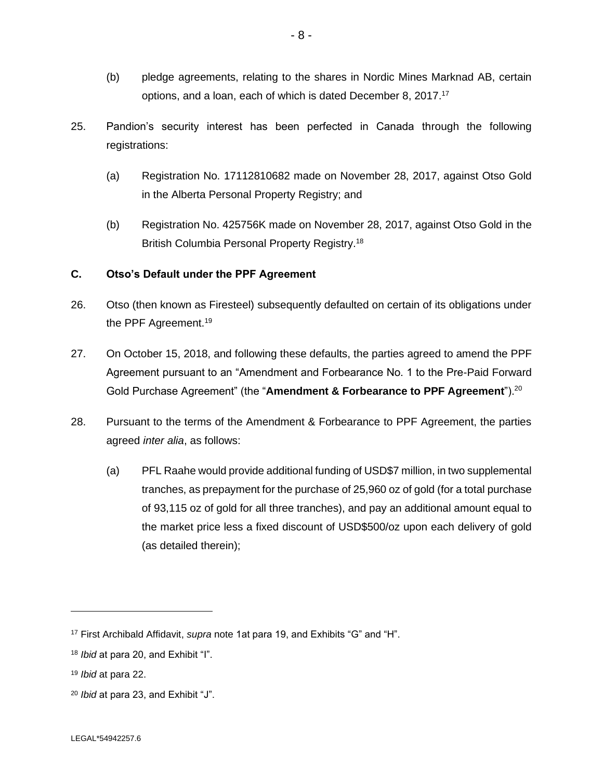- (b) pledge agreements, relating to the shares in Nordic Mines Marknad AB, certain options, and a loan, each of which is dated December 8, 2017.<sup>17</sup>
- 25. Pandion's security interest has been perfected in Canada through the following registrations:
	- (a) Registration No. 17112810682 made on November 28, 2017, against Otso Gold in the Alberta Personal Property Registry; and
	- (b) Registration No. 425756K made on November 28, 2017, against Otso Gold in the British Columbia Personal Property Registry.<sup>18</sup>

## **C. Otso's Default under the PPF Agreement**

- 26. Otso (then known as Firesteel) subsequently defaulted on certain of its obligations under the PPF Agreement.<sup>19</sup>
- 27. On October 15, 2018, and following these defaults, the parties agreed to amend the PPF Agreement pursuant to an "Amendment and Forbearance No. 1 to the Pre-Paid Forward Gold Purchase Agreement" (the "**Amendment & Forbearance to PPF Agreement**").<sup>20</sup>
- 28. Pursuant to the terms of the Amendment & Forbearance to PPF Agreement, the parties agreed *inter alia*, as follows:
	- (a) PFL Raahe would provide additional funding of USD\$7 million, in two supplemental tranches, as prepayment for the purchase of 25,960 oz of gold (for a total purchase of 93,115 oz of gold for all three tranches), and pay an additional amount equal to the market price less a fixed discount of USD\$500/oz upon each delivery of gold (as detailed therein);

<sup>17</sup> First Archibald Affidavit, *supra* note 1at para 19, and Exhibits "G" and "H".

<sup>18</sup> *Ibid* at para 20, and Exhibit "I".

<sup>19</sup> *Ibid* at para 22.

<sup>20</sup> *Ibid* at para 23, and Exhibit "J".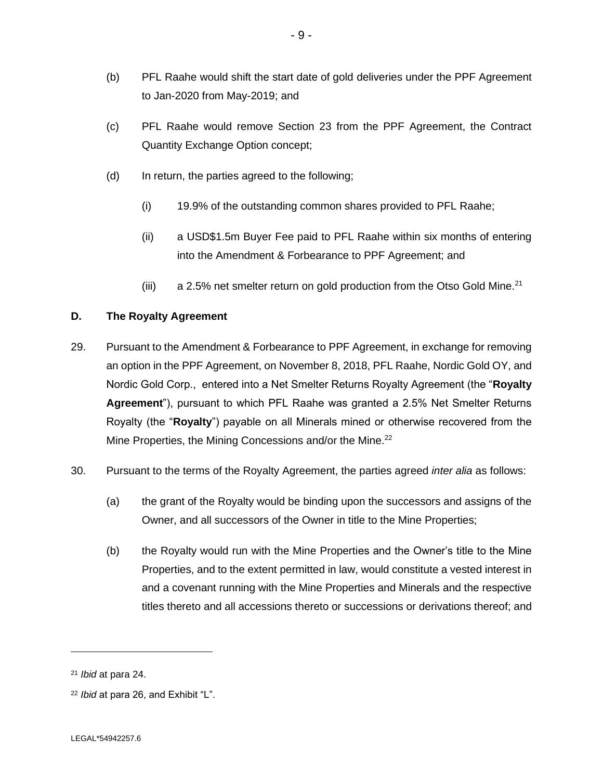- (b) PFL Raahe would shift the start date of gold deliveries under the PPF Agreement to Jan-2020 from May-2019; and
- (c) PFL Raahe would remove Section 23 from the PPF Agreement, the Contract Quantity Exchange Option concept;
- (d) In return, the parties agreed to the following;
	- (i) 19.9% of the outstanding common shares provided to PFL Raahe;
	- (ii) a USD\$1.5m Buyer Fee paid to PFL Raahe within six months of entering into the Amendment & Forbearance to PPF Agreement; and
	- (iii) a 2.5% net smelter return on gold production from the Otso Gold Mine.<sup>21</sup>

# **D. The Royalty Agreement**

- 29. Pursuant to the Amendment & Forbearance to PPF Agreement, in exchange for removing an option in the PPF Agreement, on November 8, 2018, PFL Raahe, Nordic Gold OY, and Nordic Gold Corp., entered into a Net Smelter Returns Royalty Agreement (the "**Royalty Agreement**"), pursuant to which PFL Raahe was granted a 2.5% Net Smelter Returns Royalty (the "**Royalty**") payable on all Minerals mined or otherwise recovered from the Mine Properties, the Mining Concessions and/or the Mine.<sup>22</sup>
- 30. Pursuant to the terms of the Royalty Agreement, the parties agreed *inter alia* as follows:
	- (a) the grant of the Royalty would be binding upon the successors and assigns of the Owner, and all successors of the Owner in title to the Mine Properties;
	- (b) the Royalty would run with the Mine Properties and the Owner's title to the Mine Properties, and to the extent permitted in law, would constitute a vested interest in and a covenant running with the Mine Properties and Minerals and the respective titles thereto and all accessions thereto or successions or derivations thereof; and

<sup>21</sup> *Ibid* at para 24.

<sup>22</sup> *Ibid* at para 26, and Exhibit "L".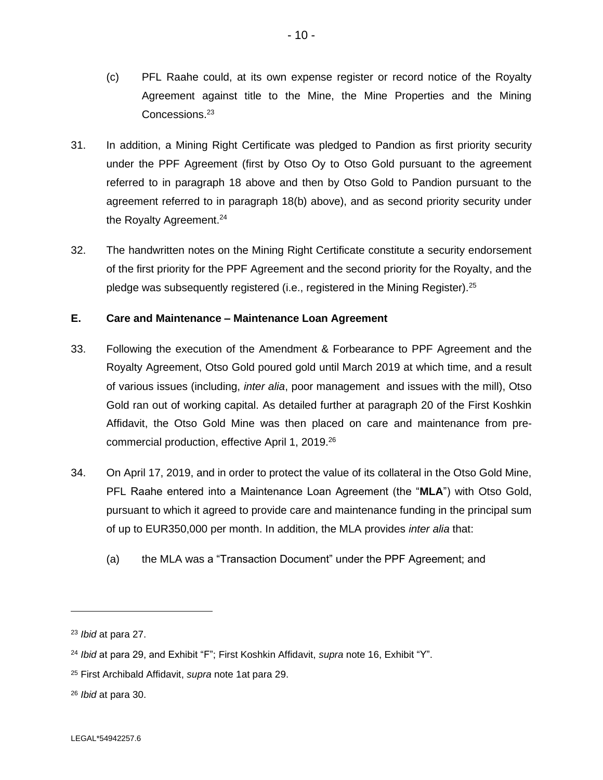- (c) PFL Raahe could, at its own expense register or record notice of the Royalty Agreement against title to the Mine, the Mine Properties and the Mining Concessions.<sup>23</sup>
- 31. In addition, a Mining Right Certificate was pledged to Pandion as first priority security under the PPF Agreement (first by Otso Oy to Otso Gold pursuant to the agreement referred to in paragraph 18 above and then by Otso Gold to Pandion pursuant to the agreement referred to in paragraph 18(b) above), and as second priority security under the Royalty Agreement.<sup>24</sup>
- 32. The handwritten notes on the Mining Right Certificate constitute a security endorsement of the first priority for the PPF Agreement and the second priority for the Royalty, and the pledge was subsequently registered (i.e., registered in the Mining Register). 25

## **E. Care and Maintenance – Maintenance Loan Agreement**

- 33. Following the execution of the Amendment & Forbearance to PPF Agreement and the Royalty Agreement, Otso Gold poured gold until March 2019 at which time, and a result of various issues (including, *inter alia*, poor management and issues with the mill), Otso Gold ran out of working capital. As detailed further at paragraph 20 of the First Koshkin Affidavit, the Otso Gold Mine was then placed on care and maintenance from precommercial production, effective April 1, 2019.<sup>26</sup>
- 34. On April 17, 2019, and in order to protect the value of its collateral in the Otso Gold Mine, PFL Raahe entered into a Maintenance Loan Agreement (the "**MLA**") with Otso Gold, pursuant to which it agreed to provide care and maintenance funding in the principal sum of up to EUR350,000 per month. In addition, the MLA provides *inter alia* that:
	- (a) the MLA was a "Transaction Document" under the PPF Agreement; and

<sup>23</sup> *Ibid* at para 27.

<sup>24</sup> *Ibid* at para 29, and Exhibit "F"; First Koshkin Affidavit, *supra* note 16, Exhibit "Y".

<sup>25</sup> First Archibald Affidavit, *supra* note 1at para 29.

<sup>26</sup> *Ibid* at para 30.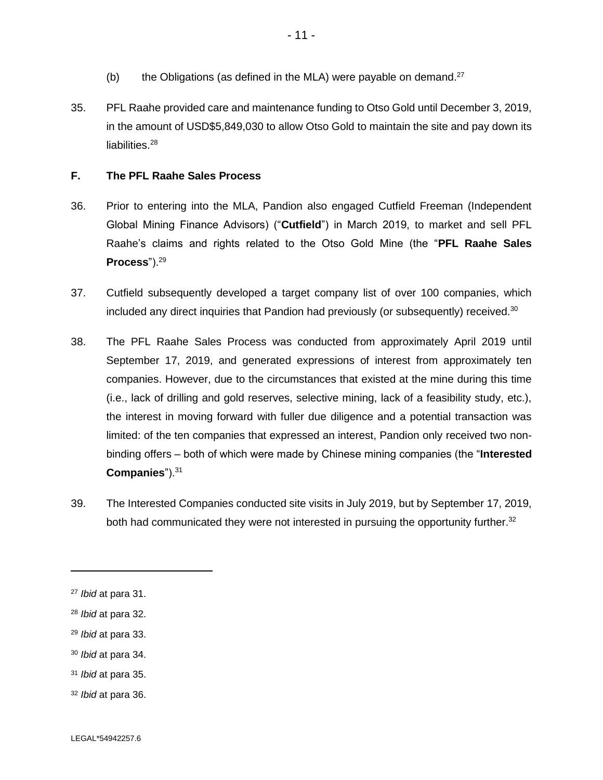- (b) the Obligations (as defined in the MLA) were payable on demand. $27$
- 35. PFL Raahe provided care and maintenance funding to Otso Gold until December 3, 2019, in the amount of USD\$5,849,030 to allow Otso Gold to maintain the site and pay down its liabilities.<sup>28</sup>

## **F. The PFL Raahe Sales Process**

- 36. Prior to entering into the MLA, Pandion also engaged Cutfield Freeman (Independent Global Mining Finance Advisors) ("**Cutfield**") in March 2019, to market and sell PFL Raahe's claims and rights related to the Otso Gold Mine (the "**PFL Raahe Sales Process**").<sup>29</sup>
- 37. Cutfield subsequently developed a target company list of over 100 companies, which included any direct inquiries that Pandion had previously (or subsequently) received. $30$
- 38. The PFL Raahe Sales Process was conducted from approximately April 2019 until September 17, 2019, and generated expressions of interest from approximately ten companies. However, due to the circumstances that existed at the mine during this time (i.e., lack of drilling and gold reserves, selective mining, lack of a feasibility study, etc.), the interest in moving forward with fuller due diligence and a potential transaction was limited: of the ten companies that expressed an interest, Pandion only received two nonbinding offers – both of which were made by Chinese mining companies (the "**Interested Companies**").<sup>31</sup>
- 39. The Interested Companies conducted site visits in July 2019, but by September 17, 2019, both had communicated they were not interested in pursuing the opportunity further. $32$

- <sup>29</sup> *Ibid* at para 33.
- <sup>30</sup> *Ibid* at para 34.
- <sup>31</sup> *Ibid* at para 35.
- <sup>32</sup> *Ibid* at para 36.

<sup>27</sup> *Ibid* at para 31.

<sup>28</sup> *Ibid* at para 32.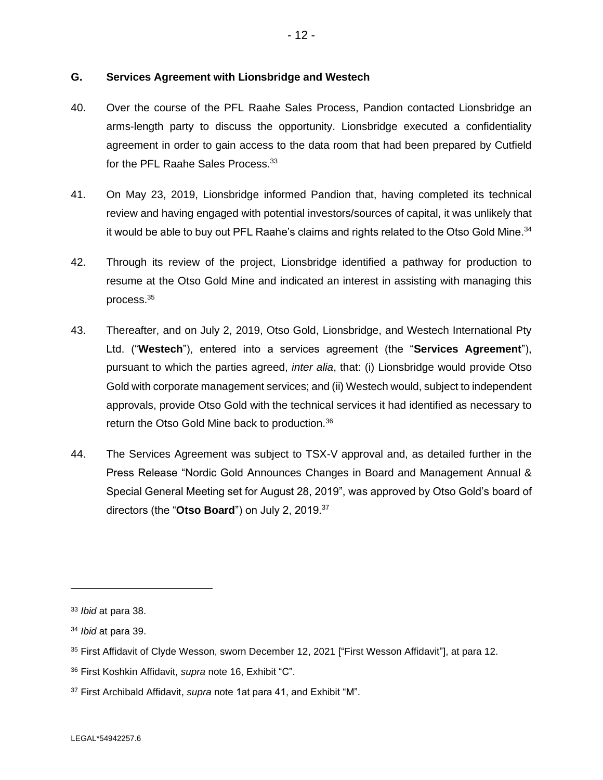## **G. Services Agreement with Lionsbridge and Westech**

- 40. Over the course of the PFL Raahe Sales Process, Pandion contacted Lionsbridge an arms-length party to discuss the opportunity. Lionsbridge executed a confidentiality agreement in order to gain access to the data room that had been prepared by Cutfield for the PFL Raahe Sales Process.<sup>33</sup>
- 41. On May 23, 2019, Lionsbridge informed Pandion that, having completed its technical review and having engaged with potential investors/sources of capital, it was unlikely that it would be able to buy out PFL Raahe's claims and rights related to the Otso Gold Mine. $34$
- 42. Through its review of the project, Lionsbridge identified a pathway for production to resume at the Otso Gold Mine and indicated an interest in assisting with managing this process.<sup>35</sup>
- 43. Thereafter, and on July 2, 2019, Otso Gold, Lionsbridge, and Westech International Pty Ltd. ("**Westech**"), entered into a services agreement (the "**Services Agreement**"), pursuant to which the parties agreed, *inter alia*, that: (i) Lionsbridge would provide Otso Gold with corporate management services; and (ii) Westech would, subject to independent approvals, provide Otso Gold with the technical services it had identified as necessary to return the Otso Gold Mine back to production.<sup>36</sup>
- 44. The Services Agreement was subject to TSX-V approval and, as detailed further in the Press Release "Nordic Gold Announces Changes in Board and Management Annual & Special General Meeting set for August 28, 2019", was approved by Otso Gold's board of directors (the "**Otso Board**") on July 2, 2019.<sup>37</sup>

<sup>33</sup> *Ibid* at para 38.

<sup>34</sup> *Ibid* at para 39.

<sup>&</sup>lt;sup>35</sup> First Affidavit of Clyde Wesson, sworn December 12, 2021 ["First Wesson Affidavit"], at para 12.

<sup>36</sup> First Koshkin Affidavit, *supra* note 16, Exhibit "C".

<sup>37</sup> First Archibald Affidavit, *supra* note 1at para 41, and Exhibit "M".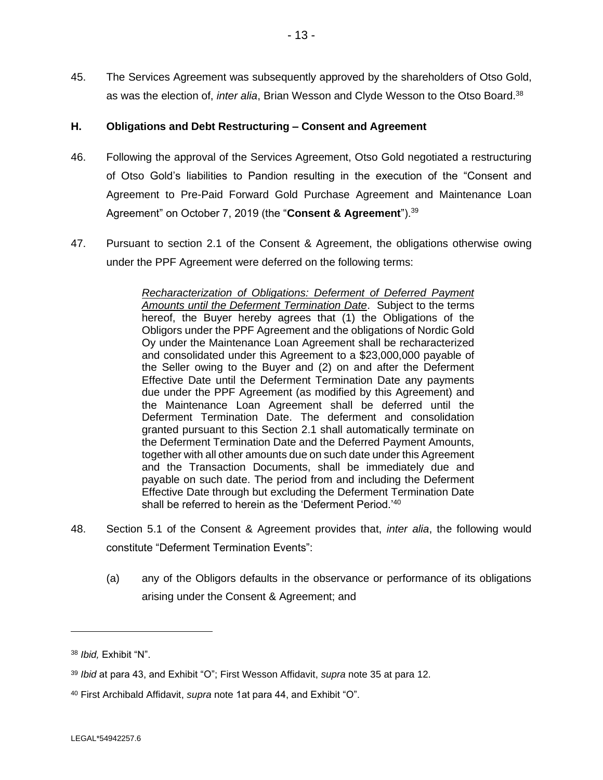45. The Services Agreement was subsequently approved by the shareholders of Otso Gold, as was the election of, *inter alia*, Brian Wesson and Clyde Wesson to the Otso Board.<sup>38</sup>

## **H. Obligations and Debt Restructuring – Consent and Agreement**

- 46. Following the approval of the Services Agreement, Otso Gold negotiated a restructuring of Otso Gold's liabilities to Pandion resulting in the execution of the "Consent and Agreement to Pre-Paid Forward Gold Purchase Agreement and Maintenance Loan Agreement" on October 7, 2019 (the "Consent & Agreement").<sup>39</sup>
- 47. Pursuant to section 2.1 of the Consent & Agreement, the obligations otherwise owing under the PPF Agreement were deferred on the following terms:

*Recharacterization of Obligations: Deferment of Deferred Payment Amounts until the Deferment Termination Date*. Subject to the terms hereof, the Buyer hereby agrees that (1) the Obligations of the Obligors under the PPF Agreement and the obligations of Nordic Gold Oy under the Maintenance Loan Agreement shall be recharacterized and consolidated under this Agreement to a \$23,000,000 payable of the Seller owing to the Buyer and (2) on and after the Deferment Effective Date until the Deferment Termination Date any payments due under the PPF Agreement (as modified by this Agreement) and the Maintenance Loan Agreement shall be deferred until the Deferment Termination Date. The deferment and consolidation granted pursuant to this Section 2.1 shall automatically terminate on the Deferment Termination Date and the Deferred Payment Amounts, together with all other amounts due on such date under this Agreement and the Transaction Documents, shall be immediately due and payable on such date. The period from and including the Deferment Effective Date through but excluding the Deferment Termination Date shall be referred to herein as the 'Deferment Period.'40

- 48. Section 5.1 of the Consent & Agreement provides that, *inter alia*, the following would constitute "Deferment Termination Events":
	- (a) any of the Obligors defaults in the observance or performance of its obligations arising under the Consent & Agreement; and

<sup>38</sup> *Ibid,* Exhibit "N".

<sup>39</sup> *Ibid* at para 43, and Exhibit "O"; First Wesson Affidavit, *supra* note 35 at para 12.

<sup>40</sup> First Archibald Affidavit, *supra* note 1at para 44, and Exhibit "O".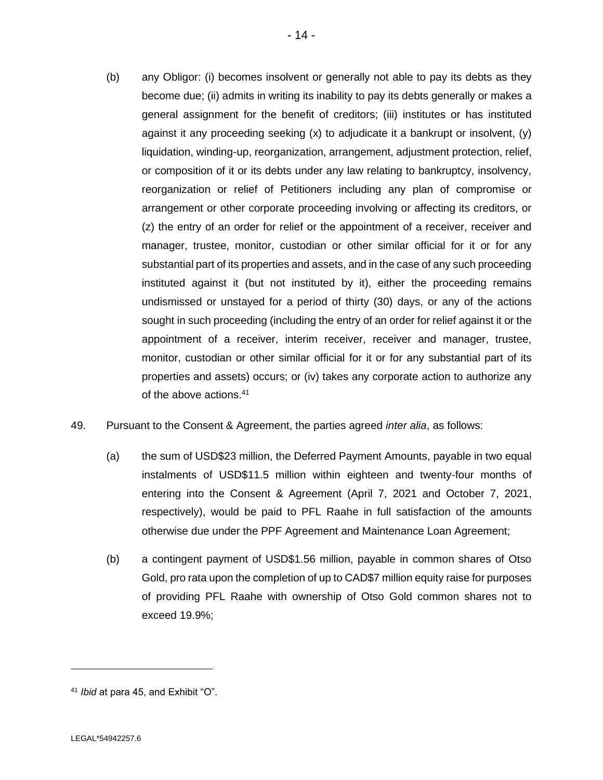- (b) any Obligor: (i) becomes insolvent or generally not able to pay its debts as they become due; (ii) admits in writing its inability to pay its debts generally or makes a general assignment for the benefit of creditors; (iii) institutes or has instituted against it any proceeding seeking  $(x)$  to adjudicate it a bankrupt or insolvent,  $(y)$ liquidation, winding-up, reorganization, arrangement, adjustment protection, relief, or composition of it or its debts under any law relating to bankruptcy, insolvency, reorganization or relief of Petitioners including any plan of compromise or arrangement or other corporate proceeding involving or affecting its creditors, or (z) the entry of an order for relief or the appointment of a receiver, receiver and manager, trustee, monitor, custodian or other similar official for it or for any substantial part of its properties and assets, and in the case of any such proceeding instituted against it (but not instituted by it), either the proceeding remains undismissed or unstayed for a period of thirty (30) days, or any of the actions sought in such proceeding (including the entry of an order for relief against it or the appointment of a receiver, interim receiver, receiver and manager, trustee, monitor, custodian or other similar official for it or for any substantial part of its properties and assets) occurs; or (iv) takes any corporate action to authorize any of the above actions.<sup>41</sup>
- 49. Pursuant to the Consent & Agreement, the parties agreed *inter alia*, as follows:
	- (a) the sum of USD\$23 million, the Deferred Payment Amounts, payable in two equal instalments of USD\$11.5 million within eighteen and twenty-four months of entering into the Consent & Agreement (April 7, 2021 and October 7, 2021, respectively), would be paid to PFL Raahe in full satisfaction of the amounts otherwise due under the PPF Agreement and Maintenance Loan Agreement;
	- (b) a contingent payment of USD\$1.56 million, payable in common shares of Otso Gold, pro rata upon the completion of up to CAD\$7 million equity raise for purposes of providing PFL Raahe with ownership of Otso Gold common shares not to exceed 19.9%;

<sup>41</sup> *Ibid* at para 45, and Exhibit "O".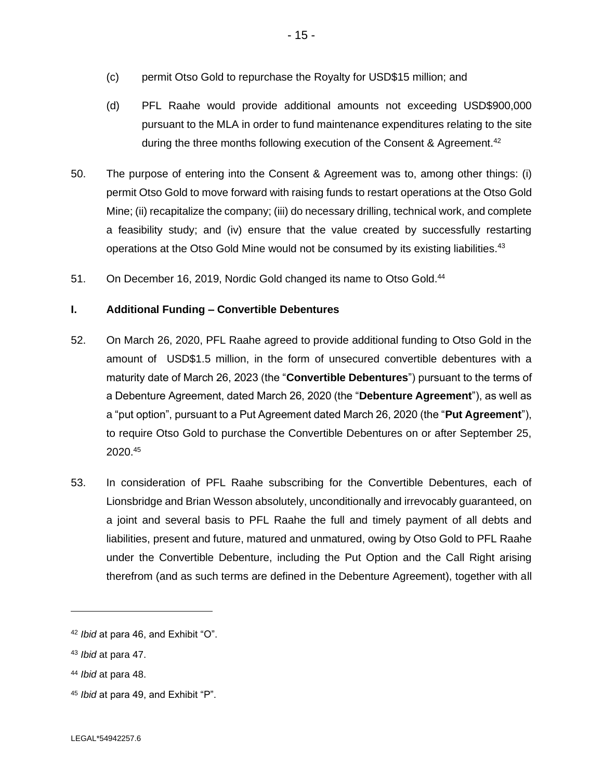- (c) permit Otso Gold to repurchase the Royalty for USD\$15 million; and
- (d) PFL Raahe would provide additional amounts not exceeding USD\$900,000 pursuant to the MLA in order to fund maintenance expenditures relating to the site during the three months following execution of the Consent & Agreement.<sup>42</sup>
- 50. The purpose of entering into the Consent & Agreement was to, among other things: (i) permit Otso Gold to move forward with raising funds to restart operations at the Otso Gold Mine; (ii) recapitalize the company; (iii) do necessary drilling, technical work, and complete a feasibility study; and (iv) ensure that the value created by successfully restarting operations at the Otso Gold Mine would not be consumed by its existing liabilities.<sup>43</sup>
- 51. On December 16, 2019, Nordic Gold changed its name to Otso Gold.<sup>44</sup>

## **I. Additional Funding – Convertible Debentures**

- 52. On March 26, 2020, PFL Raahe agreed to provide additional funding to Otso Gold in the amount of USD\$1.5 million, in the form of unsecured convertible debentures with a maturity date of March 26, 2023 (the "**Convertible Debentures**") pursuant to the terms of a Debenture Agreement, dated March 26, 2020 (the "**Debenture Agreement**"), as well as a "put option", pursuant to a Put Agreement dated March 26, 2020 (the "**Put Agreement**"), to require Otso Gold to purchase the Convertible Debentures on or after September 25, 2020.<sup>45</sup>
- 53. In consideration of PFL Raahe subscribing for the Convertible Debentures, each of Lionsbridge and Brian Wesson absolutely, unconditionally and irrevocably guaranteed, on a joint and several basis to PFL Raahe the full and timely payment of all debts and liabilities, present and future, matured and unmatured, owing by Otso Gold to PFL Raahe under the Convertible Debenture, including the Put Option and the Call Right arising therefrom (and as such terms are defined in the Debenture Agreement), together with all

- <sup>44</sup> *Ibid* at para 48.
- <sup>45</sup> *Ibid* at para 49, and Exhibit "P".

<sup>42</sup> *Ibid* at para 46, and Exhibit "O".

<sup>43</sup> *Ibid* at para 47.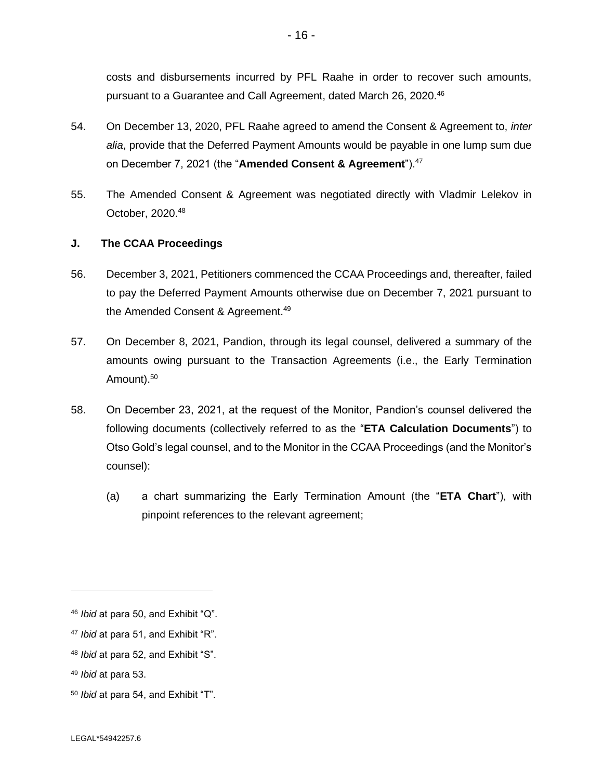costs and disbursements incurred by PFL Raahe in order to recover such amounts, pursuant to a Guarantee and Call Agreement, dated March 26, 2020.<sup>46</sup>

- 54. On December 13, 2020, PFL Raahe agreed to amend the Consent & Agreement to, *inter alia*, provide that the Deferred Payment Amounts would be payable in one lump sum due on December 7, 2021 (the "**Amended Consent & Agreement**").<sup>47</sup>
- 55. The Amended Consent & Agreement was negotiated directly with Vladmir Lelekov in October, 2020.<sup>48</sup>

## **J. The CCAA Proceedings**

- 56. December 3, 2021, Petitioners commenced the CCAA Proceedings and, thereafter, failed to pay the Deferred Payment Amounts otherwise due on December 7, 2021 pursuant to the Amended Consent & Agreement.<sup>49</sup>
- 57. On December 8, 2021, Pandion, through its legal counsel, delivered a summary of the amounts owing pursuant to the Transaction Agreements (i.e., the Early Termination Amount).<sup>50</sup>
- 58. On December 23, 2021, at the request of the Monitor, Pandion's counsel delivered the following documents (collectively referred to as the "**ETA Calculation Documents**") to Otso Gold's legal counsel, and to the Monitor in the CCAA Proceedings (and the Monitor's counsel):
	- (a) a chart summarizing the Early Termination Amount (the "**ETA Chart**"), with pinpoint references to the relevant agreement;

<sup>46</sup> *Ibid* at para 50, and Exhibit "Q".

<sup>47</sup> *Ibid* at para 51, and Exhibit "R".

<sup>48</sup> *Ibid* at para 52, and Exhibit "S".

<sup>49</sup> *Ibid* at para 53.

<sup>50</sup> *Ibid* at para 54, and Exhibit "T".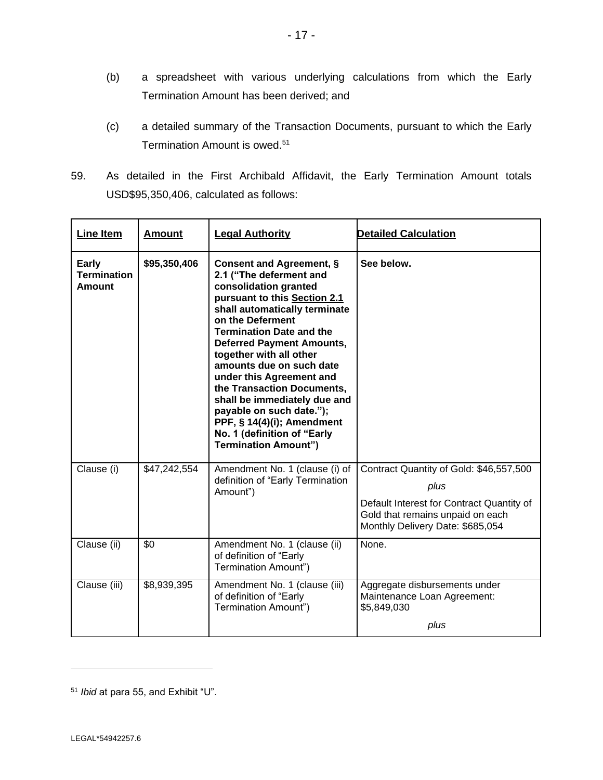- (b) a spreadsheet with various underlying calculations from which the Early Termination Amount has been derived; and
- (c) a detailed summary of the Transaction Documents, pursuant to which the Early Termination Amount is owed.<sup>51</sup>
- 59. As detailed in the First Archibald Affidavit, the Early Termination Amount totals USD\$95,350,406, calculated as follows:

| Line Item                                    | <b>Amount</b> | <b>Legal Authority</b>                                                                                                                                                                                                                                                                                                                                                                                                                                                                                            | <b>Detailed Calculation</b>                                                                                                                                          |
|----------------------------------------------|---------------|-------------------------------------------------------------------------------------------------------------------------------------------------------------------------------------------------------------------------------------------------------------------------------------------------------------------------------------------------------------------------------------------------------------------------------------------------------------------------------------------------------------------|----------------------------------------------------------------------------------------------------------------------------------------------------------------------|
| Early<br><b>Termination</b><br><b>Amount</b> | \$95,350,406  | Consent and Agreement, §<br>2.1 ("The deferment and<br>consolidation granted<br>pursuant to this Section 2.1<br>shall automatically terminate<br>on the Deferment<br><b>Termination Date and the</b><br><b>Deferred Payment Amounts,</b><br>together with all other<br>amounts due on such date<br>under this Agreement and<br>the Transaction Documents,<br>shall be immediately due and<br>payable on such date.");<br>PPF, § 14(4)(i); Amendment<br>No. 1 (definition of "Early<br><b>Termination Amount")</b> | See below.                                                                                                                                                           |
| Clause (i)                                   | \$47,242,554  | Amendment No. 1 (clause (i) of<br>definition of "Early Termination<br>Amount")                                                                                                                                                                                                                                                                                                                                                                                                                                    | Contract Quantity of Gold: \$46,557,500<br>plus<br>Default Interest for Contract Quantity of<br>Gold that remains unpaid on each<br>Monthly Delivery Date: \$685,054 |
| Clause (ii)                                  | \$0           | Amendment No. 1 (clause (ii)<br>of definition of "Early<br>Termination Amount")                                                                                                                                                                                                                                                                                                                                                                                                                                   | None.                                                                                                                                                                |
| Clause (iii)                                 | \$8,939,395   | Amendment No. 1 (clause (iii)<br>of definition of "Early<br>Termination Amount")                                                                                                                                                                                                                                                                                                                                                                                                                                  | Aggregate disbursements under<br>Maintenance Loan Agreement:<br>\$5,849,030<br>plus                                                                                  |

<sup>51</sup> *Ibid* at para 55, and Exhibit "U".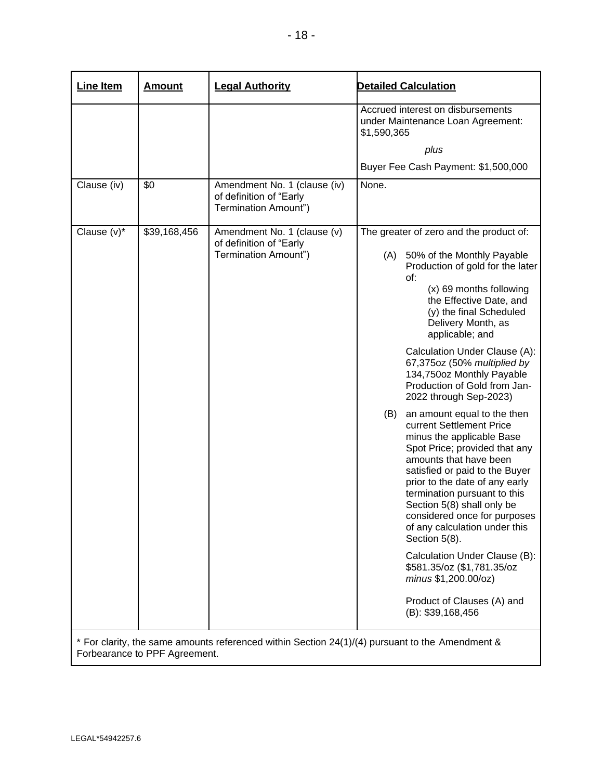| <b>Line Item</b> | <b>Amount</b> | <b>Legal Authority</b>                                                                          | <b>Detailed Calculation</b> |                                                                                                                                                                                                                                                                                                                                                                                                                                                                                                                                                                                                                                                                                                                                                                                                                                                                                               |
|------------------|---------------|-------------------------------------------------------------------------------------------------|-----------------------------|-----------------------------------------------------------------------------------------------------------------------------------------------------------------------------------------------------------------------------------------------------------------------------------------------------------------------------------------------------------------------------------------------------------------------------------------------------------------------------------------------------------------------------------------------------------------------------------------------------------------------------------------------------------------------------------------------------------------------------------------------------------------------------------------------------------------------------------------------------------------------------------------------|
|                  |               |                                                                                                 | \$1,590,365                 | Accrued interest on disbursements<br>under Maintenance Loan Agreement:<br>plus<br>Buyer Fee Cash Payment: \$1,500,000                                                                                                                                                                                                                                                                                                                                                                                                                                                                                                                                                                                                                                                                                                                                                                         |
|                  |               |                                                                                                 |                             |                                                                                                                                                                                                                                                                                                                                                                                                                                                                                                                                                                                                                                                                                                                                                                                                                                                                                               |
| Clause (iv)      | \$0           | Amendment No. 1 (clause (iv)<br>of definition of "Early<br>Termination Amount")                 | None.                       |                                                                                                                                                                                                                                                                                                                                                                                                                                                                                                                                                                                                                                                                                                                                                                                                                                                                                               |
| Clause $(v)^*$   | \$39,168,456  | Amendment No. 1 (clause (v)<br>of definition of "Early<br>Termination Amount")                  | (A)<br>(B)                  | The greater of zero and the product of:<br>50% of the Monthly Payable<br>Production of gold for the later<br>of:<br>(x) 69 months following<br>the Effective Date, and<br>(y) the final Scheduled<br>Delivery Month, as<br>applicable; and<br>Calculation Under Clause (A):<br>67,375oz (50% multiplied by<br>134,750oz Monthly Payable<br>Production of Gold from Jan-<br>2022 through Sep-2023)<br>an amount equal to the then<br>current Settlement Price<br>minus the applicable Base<br>Spot Price; provided that any<br>amounts that have been<br>satisfied or paid to the Buyer<br>prior to the date of any early<br>termination pursuant to this<br>Section 5(8) shall only be<br>considered once for purposes<br>of any calculation under this<br>Section 5(8).<br>Calculation Under Clause (B):<br>\$581.35/oz (\$1,781.35/oz<br>minus \$1,200.00/oz)<br>Product of Clauses (A) and |
|                  |               | * For clarity, the same amounts referenced within Section 24(1)/(4) pursuant to the Amendment & |                             | (B): \$39,168,456                                                                                                                                                                                                                                                                                                                                                                                                                                                                                                                                                                                                                                                                                                                                                                                                                                                                             |

Forbearance to PPF Agreement.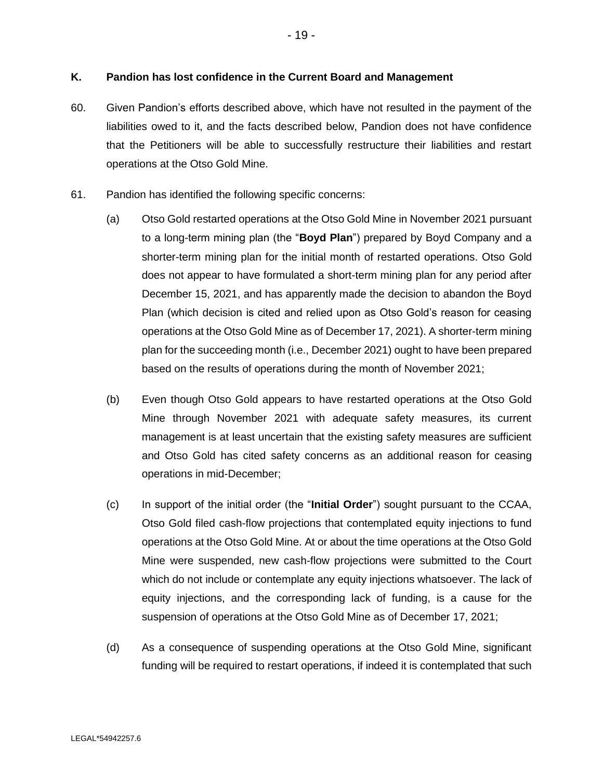## **K. Pandion has lost confidence in the Current Board and Management**

- 60. Given Pandion's efforts described above, which have not resulted in the payment of the liabilities owed to it, and the facts described below, Pandion does not have confidence that the Petitioners will be able to successfully restructure their liabilities and restart operations at the Otso Gold Mine.
- 61. Pandion has identified the following specific concerns:
	- (a) Otso Gold restarted operations at the Otso Gold Mine in November 2021 pursuant to a long-term mining plan (the "**Boyd Plan**") prepared by Boyd Company and a shorter-term mining plan for the initial month of restarted operations. Otso Gold does not appear to have formulated a short-term mining plan for any period after December 15, 2021, and has apparently made the decision to abandon the Boyd Plan (which decision is cited and relied upon as Otso Gold's reason for ceasing operations at the Otso Gold Mine as of December 17, 2021). A shorter-term mining plan for the succeeding month (i.e., December 2021) ought to have been prepared based on the results of operations during the month of November 2021;
	- (b) Even though Otso Gold appears to have restarted operations at the Otso Gold Mine through November 2021 with adequate safety measures, its current management is at least uncertain that the existing safety measures are sufficient and Otso Gold has cited safety concerns as an additional reason for ceasing operations in mid-December;
	- (c) In support of the initial order (the "**Initial Order**") sought pursuant to the CCAA, Otso Gold filed cash-flow projections that contemplated equity injections to fund operations at the Otso Gold Mine. At or about the time operations at the Otso Gold Mine were suspended, new cash-flow projections were submitted to the Court which do not include or contemplate any equity injections whatsoever. The lack of equity injections, and the corresponding lack of funding, is a cause for the suspension of operations at the Otso Gold Mine as of December 17, 2021;
	- (d) As a consequence of suspending operations at the Otso Gold Mine, significant funding will be required to restart operations, if indeed it is contemplated that such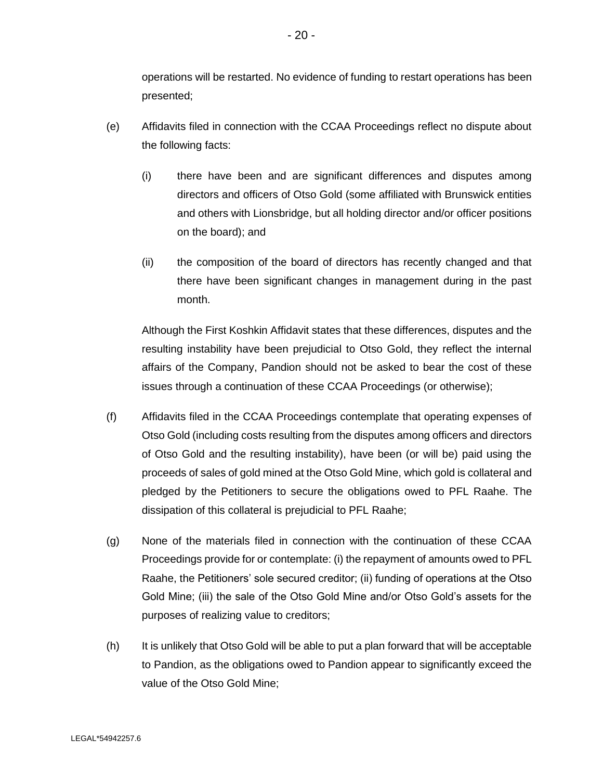operations will be restarted. No evidence of funding to restart operations has been presented;

- (e) Affidavits filed in connection with the CCAA Proceedings reflect no dispute about the following facts:
	- (i) there have been and are significant differences and disputes among directors and officers of Otso Gold (some affiliated with Brunswick entities and others with Lionsbridge, but all holding director and/or officer positions on the board); and
	- (ii) the composition of the board of directors has recently changed and that there have been significant changes in management during in the past month.

Although the First Koshkin Affidavit states that these differences, disputes and the resulting instability have been prejudicial to Otso Gold, they reflect the internal affairs of the Company, Pandion should not be asked to bear the cost of these issues through a continuation of these CCAA Proceedings (or otherwise);

- (f) Affidavits filed in the CCAA Proceedings contemplate that operating expenses of Otso Gold (including costs resulting from the disputes among officers and directors of Otso Gold and the resulting instability), have been (or will be) paid using the proceeds of sales of gold mined at the Otso Gold Mine, which gold is collateral and pledged by the Petitioners to secure the obligations owed to PFL Raahe. The dissipation of this collateral is prejudicial to PFL Raahe;
- (g) None of the materials filed in connection with the continuation of these CCAA Proceedings provide for or contemplate: (i) the repayment of amounts owed to PFL Raahe, the Petitioners' sole secured creditor; (ii) funding of operations at the Otso Gold Mine; (iii) the sale of the Otso Gold Mine and/or Otso Gold's assets for the purposes of realizing value to creditors;
- (h) It is unlikely that Otso Gold will be able to put a plan forward that will be acceptable to Pandion, as the obligations owed to Pandion appear to significantly exceed the value of the Otso Gold Mine;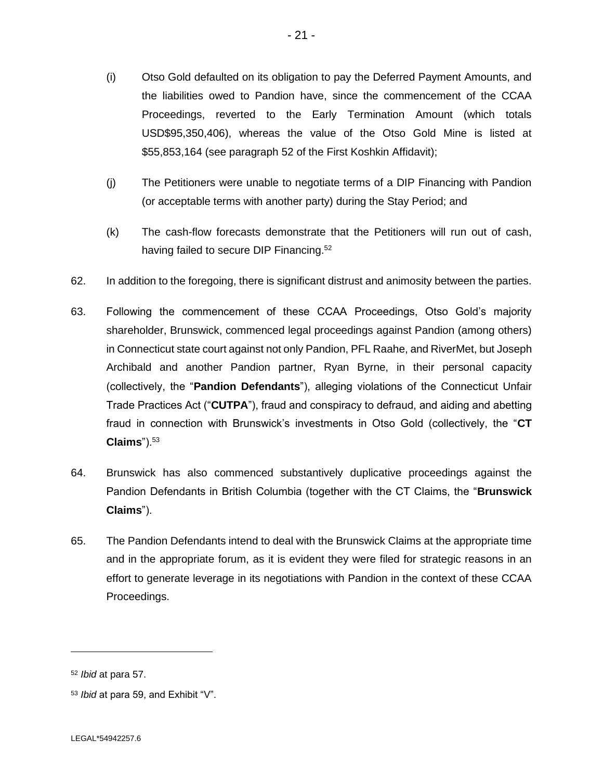- (i) Otso Gold defaulted on its obligation to pay the Deferred Payment Amounts, and the liabilities owed to Pandion have, since the commencement of the CCAA Proceedings, reverted to the Early Termination Amount (which totals USD\$95,350,406), whereas the value of the Otso Gold Mine is listed at \$55,853,164 (see paragraph 52 of the First Koshkin Affidavit);
- (j) The Petitioners were unable to negotiate terms of a DIP Financing with Pandion (or acceptable terms with another party) during the Stay Period; and
- (k) The cash-flow forecasts demonstrate that the Petitioners will run out of cash, having failed to secure DIP Financing.<sup>52</sup>
- 62. In addition to the foregoing, there is significant distrust and animosity between the parties.
- 63. Following the commencement of these CCAA Proceedings, Otso Gold's majority shareholder, Brunswick, commenced legal proceedings against Pandion (among others) in Connecticut state court against not only Pandion, PFL Raahe, and RiverMet, but Joseph Archibald and another Pandion partner, Ryan Byrne, in their personal capacity (collectively, the "**Pandion Defendants**"), alleging violations of the Connecticut Unfair Trade Practices Act ("**CUTPA**"), fraud and conspiracy to defraud, and aiding and abetting fraud in connection with Brunswick's investments in Otso Gold (collectively, the "**CT Claims**").<sup>53</sup>
- 64. Brunswick has also commenced substantively duplicative proceedings against the Pandion Defendants in British Columbia (together with the CT Claims, the "**Brunswick Claims**").
- 65. The Pandion Defendants intend to deal with the Brunswick Claims at the appropriate time and in the appropriate forum, as it is evident they were filed for strategic reasons in an effort to generate leverage in its negotiations with Pandion in the context of these CCAA Proceedings.

<sup>52</sup> *Ibid* at para 57.

<sup>53</sup> *Ibid* at para 59, and Exhibit "V".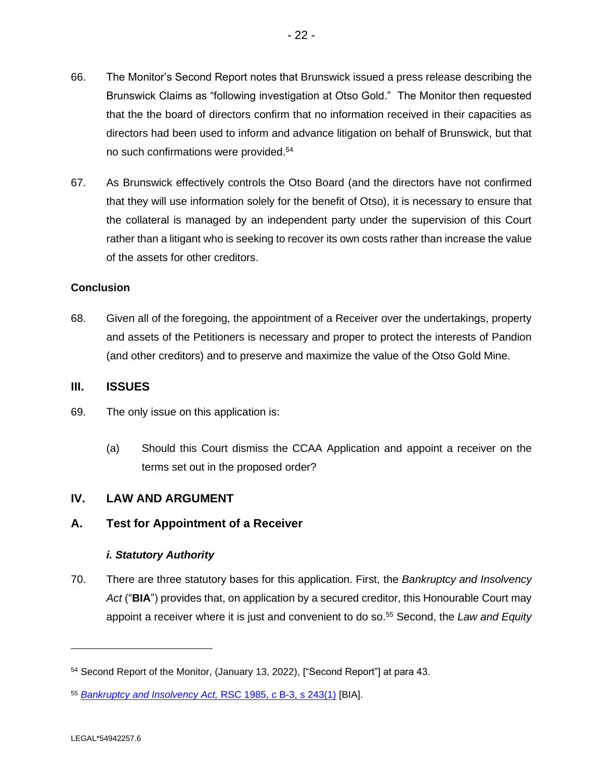- 66. The Monitor's Second Report notes that Brunswick issued a press release describing the Brunswick Claims as "following investigation at Otso Gold." The Monitor then requested that the the board of directors confirm that no information received in their capacities as directors had been used to inform and advance litigation on behalf of Brunswick, but that no such confirmations were provided.<sup>54</sup>
- 67. As Brunswick effectively controls the Otso Board (and the directors have not confirmed that they will use information solely for the benefit of Otso), it is necessary to ensure that the collateral is managed by an independent party under the supervision of this Court rather than a litigant who is seeking to recover its own costs rather than increase the value of the assets for other creditors.

## **Conclusion**

68. Given all of the foregoing, the appointment of a Receiver over the undertakings, property and assets of the Petitioners is necessary and proper to protect the interests of Pandion (and other creditors) and to preserve and maximize the value of the Otso Gold Mine.

## **III. ISSUES**

- 69. The only issue on this application is:
	- (a) Should this Court dismiss the CCAA Application and appoint a receiver on the terms set out in the proposed order?

## **IV. LAW AND ARGUMENT**

## **A. Test for Appointment of a Receiver**

## *i. Statutory Authority*

70. There are three statutory bases for this application. First, the *Bankruptcy and Insolvency Act* ("**BIA**") provides that, on application by a secured creditor, this Honourable Court may appoint a receiver where it is just and convenient to do so.<sup>55</sup> Second, the *Law and Equity* 

<sup>54</sup> Second Report of the Monitor, (January 13, 2022), ["Second Report"] at para 43.

<sup>55</sup> *[Bankruptcy and Insolvency Act,](https://canlii.ca/t/543rx)* RSC 1985, c B-3, s 243(1) [BIA].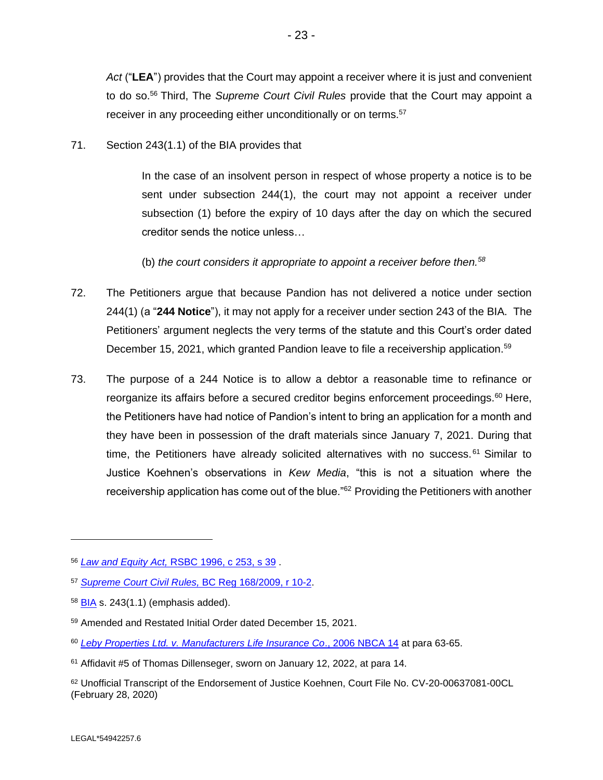*Act* ("**LEA**") provides that the Court may appoint a receiver where it is just and convenient to do so.<sup>56</sup> Third, The *Supreme Court Civil Rules* provide that the Court may appoint a receiver in any proceeding either unconditionally or on terms.<sup>57</sup>

71. Section 243(1.1) of the BIA provides that

In the case of an insolvent person in respect of whose property a notice is to be sent under subsection 244(1), the court may not appoint a receiver under subsection (1) before the expiry of 10 days after the day on which the secured creditor sends the notice unless…

(b) *the court considers it appropriate to appoint a receiver before then.<sup>58</sup>*

- 72. The Petitioners argue that because Pandion has not delivered a notice under section 244(1) (a "**244 Notice**"), it may not apply for a receiver under section 243 of the BIA. The Petitioners' argument neglects the very terms of the statute and this Court's order dated December 15, 2021, which granted Pandion leave to file a receivership application.<sup>59</sup>
- 73. The purpose of a 244 Notice is to allow a debtor a reasonable time to refinance or reorganize its affairs before a secured creditor begins enforcement proceedings.<sup>60</sup> Here, the Petitioners have had notice of Pandion's intent to bring an application for a month and they have been in possession of the draft materials since January 7, 2021. During that time, the Petitioners have already solicited alternatives with no success.<sup>61</sup> Similar to Justice Koehnen's observations in *Kew Media*, "this is not a situation where the receivership application has come out of the blue."<sup>62</sup> Providing the Petitioners with another

<sup>56</sup> *[Law and Equity Act,](https://canlii.ca/t/527wb)* RSBC 1996, c 253, s 39 .

<sup>57</sup> *[Supreme Court Civil Rules,](https://canlii.ca/t/55720)* BC Reg 168/2009, r 10-2.

<sup>58</sup> [BIA](https://canlii.ca/t/543rx) s. 243(1.1) (emphasis added).

<sup>59</sup> Amended and Restated Initial Order dated December 15, 2021.

<sup>60</sup> *[Leby Properties Ltd. v. Manufacturers Life Insurance Co](https://canlii.ca/t/1mg26)*., 2006 NBCA 14 at para 63-65.

<sup>61</sup> Affidavit #5 of Thomas Dillenseger, sworn on January 12, 2022, at para 14.

<sup>62</sup> Unofficial Transcript of the Endorsement of Justice Koehnen, Court File No. CV-20-00637081-00CL (February 28, 2020)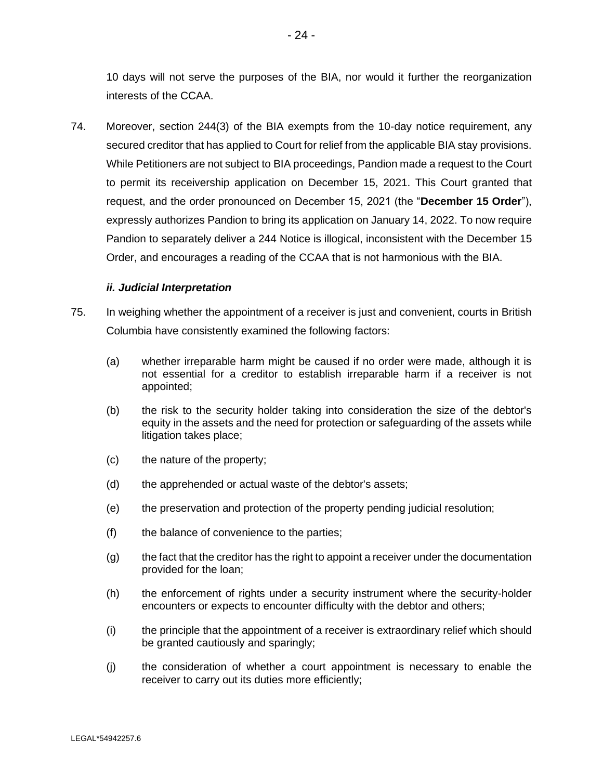10 days will not serve the purposes of the BIA, nor would it further the reorganization interests of the CCAA.

74. Moreover, section 244(3) of the BIA exempts from the 10-day notice requirement, any secured creditor that has applied to Court for relief from the applicable BIA stay provisions. While Petitioners are not subject to BIA proceedings, Pandion made a request to the Court to permit its receivership application on December 15, 2021. This Court granted that request, and the order pronounced on December 15, 2021 (the "**December 15 Order**"), expressly authorizes Pandion to bring its application on January 14, 2022. To now require Pandion to separately deliver a 244 Notice is illogical, inconsistent with the December 15 Order, and encourages a reading of the CCAA that is not harmonious with the BIA.

## *ii. Judicial Interpretation*

- 75. In weighing whether the appointment of a receiver is just and convenient, courts in British Columbia have consistently examined the following factors:
	- (a) whether irreparable harm might be caused if no order were made, although it is not essential for a creditor to establish irreparable harm if a receiver is not appointed;
	- (b) the risk to the security holder taking into consideration the size of the debtor's equity in the assets and the need for protection or safeguarding of the assets while litigation takes place;
	- (c) the nature of the property;
	- (d) the apprehended or actual waste of the debtor's assets;
	- (e) the preservation and protection of the property pending judicial resolution;
	- (f) the balance of convenience to the parties;
	- (g) the fact that the creditor has the right to appoint a receiver under the documentation provided for the loan;
	- (h) the enforcement of rights under a security instrument where the security-holder encounters or expects to encounter difficulty with the debtor and others;
	- (i) the principle that the appointment of a receiver is extraordinary relief which should be granted cautiously and sparingly;
	- (j) the consideration of whether a court appointment is necessary to enable the receiver to carry out its duties more efficiently;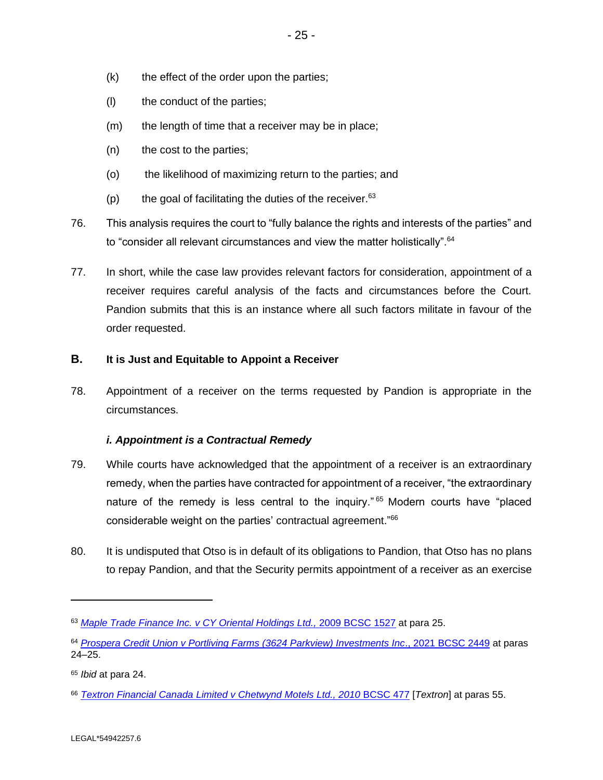- $(k)$  the effect of the order upon the parties;
- (l) the conduct of the parties;
- (m) the length of time that a receiver may be in place;
- (n) the cost to the parties;
- (o) the likelihood of maximizing return to the parties; and
- $(p)$  the goal of facilitating the duties of the receiver.  $63$
- 76. This analysis requires the court to "fully balance the rights and interests of the parties" and to "consider all relevant circumstances and view the matter holistically".<sup>64</sup>
- 77. In short, while the case law provides relevant factors for consideration, appointment of a receiver requires careful analysis of the facts and circumstances before the Court. Pandion submits that this is an instance where all such factors militate in favour of the order requested.

## **B. It is Just and Equitable to Appoint a Receiver**

78. Appointment of a receiver on the terms requested by Pandion is appropriate in the circumstances.

## *i. Appointment is a Contractual Remedy*

- 79. While courts have acknowledged that the appointment of a receiver is an extraordinary remedy, when the parties have contracted for appointment of a receiver, "the extraordinary nature of the remedy is less central to the inquiry."<sup>65</sup> Modern courts have "placed considerable weight on the parties' contractual agreement." 66
- 80. It is undisputed that Otso is in default of its obligations to Pandion, that Otso has no plans to repay Pandion, and that the Security permits appointment of a receiver as an exercise

<sup>63</sup> *[Maple Trade Finance Inc. v CY Oriental Holdings Ltd.,](https://canlii.ca/t/26h6z)* 2009 BCSC 1527 at para 25.

<sup>64</sup> *[Prospera Credit Union v Portliving Farms \(3624 Parkview\) Investments Inc](https://canlii.ca/t/jlbt1)*., 2021 BCSC 2449 at paras 24–25.

<sup>65</sup> *Ibid* at para 24.

<sup>66</sup> *[Textron Financial Canada Limited v Chetwynd Motels Ltd., 2010](https://canlii.ca/t/2972j)* BCSC 477 [*Textron*] at paras 55.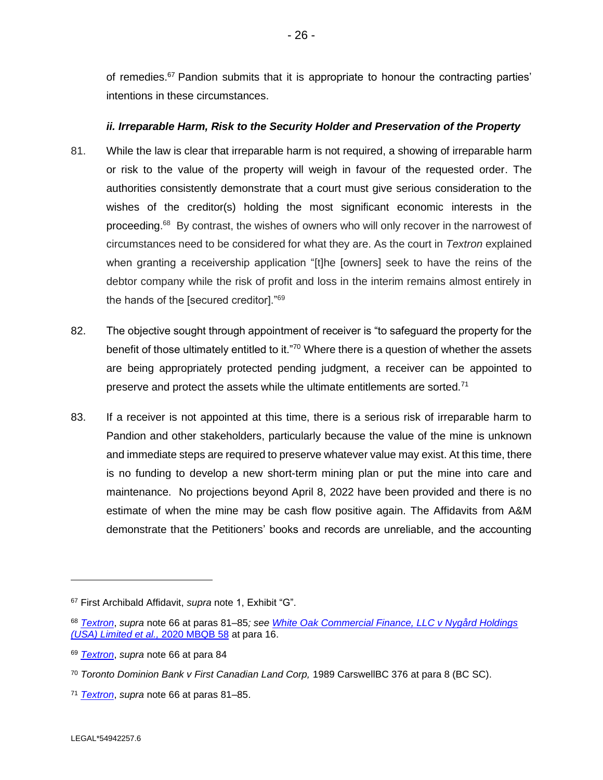of remedies.<sup>67</sup> Pandion submits that it is appropriate to honour the contracting parties' intentions in these circumstances.

## *ii. Irreparable Harm, Risk to the Security Holder and Preservation of the Property*

- 81. While the law is clear that irreparable harm is not required, a showing of irreparable harm or risk to the value of the property will weigh in favour of the requested order. The authorities consistently demonstrate that a court must give serious consideration to the wishes of the creditor(s) holding the most significant economic interests in the proceeding.<sup>68</sup> By contrast, the wishes of owners who will only recover in the narrowest of circumstances need to be considered for what they are. As the court in *Textron* explained when granting a receivership application "[t]he [owners] seek to have the reins of the debtor company while the risk of profit and loss in the interim remains almost entirely in the hands of the [secured creditor]."<sup>69</sup>
- 82. The objective sought through appointment of receiver is "to safeguard the property for the benefit of those ultimately entitled to it."<sup>70</sup> Where there is a question of whether the assets are being appropriately protected pending judgment, a receiver can be appointed to preserve and protect the assets while the ultimate entitlements are sorted. $71$
- 83. If a receiver is not appointed at this time, there is a serious risk of irreparable harm to Pandion and other stakeholders, particularly because the value of the mine is unknown and immediate steps are required to preserve whatever value may exist. At this time, there is no funding to develop a new short-term mining plan or put the mine into care and maintenance. No projections beyond April 8, 2022 have been provided and there is no estimate of when the mine may be cash flow positive again. The Affidavits from A&M demonstrate that the Petitioners' books and records are unreliable, and the accounting

<sup>67</sup> First Archibald Affidavit, *supra* note 1, Exhibit "G".

<sup>68</sup> *[Textron](https://canlii.ca/t/2972j)*, *supra* note 66 at paras 81–85*; see [White Oak Commercial Finance, LLC v Nygård Holdings](https://canlii.ca/t/jjfr9)  [\(USA\) Limited et al.,](https://canlii.ca/t/jjfr9)* 2020 MBQB 58 at para 16.

<sup>69</sup> *[Textron](https://canlii.ca/t/2972j)*, *supra* note 66 at para 84

<sup>70</sup> *Toronto Dominion Bank v First Canadian Land Corp,* 1989 CarswellBC 376 at para 8 (BC SC).

<sup>71</sup> *[Textron](https://canlii.ca/t/2972j)*, *supra* note 66 at paras 81–85.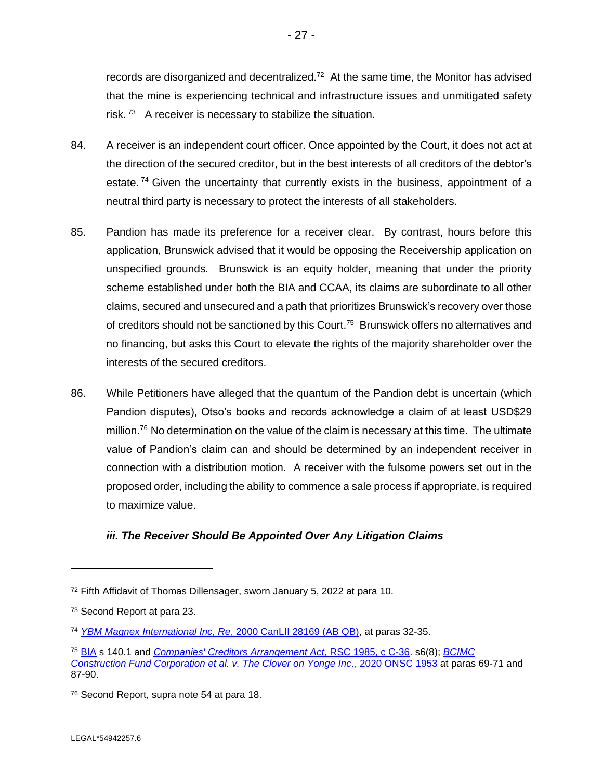records are disorganized and decentralized.<sup>72</sup> At the same time, the Monitor has advised that the mine is experiencing technical and infrastructure issues and unmitigated safety risk.<sup>73</sup> A receiver is necessary to stabilize the situation.

- 84. A receiver is an independent court officer. Once appointed by the Court, it does not act at the direction of the secured creditor, but in the best interests of all creditors of the debtor's estate. <sup>74</sup> Given the uncertainty that currently exists in the business, appointment of a neutral third party is necessary to protect the interests of all stakeholders.
- 85. Pandion has made its preference for a receiver clear. By contrast, hours before this application, Brunswick advised that it would be opposing the Receivership application on unspecified grounds. Brunswick is an equity holder, meaning that under the priority scheme established under both the BIA and CCAA, its claims are subordinate to all other claims, secured and unsecured and a path that prioritizes Brunswick's recovery over those of creditors should not be sanctioned by this Court.<sup>75</sup> Brunswick offers no alternatives and no financing, but asks this Court to elevate the rights of the majority shareholder over the interests of the secured creditors.
- 86. While Petitioners have alleged that the quantum of the Pandion debt is uncertain (which Pandion disputes), Otso's books and records acknowledge a claim of at least USD\$29 million.<sup>76</sup> No determination on the value of the claim is necessary at this time. The ultimate value of Pandion's claim can and should be determined by an independent receiver in connection with a distribution motion. A receiver with the fulsome powers set out in the proposed order, including the ability to commence a sale process if appropriate, is required to maximize value.

## *iii. The Receiver Should Be Appointed Over Any Litigation Claims*

<sup>72</sup> Fifth Affidavit of Thomas Dillensager, sworn January 5, 2022 at para 10.

<sup>73</sup> Second Report at para 23.

<sup>74</sup> *[YBM Magnex International Inc, Re](https://canlii.ca/t/2bqq5)*, 2000 CanLII 28169 (AB QB), at paras 32-35.

<sup>75</sup> [BIA](https://canlii.ca/t/543rx) s 140.1 and *[Companies' Creditors Arrangement Act](https://canlii.ca/t/543rw)*, RSC 1985, c C-36. s6(8); *[BCIMC](https://canlii.ca/t/j6g1r)  [Construction Fund Corporation et al. v. The Clover on Yonge Inc](https://canlii.ca/t/j6g1r)*., 2020 ONSC 1953 at paras 69-71 and 87-90.

<sup>76</sup> Second Report, supra note 54 at para 18.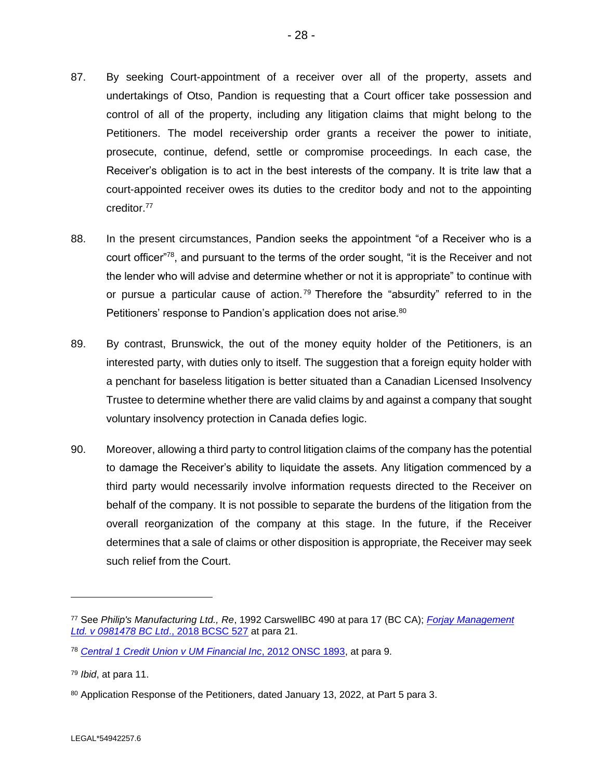- 87. By seeking Court-appointment of a receiver over all of the property, assets and undertakings of Otso, Pandion is requesting that a Court officer take possession and control of all of the property, including any litigation claims that might belong to the Petitioners. The model receivership order grants a receiver the power to initiate, prosecute, continue, defend, settle or compromise proceedings. In each case, the Receiver's obligation is to act in the best interests of the company. It is trite law that a court-appointed receiver owes its duties to the creditor body and not to the appointing creditor. 77
- 88. In the present circumstances, Pandion seeks the appointment "of a Receiver who is a court officer"<sup>78</sup>, and pursuant to the terms of the order sought, "it is the Receiver and not the lender who will advise and determine whether or not it is appropriate" to continue with or pursue a particular cause of action.<sup>79</sup> Therefore the "absurdity" referred to in the Petitioners' response to Pandion's application does not arise.<sup>80</sup>
- 89. By contrast, Brunswick, the out of the money equity holder of the Petitioners, is an interested party, with duties only to itself. The suggestion that a foreign equity holder with a penchant for baseless litigation is better situated than a Canadian Licensed Insolvency Trustee to determine whether there are valid claims by and against a company that sought voluntary insolvency protection in Canada defies logic.
- 90. Moreover, allowing a third party to control litigation claims of the company has the potential to damage the Receiver's ability to liquidate the assets. Any litigation commenced by a third party would necessarily involve information requests directed to the Receiver on behalf of the company. It is not possible to separate the burdens of the litigation from the overall reorganization of the company at this stage. In the future, if the Receiver determines that a sale of claims or other disposition is appropriate, the Receiver may seek such relief from the Court.

<sup>77</sup> See *Philip's Manufacturing Ltd., Re*, 1992 CarswellBC 490 at para 17 (BC CA); *[Forjay Management](https://canlii.ca/t/hrbx5)  [Ltd. v 0981478 BC Ltd](https://canlii.ca/t/hrbx5)*., 2018 BCSC 527 at para 21.

<sup>78</sup> *[Central 1 Credit Union v UM Financial Inc](https://canlii.ca/t/fqw6k)*, 2012 ONSC 1893, at para 9.

<sup>79</sup> *Ibid*, at para 11.

<sup>80</sup> Application Response of the Petitioners, dated January 13, 2022, at Part 5 para 3.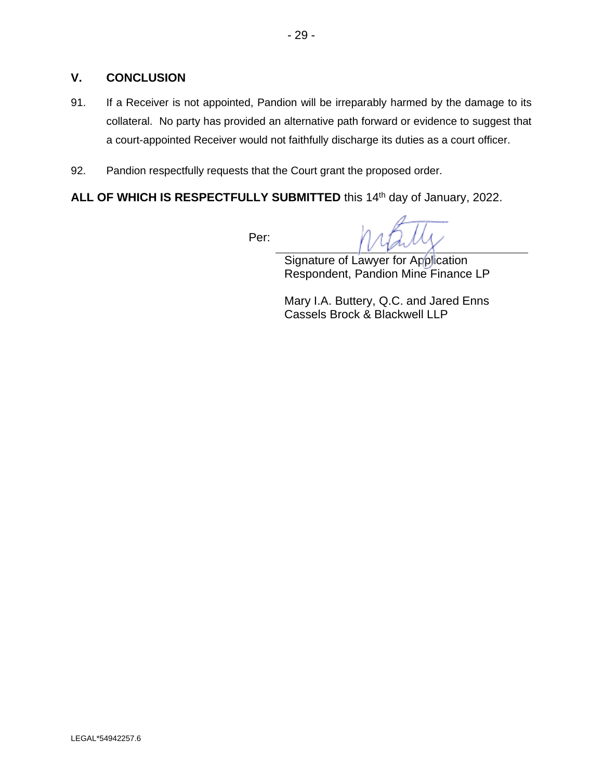# **V. CONCLUSION**

- 91. If a Receiver is not appointed, Pandion will be irreparably harmed by the damage to its collateral. No party has provided an alternative path forward or evidence to suggest that a court-appointed Receiver would not faithfully discharge its duties as a court officer.
- 92. Pandion respectfully requests that the Court grant the proposed order.

ALL OF WHICH IS RESPECTFULLY SUBMITTED this 14<sup>th</sup> day of January, 2022.

Per:

Signature of Lawyer for Application Respondent, Pandion Mine Finance LP

Mary I.A. Buttery, Q.C. and Jared Enns Cassels Brock & Blackwell LLP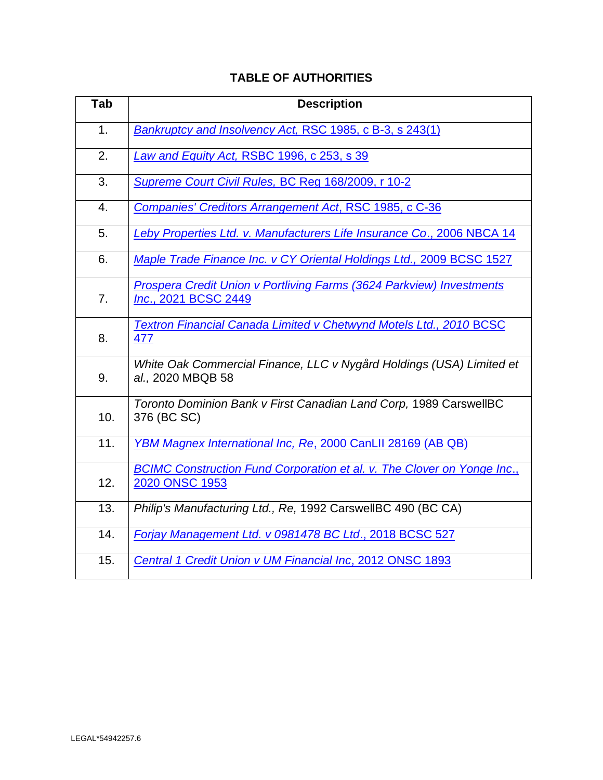| <b>TABLE OF AUTHORITIES</b> |  |  |
|-----------------------------|--|--|
|-----------------------------|--|--|

| Tab | <b>Description</b>                                                                           |
|-----|----------------------------------------------------------------------------------------------|
| 1.  | Bankruptcy and Insolvency Act, RSC 1985, c B-3, s 243(1)                                     |
| 2.  | Law and Equity Act, RSBC 1996, c 253, s 39                                                   |
| 3.  | Supreme Court Civil Rules, BC Reg 168/2009, r 10-2                                           |
| 4.  | Companies' Creditors Arrangement Act, RSC 1985, c C-36                                       |
| 5.  | Leby Properties Ltd. v. Manufacturers Life Insurance Co., 2006 NBCA 14                       |
| 6.  | Maple Trade Finance Inc. v CY Oriental Holdings Ltd., 2009 BCSC 1527                         |
| 7.  | Prospera Credit Union v Portliving Farms (3624 Parkview) Investments<br>Inc., 2021 BCSC 2449 |
| 8.  | Textron Financial Canada Limited v Chetwynd Motels Ltd., 2010 BCSC<br>477                    |
| 9.  | White Oak Commercial Finance, LLC v Nygård Holdings (USA) Limited et<br>al., 2020 MBQB 58    |
| 10. | Toronto Dominion Bank v First Canadian Land Corp, 1989 CarswellBC<br>376 (BC SC)             |
| 11. | YBM Magnex International Inc, Re, 2000 CanLII 28169 (AB QB)                                  |
| 12. | BCIMC Construction Fund Corporation et al. v. The Clover on Yonge Inc.,<br>2020 ONSC 1953    |
| 13. | Philip's Manufacturing Ltd., Re, 1992 CarswellBC 490 (BC CA)                                 |
| 14. | Forjay Management Ltd. v 0981478 BC Ltd., 2018 BCSC 527                                      |
| 15. | Central 1 Credit Union v UM Financial Inc, 2012 ONSC 1893                                    |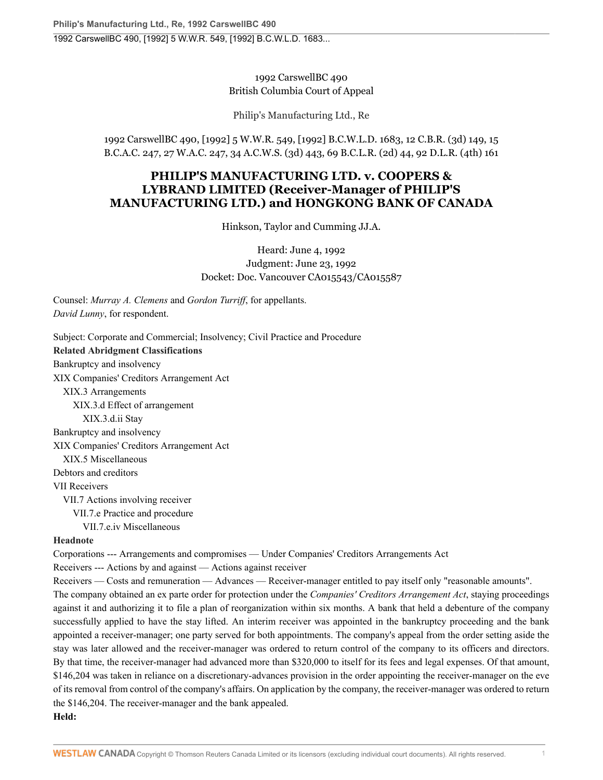1992 CarswellBC 490 British Columbia Court of Appeal

Philip's Manufacturing Ltd., Re

1992 CarswellBC 490, [1992] 5 W.W.R. 549, [1992] B.C.W.L.D. 1683, 12 C.B.R. (3d) 149, 15 B.C.A.C. 247, 27 W.A.C. 247, 34 A.C.W.S. (3d) 443, 69 B.C.L.R. (2d) 44, 92 D.L.R. (4th) 161

# **PHILIP'S MANUFACTURING LTD. v. COOPERS & LYBRAND LIMITED (Receiver-Manager of PHILIP'S MANUFACTURING LTD.) and HONGKONG BANK OF CANADA**

Hinkson, Taylor and Cumming JJ.A.

Heard: June 4, 1992 Judgment: June 23, 1992 Docket: Doc. Vancouver CA015543/CA015587

Counsel: *Murray A. Clemens* and *Gordon Turriff*, for appellants. *David Lunny*, for respondent.

Subject: Corporate and Commercial; Insolvency; Civil Practice and Procedure **Related Abridgment Classifications** Bankruptcy and insolvency [XIX](http://nextcanada.westlaw.com/Browse/Home/AbridgmentTOC/BKY.XIX/View.html?docGuid=I10b717cbc20863f0e0440003ba0d6c6d&searchResult=True&originationContext=document&transitionType=DocumentItem&vr=3.0&rs=cblt1.0&contextData=(sc.UserEnteredCitation)) Companies' Creditors Arrangement Act [XIX.3](http://nextcanada.westlaw.com/Browse/Home/AbridgmentTOC/BKY.XIX.3/View.html?docGuid=I10b717cbc20863f0e0440003ba0d6c6d&searchResult=True&originationContext=document&transitionType=DocumentItem&vr=3.0&rs=cblt1.0&contextData=(sc.UserEnteredCitation)) Arrangements [XIX.3.d](http://nextcanada.westlaw.com/Browse/Home/AbridgmentTOC/BKY.XIX.3.d/View.html?docGuid=I10b717cbc20863f0e0440003ba0d6c6d&searchResult=True&originationContext=document&transitionType=DocumentItem&vr=3.0&rs=cblt1.0&contextData=(sc.UserEnteredCitation)) Effect of arrangement [XIX.3.d.ii](http://nextcanada.westlaw.com/Browse/Home/AbridgmentTOC/BKY.XIX.3.d.ii/View.html?docGuid=I10b717cbc20863f0e0440003ba0d6c6d&searchResult=True&originationContext=document&transitionType=DocumentItem&vr=3.0&rs=cblt1.0&contextData=(sc.UserEnteredCitation)) Stay Bankruptcy and insolvency [XIX](http://nextcanada.westlaw.com/Browse/Home/AbridgmentTOC/BKY.XIX/View.html?docGuid=I10b717cbc20863f0e0440003ba0d6c6d&searchResult=True&originationContext=document&transitionType=DocumentItem&vr=3.0&rs=cblt1.0&contextData=(sc.UserEnteredCitation)) Companies' Creditors Arrangement Act [XIX.5](http://nextcanada.westlaw.com/Browse/Home/AbridgmentTOC/BKY.XIX.5/View.html?docGuid=I10b717cbc20863f0e0440003ba0d6c6d&searchResult=True&originationContext=document&transitionType=DocumentItem&vr=3.0&rs=cblt1.0&contextData=(sc.UserEnteredCitation)) Miscellaneous Debtors and creditors [VII](http://nextcanada.westlaw.com/Browse/Home/AbridgmentTOC/DCR.VII/View.html?docGuid=I10b717cbc20863f0e0440003ba0d6c6d&searchResult=True&originationContext=document&transitionType=DocumentItem&vr=3.0&rs=cblt1.0&contextData=(sc.UserEnteredCitation)) Receivers [VII.7](http://nextcanada.westlaw.com/Browse/Home/AbridgmentTOC/DCR.VII.7/View.html?docGuid=I10b717cbc20863f0e0440003ba0d6c6d&searchResult=True&originationContext=document&transitionType=DocumentItem&vr=3.0&rs=cblt1.0&contextData=(sc.UserEnteredCitation)) Actions involving receiver [VII.7.e](http://nextcanada.westlaw.com/Browse/Home/AbridgmentTOC/DCR.VII.7.e/View.html?docGuid=I10b717cbc20863f0e0440003ba0d6c6d&searchResult=True&originationContext=document&transitionType=DocumentItem&vr=3.0&rs=cblt1.0&contextData=(sc.UserEnteredCitation)) Practice and procedure [VII.7.e.iv](http://nextcanada.westlaw.com/Browse/Home/AbridgmentTOC/DCR.VII.7.e.iv/View.html?docGuid=I10b717cbc20863f0e0440003ba0d6c6d&searchResult=True&originationContext=document&transitionType=DocumentItem&vr=3.0&rs=cblt1.0&contextData=(sc.UserEnteredCitation)) Miscellaneous

#### **Headnote**

Corporations --- Arrangements and compromises — Under Companies' Creditors Arrangements Act

Receivers --- Actions by and against — Actions against receiver

Receivers — Costs and remuneration — Advances — Receiver-manager entitled to pay itself only "reasonable amounts". The company obtained an ex parte order for protection under the *[Companies' Creditors Arrangement Act](http://nextcanada.westlaw.com/Link/Document/FullText?findType=Y&serNum=0280687842&pubNum=134158&originatingDoc=I10b717cbc20863f0e0440003ba0d6c6d&refType=IG&docFamilyGuid=Ibdc6470ef4e011d99f28ffa0ae8c2575&targetPreference=DocLanguage%3aEN&originationContext=document&vr=3.0&rs=cblt1.0&transitionType=DocumentItem&contextData=(sc.UserEnteredCitation))*, staying proceedings against it and authorizing it to file a plan of reorganization within six months. A bank that held a debenture of the company successfully applied to have the stay lifted. An interim receiver was appointed in the bankruptcy proceeding and the bank appointed a receiver-manager; one party served for both appointments. The company's appeal from the order setting aside the stay was later allowed and the receiver-manager was ordered to return control of the company to its officers and directors. By that time, the receiver-manager had advanced more than \$320,000 to itself for its fees and legal expenses. Of that amount, \$146,204 was taken in reliance on a discretionary-advances provision in the order appointing the receiver-manager on the eve of its removal from control of the company's affairs. On application by the company, the receiver-manager was ordered to return the \$146,204. The receiver-manager and the bank appealed. **Held:**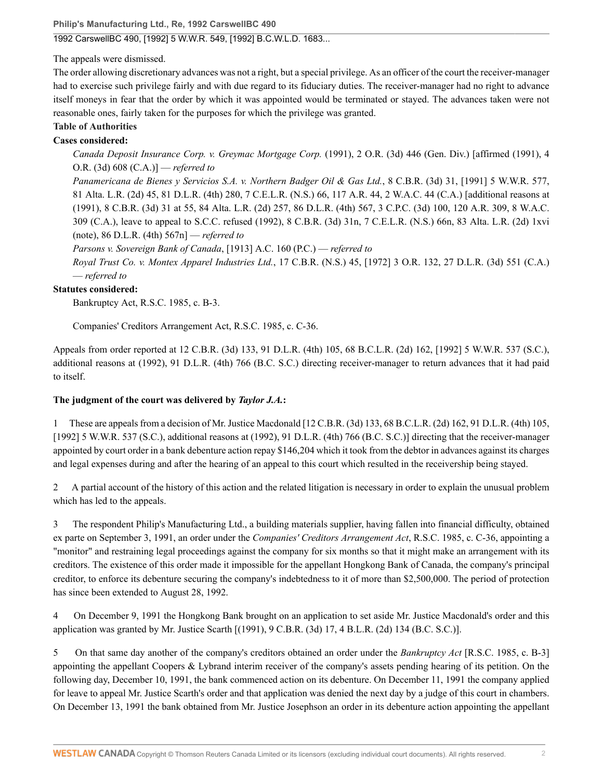**Philip's Manufacturing Ltd., Re, 1992 CarswellBC 490**

## 1992 CarswellBC 490, [1992] 5 W.W.R. 549, [1992] B.C.W.L.D. 1683...

The appeals were dismissed.

The order allowing discretionary advances was not a right, but a special privilege. As an officer of the court the receiver-manager had to exercise such privilege fairly and with due regard to its fiduciary duties. The receiver-manager had no right to advance itself moneys in fear that the order by which it was appointed would be terminated or stayed. The advances taken were not reasonable ones, fairly taken for the purposes for which the privilege was granted.

#### **Table of Authorities**

#### **Cases considered:**

*Canada Deposit Insurance Corp. v. Greymac Mortgage Corp.* [\(1991\), 2 O.R. \(3d\) 446](http://nextcanada.westlaw.com/Link/Document/FullText?findType=Y&pubNum=6407&serNum=1991345874&originationContext=document&transitionType=DocumentItem&vr=3.0&rs=cblt1.0&contextData=(sc.UserEnteredCitation)) (Gen. Div.) [affirmed [\(1991\), 4](http://nextcanada.westlaw.com/Link/Document/FullText?findType=Y&pubNum=6407&serNum=1991345875&originationContext=document&transitionType=DocumentItem&vr=3.0&rs=cblt1.0&contextData=(sc.UserEnteredCitation)) [O.R. \(3d\) 608](http://nextcanada.westlaw.com/Link/Document/FullText?findType=Y&pubNum=6407&serNum=1991345875&originationContext=document&transitionType=DocumentItem&vr=3.0&rs=cblt1.0&contextData=(sc.UserEnteredCitation)) (C.A.)] — *referred to*

*Panamericana de Bienes y Servicios S.A. v. Northern Badger Oil & Gas Ltd.*[, 8 C.B.R. \(3d\) 31, \[1991\] 5 W.W.R. 577,](http://nextcanada.westlaw.com/Link/Document/FullText?findType=Y&pubNum=6407&serNum=1991353329&originationContext=document&transitionType=DocumentItem&vr=3.0&rs=cblt1.0&contextData=(sc.UserEnteredCitation)) [81 Alta. L.R. \(2d\) 45, 81 D.L.R. \(4th\) 280, 7 C.E.L.R. \(N.S.\) 66, 117 A.R. 44, 2 W.A.C. 44](http://nextcanada.westlaw.com/Link/Document/FullText?findType=Y&pubNum=6407&serNum=1991353329&originationContext=document&transitionType=DocumentItem&vr=3.0&rs=cblt1.0&contextData=(sc.UserEnteredCitation)) (C.A.) [additional reasons at [\(1991\), 8 C.B.R. \(3d\) 31 at 55, 84 Alta. L.R. \(2d\) 257, 86 D.L.R. \(4th\) 567, 3 C.P.C. \(3d\) 100, 120 A.R. 309, 8 W.A.C.](http://nextcanada.westlaw.com/Link/Document/FullText?findType=Y&pubNum=6407&serNum=1991349515&originationContext=document&transitionType=DocumentItem&vr=3.0&rs=cblt1.0&contextData=(sc.UserEnteredCitation)) [309](http://nextcanada.westlaw.com/Link/Document/FullText?findType=Y&pubNum=6407&serNum=1991349515&originationContext=document&transitionType=DocumentItem&vr=3.0&rs=cblt1.0&contextData=(sc.UserEnteredCitation)) (C.A.), leave to appeal to S.C.C. refused (1992), 8 C.B.R. (3d) 31n, 7 C.E.L.R. (N.S.) 66n, 83 Alta. L.R. (2d) 1xvi (note), [86 D.L.R. \(4th\) 567n](http://nextcanada.westlaw.com/Link/Document/FullText?findType=Y&pubNum=6407&serNum=1992363003&originationContext=document&transitionType=DocumentItem&vr=3.0&rs=cblt1.0&contextData=(sc.UserEnteredCitation))] — *referred to*

*Parsons v. Sovereign Bank of Canada*[, \[1913\] A.C. 160](http://nextcanada.westlaw.com/Link/Document/FullText?findType=Y&pubNum=6407&serNum=1912043447&originationContext=document&transitionType=DocumentItem&vr=3.0&rs=cblt1.0&contextData=(sc.UserEnteredCitation)) (P.C.) — *referred to*

*Royal Trust Co. v. Montex Apparel Industries Ltd.*[, 17 C.B.R. \(N.S.\) 45, \[1972\] 3 O.R. 132, 27 D.L.R. \(3d\) 551](http://nextcanada.westlaw.com/Link/Document/FullText?findType=Y&pubNum=6407&serNum=1972098110&originationContext=document&transitionType=DocumentItem&vr=3.0&rs=cblt1.0&contextData=(sc.UserEnteredCitation)) (C.A.) — *referred to*

#### **Statutes considered:**

Bankruptcy Act, R.S.C. 1985, c. B-3.

Companies' Creditors Arrangement Act, R.S.C. 1985, c. C-36.

Appeals from order reported at 12 C.B.R. (3d) 133, [91 D.L.R. \(4th\) 105, 68](http://nextcanada.westlaw.com/Link/Document/FullText?findType=Y&serNum=1992363089&pubNum=0003591&originatingDoc=I10b717cbc20863f0e0440003ba0d6c6d&refType=IC&originationContext=document&vr=3.0&rs=cblt1.0&transitionType=DocumentItem&contextData=(sc.UserEnteredCitation)) B.C.L.R. (2d) 162, [\[1992\] 5 W.W.R. 537 \(S.C.\)](http://nextcanada.westlaw.com/Link/Document/FullText?findType=Y&serNum=1992363089&pubNum=0003986&originatingDoc=I10b717cbc20863f0e0440003ba0d6c6d&refType=IC&originationContext=document&vr=3.0&rs=cblt1.0&transitionType=DocumentItem&contextData=(sc.UserEnteredCitation)), additional reasons at (1992), [91 D.L.R. \(4th\) 766 \(B.C. S.C.\)](http://nextcanada.westlaw.com/Link/Document/FullText?findType=Y&serNum=1992363090&pubNum=0003591&originatingDoc=I10b717cbc20863f0e0440003ba0d6c6d&refType=IC&originationContext=document&vr=3.0&rs=cblt1.0&transitionType=DocumentItem&contextData=(sc.UserEnteredCitation)) directing receiver-manager to return advances that it had paid to itself.

#### **The judgment of the court was delivered by** *Taylor J.A.***:**

1 These are appeals from a decision of Mr. Justice Macdonald [[12 C.B.R. \(3d\) 133, 68 B.C.L.R. \(2d\) 162, 91 D.L.R. \(4th\) 105,](http://nextcanada.westlaw.com/Link/Document/FullText?findType=Y&serNum=1992363089&pubNum=0005314&originatingDoc=I10b717cbc20863f0e0440003ba0d6c6d&refType=IR&originationContext=document&vr=3.0&rs=cblt1.0&transitionType=DocumentItem&contextData=(sc.UserEnteredCitation)) [\[1992\] 5 W.W.R. 537 \(S.C.\)](http://nextcanada.westlaw.com/Link/Document/FullText?findType=Y&serNum=1992363089&pubNum=0005314&originatingDoc=I10b717cbc20863f0e0440003ba0d6c6d&refType=IR&originationContext=document&vr=3.0&rs=cblt1.0&transitionType=DocumentItem&contextData=(sc.UserEnteredCitation)), additional reasons at (1992), [91 D.L.R. \(4th\) 766 \(B.C. S.C.\)](http://nextcanada.westlaw.com/Link/Document/FullText?findType=Y&serNum=1992363090&pubNum=0003591&originatingDoc=I10b717cbc20863f0e0440003ba0d6c6d&refType=IC&originationContext=document&vr=3.0&rs=cblt1.0&transitionType=DocumentItem&contextData=(sc.UserEnteredCitation))] directing that the receiver-manager appointed by court order in a bank debenture action repay \$146,204 which it took from the debtor in advances against its charges and legal expenses during and after the hearing of an appeal to this court which resulted in the receivership being stayed.

2 A partial account of the history of this action and the related litigation is necessary in order to explain the unusual problem which has led to the appeals.

3 The respondent Philip's Manufacturing Ltd., a building materials supplier, having fallen into financial difficulty, obtained ex parte on September 3, 1991, an order under the *[Companies' Creditors Arrangement Act](http://nextcanada.westlaw.com/Link/Document/FullText?findType=Y&serNum=0280687842&pubNum=134158&originatingDoc=I10b717cbc20863f0e0440003ba0d6c6d&refType=IG&docFamilyGuid=Ibdc6470ef4e011d99f28ffa0ae8c2575&targetPreference=DocLanguage%3aEN&originationContext=document&vr=3.0&rs=cblt1.0&transitionType=DocumentItem&contextData=(sc.UserEnteredCitation))*, R.S.C. 1985, c. C-36, appointing a "monitor" and restraining legal proceedings against the company for six months so that it might make an arrangement with its creditors. The existence of this order made it impossible for the appellant Hongkong Bank of Canada, the company's principal creditor, to enforce its debenture securing the company's indebtedness to it of more than \$2,500,000. The period of protection has since been extended to August 28, 1992.

4 On December 9, 1991 the Hongkong Bank brought on an application to set aside Mr. Justice Macdonald's order and this application was granted by Mr. Justice Scarth [(1991), [9 C.B.R. \(3d\) 17, 4 B.L.R. \(2d\) 134 \(B.C. S.C.\)](http://nextcanada.westlaw.com/Link/Document/FullText?findType=Y&serNum=1991349620&pubNum=0005314&originatingDoc=I10b717cbc20863f0e0440003ba0d6c6d&refType=IR&originationContext=document&vr=3.0&rs=cblt1.0&transitionType=DocumentItem&contextData=(sc.UserEnteredCitation))].

5 On that same day another of the company's creditors obtained an order under the *Bankruptcy Act* [R.S.C. 1985, c. B-3] appointing the appellant Coopers & Lybrand interim receiver of the company's assets pending hearing of its petition. On the following day, December 10, 1991, the bank commenced action on its debenture. On December 11, 1991 the company applied for leave to appeal Mr. Justice Scarth's order and that application was denied the next day by a judge of this court in chambers. On December 13, 1991 the bank obtained from Mr. Justice Josephson an order in its debenture action appointing the appellant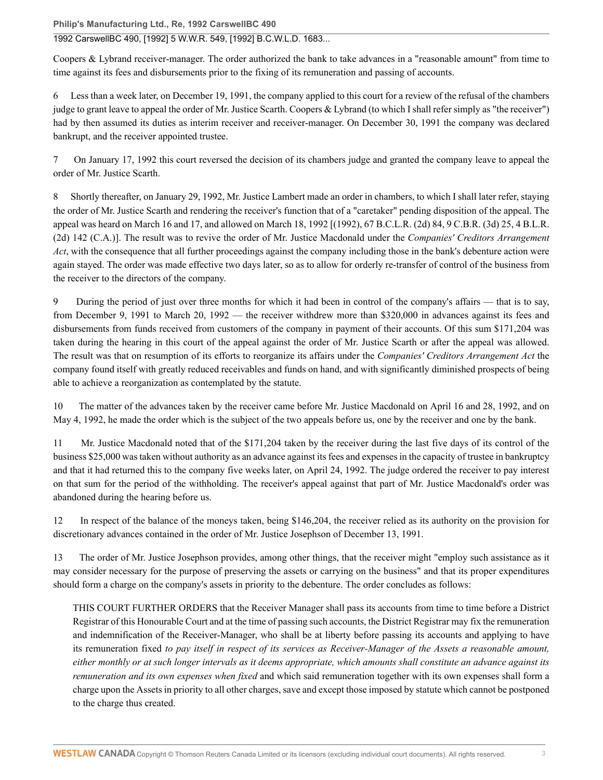**Philip's Manufacturing Ltd., Re, 1992 CarswellBC 490**

1992 CarswellBC 490, [1992] 5 W.W.R. 549, [1992] B.C.W.L.D. 1683...

Coopers & Lybrand receiver-manager. The order authorized the bank to take advances in a "reasonable amount" from time to time against its fees and disbursements prior to the fixing of its remuneration and passing of accounts.

Less than a week later, on December 19, 1991, the company applied to this court for a review of the refusal of the chambers judge to grant leave to appeal the order of Mr. Justice Scarth. Coopers & Lybrand (to which I shall refer simply as "the receiver") had by then assumed its duties as interim receiver and receiver-manager. On December 30, 1991 the company was declared bankrupt, and the receiver appointed trustee.

7 On January 17, 1992 this court reversed the decision of its chambers judge and granted the company leave to appeal the order of Mr. Justice Scarth.

8 Shortly thereafter, on January 29, 1992, Mr. Justice Lambert made an order in chambers, to which I shall later refer, staying the order of Mr. Justice Scarth and rendering the receiver's function that of a "caretaker" pending disposition of the appeal. The appeal was heard on March 16 and 17, and allowed on March 18, 1992 [(1992), [67 B.C.L.R. \(2d\) 84, 9 C.B.R. \(3d\) 25, 4 B.L.R.](http://nextcanada.westlaw.com/Link/Document/FullText?findType=Y&serNum=1992367004&pubNum=0005418&originatingDoc=I10b717cbc20863f0e0440003ba0d6c6d&refType=IR&originationContext=document&vr=3.0&rs=cblt1.0&transitionType=DocumentItem&contextData=(sc.UserEnteredCitation)) [\(2d\) 142 \(C.A.\)](http://nextcanada.westlaw.com/Link/Document/FullText?findType=Y&serNum=1992367004&pubNum=0005418&originatingDoc=I10b717cbc20863f0e0440003ba0d6c6d&refType=IR&originationContext=document&vr=3.0&rs=cblt1.0&transitionType=DocumentItem&contextData=(sc.UserEnteredCitation))]. The result was to revive the order of Mr. Justice Macdonald under the *[Companies' Creditors Arrangement](http://nextcanada.westlaw.com/Link/Document/FullText?findType=Y&serNum=0280687842&pubNum=134158&originatingDoc=I10b717cbc20863f0e0440003ba0d6c6d&refType=IG&docFamilyGuid=Ibdc6470ef4e011d99f28ffa0ae8c2575&targetPreference=DocLanguage%3aEN&originationContext=document&vr=3.0&rs=cblt1.0&transitionType=DocumentItem&contextData=(sc.UserEnteredCitation)) [Act](http://nextcanada.westlaw.com/Link/Document/FullText?findType=Y&serNum=0280687842&pubNum=134158&originatingDoc=I10b717cbc20863f0e0440003ba0d6c6d&refType=IG&docFamilyGuid=Ibdc6470ef4e011d99f28ffa0ae8c2575&targetPreference=DocLanguage%3aEN&originationContext=document&vr=3.0&rs=cblt1.0&transitionType=DocumentItem&contextData=(sc.UserEnteredCitation))*, with the consequence that all further proceedings against the company including those in the bank's debenture action were again stayed. The order was made effective two days later, so as to allow for orderly re-transfer of control of the business from the receiver to the directors of the company.

9 During the period of just over three months for which it had been in control of the company's affairs — that is to say, from December 9, 1991 to March 20, 1992 — the receiver withdrew more than \$320,000 in advances against its fees and disbursements from funds received from customers of the company in payment of their accounts. Of this sum \$171,204 was taken during the hearing in this court of the appeal against the order of Mr. Justice Scarth or after the appeal was allowed. The result was that on resumption of its efforts to reorganize its affairs under the *[Companies' Creditors Arrangement Act](http://nextcanada.westlaw.com/Link/Document/FullText?findType=Y&serNum=0280687842&pubNum=134158&originatingDoc=I10b717cbc20863f0e0440003ba0d6c6d&refType=IG&docFamilyGuid=Ibdc6470ef4e011d99f28ffa0ae8c2575&targetPreference=DocLanguage%3aEN&originationContext=document&vr=3.0&rs=cblt1.0&transitionType=DocumentItem&contextData=(sc.UserEnteredCitation))* the company found itself with greatly reduced receivables and funds on hand, and with significantly diminished prospects of being able to achieve a reorganization as contemplated by the statute.

10 The matter of the advances taken by the receiver came before Mr. Justice Macdonald on April 16 and 28, 1992, and on May 4, 1992, he made the order which is the subject of the two appeals before us, one by the receiver and one by the bank.

11 Mr. Justice Macdonald noted that of the \$171,204 taken by the receiver during the last five days of its control of the business \$25,000 was taken without authority as an advance against its fees and expenses in the capacity of trustee in bankruptcy and that it had returned this to the company five weeks later, on April 24, 1992. The judge ordered the receiver to pay interest on that sum for the period of the withholding. The receiver's appeal against that part of Mr. Justice Macdonald's order was abandoned during the hearing before us.

12 In respect of the balance of the moneys taken, being \$146,204, the receiver relied as its authority on the provision for discretionary advances contained in the order of Mr. Justice Josephson of December 13, 1991.

13 The order of Mr. Justice Josephson provides, among other things, that the receiver might "employ such assistance as it may consider necessary for the purpose of preserving the assets or carrying on the business" and that its proper expenditures should form a charge on the company's assets in priority to the debenture. The order concludes as follows:

THIS COURT FURTHER ORDERS that the Receiver Manager shall pass its accounts from time to time before a District Registrar of this Honourable Court and at the time of passing such accounts, the District Registrar may fix the remuneration and indemnification of the Receiver-Manager, who shall be at liberty before passing its accounts and applying to have its remuneration fixed *to pay itself in respect of its services as Receiver-Manager of the Assets a reasonable amount, either monthly or at such longer intervals as it deems appropriate, which amounts shall constitute an advance against its remuneration and its own expenses when fixed* and which said remuneration together with its own expenses shall form a charge upon the Assets in priority to all other charges, save and except those imposed by statute which cannot be postponed to the charge thus created.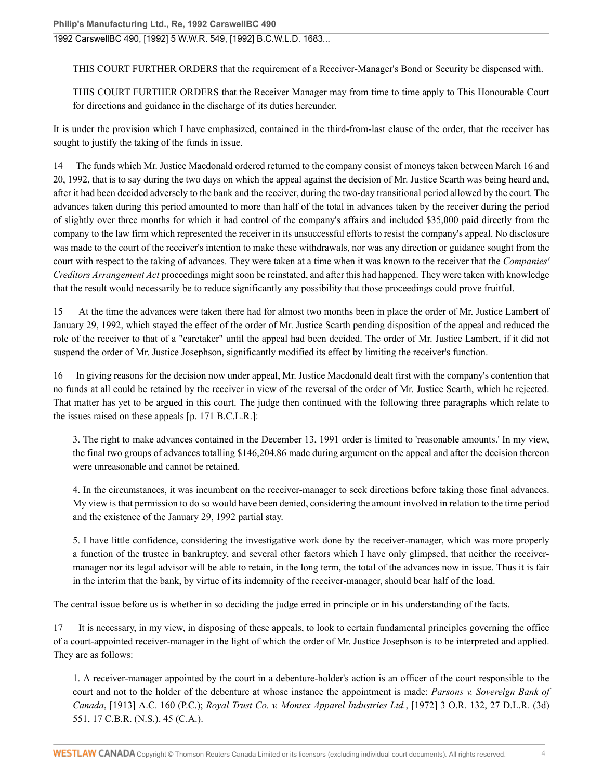1992 CarswellBC 490, [1992] 5 W.W.R. 549, [1992] B.C.W.L.D. 1683...

THIS COURT FURTHER ORDERS that the requirement of a Receiver-Manager's Bond or Security be dispensed with.

THIS COURT FURTHER ORDERS that the Receiver Manager may from time to time apply to This Honourable Court for directions and guidance in the discharge of its duties hereunder.

It is under the provision which I have emphasized, contained in the third-from-last clause of the order, that the receiver has sought to justify the taking of the funds in issue.

14 The funds which Mr. Justice Macdonald ordered returned to the company consist of moneys taken between March 16 and 20, 1992, that is to say during the two days on which the appeal against the decision of Mr. Justice Scarth was being heard and, after it had been decided adversely to the bank and the receiver, during the two-day transitional period allowed by the court. The advances taken during this period amounted to more than half of the total in advances taken by the receiver during the period of slightly over three months for which it had control of the company's affairs and included \$35,000 paid directly from the company to the law firm which represented the receiver in its unsuccessful efforts to resist the company's appeal. No disclosure was made to the court of the receiver's intention to make these withdrawals, nor was any direction or guidance sought from the court with respect to the taking of advances. They were taken at a time when it was known to the receiver that the *[Companies'](http://nextcanada.westlaw.com/Link/Document/FullText?findType=Y&serNum=0280687842&pubNum=134158&originatingDoc=I10b717cbc20863f0e0440003ba0d6c6d&refType=IG&docFamilyGuid=Ibdc6470ef4e011d99f28ffa0ae8c2575&targetPreference=DocLanguage%3aEN&originationContext=document&vr=3.0&rs=cblt1.0&transitionType=DocumentItem&contextData=(sc.UserEnteredCitation)) [Creditors Arrangement Act](http://nextcanada.westlaw.com/Link/Document/FullText?findType=Y&serNum=0280687842&pubNum=134158&originatingDoc=I10b717cbc20863f0e0440003ba0d6c6d&refType=IG&docFamilyGuid=Ibdc6470ef4e011d99f28ffa0ae8c2575&targetPreference=DocLanguage%3aEN&originationContext=document&vr=3.0&rs=cblt1.0&transitionType=DocumentItem&contextData=(sc.UserEnteredCitation))* proceedings might soon be reinstated, and after this had happened. They were taken with knowledge that the result would necessarily be to reduce significantly any possibility that those proceedings could prove fruitful.

15 At the time the advances were taken there had for almost two months been in place the order of Mr. Justice Lambert of January 29, 1992, which stayed the effect of the order of Mr. Justice Scarth pending disposition of the appeal and reduced the role of the receiver to that of a "caretaker" until the appeal had been decided. The order of Mr. Justice Lambert, if it did not suspend the order of Mr. Justice Josephson, significantly modified its effect by limiting the receiver's function.

16 In giving reasons for the decision now under appeal, Mr. Justice Macdonald dealt first with the company's contention that no funds at all could be retained by the receiver in view of the reversal of the order of Mr. Justice Scarth, which he rejected. That matter has yet to be argued in this court. The judge then continued with the following three paragraphs which relate to the issues raised on these appeals [p. 171 B.C.L.R.]:

3. The right to make advances contained in the December 13, 1991 order is limited to 'reasonable amounts.' In my view, the final two groups of advances totalling \$146,204.86 made during argument on the appeal and after the decision thereon were unreasonable and cannot be retained.

4. In the circumstances, it was incumbent on the receiver-manager to seek directions before taking those final advances. My view is that permission to do so would have been denied, considering the amount involved in relation to the time period and the existence of the January 29, 1992 partial stay.

5. I have little confidence, considering the investigative work done by the receiver-manager, which was more properly a function of the trustee in bankruptcy, and several other factors which I have only glimpsed, that neither the receivermanager nor its legal advisor will be able to retain, in the long term, the total of the advances now in issue. Thus it is fair in the interim that the bank, by virtue of its indemnity of the receiver-manager, should bear half of the load.

The central issue before us is whether in so deciding the judge erred in principle or in his understanding of the facts.

17 It is necessary, in my view, in disposing of these appeals, to look to certain fundamental principles governing the office of a court-appointed receiver-manager in the light of which the order of Mr. Justice Josephson is to be interpreted and applied. They are as follows:

1. A receiver-manager appointed by the court in a debenture-holder's action is an officer of the court responsible to the court and not to the holder of the debenture at whose instance the appointment is made: *Parsons v. Sovereign Bank of Canada*[, \[1913\] A.C. 160](http://nextcanada.westlaw.com/Link/Document/FullText?findType=Y&pubNum=6407&serNum=1912043447&originationContext=document&transitionType=DocumentItem&vr=3.0&rs=cblt1.0&contextData=(sc.UserEnteredCitation)) (P.C.); *[Royal Trust Co. v. Montex Apparel Industries Ltd.](http://nextcanada.westlaw.com/Link/Document/FullText?findType=Y&serNum=1972098110&pubNum=0005492&originatingDoc=I10b717cbc20863f0e0440003ba0d6c6d&refType=IR&originationContext=document&vr=3.0&rs=cblt1.0&transitionType=DocumentItem&contextData=(sc.UserEnteredCitation))*, [1972] 3 O.R. 132, 27 D.L.R. (3d) [551, 17 C.B.R. \(N.S.\). 45 \(C.A.\).](http://nextcanada.westlaw.com/Link/Document/FullText?findType=Y&serNum=1972098110&pubNum=0005492&originatingDoc=I10b717cbc20863f0e0440003ba0d6c6d&refType=IR&originationContext=document&vr=3.0&rs=cblt1.0&transitionType=DocumentItem&contextData=(sc.UserEnteredCitation))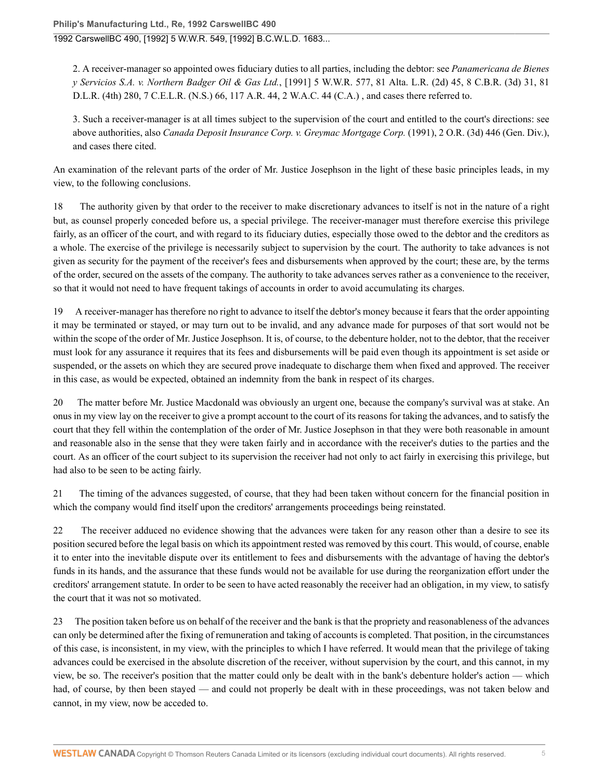1992 CarswellBC 490, [1992] 5 W.W.R. 549, [1992] B.C.W.L.D. 1683...

2. A receiver-manager so appointed owes fiduciary duties to all parties, including the debtor: see *Panamericana de Bienes y Servicios S.A. v. Northern Badger Oil & Gas Ltd.*[, \[1991\] 5 W.W.R. 577, 81 Alta. L.R. \(2d\) 45, 8 C.B.R. \(3d\) 31, 81](http://nextcanada.westlaw.com/Link/Document/FullText?findType=Y&pubNum=6407&serNum=1991353329&originationContext=document&transitionType=DocumentItem&vr=3.0&rs=cblt1.0&contextData=(sc.UserEnteredCitation)) [D.L.R. \(4th\) 280, 7 C.E.L.R. \(N.S.\) 66, 117 A.R. 44, 2 W.A.C. 44](http://nextcanada.westlaw.com/Link/Document/FullText?findType=Y&pubNum=6407&serNum=1991353329&originationContext=document&transitionType=DocumentItem&vr=3.0&rs=cblt1.0&contextData=(sc.UserEnteredCitation)) (C.A.) , and cases there referred to.

3. Such a receiver-manager is at all times subject to the supervision of the court and entitled to the court's directions: see above authorities, also *Canada Deposit Insurance Corp. v. Greymac Mortgage Corp.* [\(1991\), 2 O.R. \(3d\) 446](http://nextcanada.westlaw.com/Link/Document/FullText?findType=Y&pubNum=6407&serNum=1991345874&originationContext=document&transitionType=DocumentItem&vr=3.0&rs=cblt1.0&contextData=(sc.UserEnteredCitation)) (Gen. Div.), and cases there cited.

An examination of the relevant parts of the order of Mr. Justice Josephson in the light of these basic principles leads, in my view, to the following conclusions.

18 The authority given by that order to the receiver to make discretionary advances to itself is not in the nature of a right but, as counsel properly conceded before us, a special privilege. The receiver-manager must therefore exercise this privilege fairly, as an officer of the court, and with regard to its fiduciary duties, especially those owed to the debtor and the creditors as a whole. The exercise of the privilege is necessarily subject to supervision by the court. The authority to take advances is not given as security for the payment of the receiver's fees and disbursements when approved by the court; these are, by the terms of the order, secured on the assets of the company. The authority to take advances serves rather as a convenience to the receiver, so that it would not need to have frequent takings of accounts in order to avoid accumulating its charges.

19 A receiver-manager has therefore no right to advance to itself the debtor's money because it fears that the order appointing it may be terminated or stayed, or may turn out to be invalid, and any advance made for purposes of that sort would not be within the scope of the order of Mr. Justice Josephson. It is, of course, to the debenture holder, not to the debtor, that the receiver must look for any assurance it requires that its fees and disbursements will be paid even though its appointment is set aside or suspended, or the assets on which they are secured prove inadequate to discharge them when fixed and approved. The receiver in this case, as would be expected, obtained an indemnity from the bank in respect of its charges.

20 The matter before Mr. Justice Macdonald was obviously an urgent one, because the company's survival was at stake. An onus in my view lay on the receiver to give a prompt account to the court of its reasons for taking the advances, and to satisfy the court that they fell within the contemplation of the order of Mr. Justice Josephson in that they were both reasonable in amount and reasonable also in the sense that they were taken fairly and in accordance with the receiver's duties to the parties and the court. As an officer of the court subject to its supervision the receiver had not only to act fairly in exercising this privilege, but had also to be seen to be acting fairly.

21 The timing of the advances suggested, of course, that they had been taken without concern for the financial position in which the company would find itself upon the creditors' arrangements proceedings being reinstated.

22 The receiver adduced no evidence showing that the advances were taken for any reason other than a desire to see its position secured before the legal basis on which its appointment rested was removed by this court. This would, of course, enable it to enter into the inevitable dispute over its entitlement to fees and disbursements with the advantage of having the debtor's funds in its hands, and the assurance that these funds would not be available for use during the reorganization effort under the creditors' arrangement statute. In order to be seen to have acted reasonably the receiver had an obligation, in my view, to satisfy the court that it was not so motivated.

23 The position taken before us on behalf of the receiver and the bank is that the propriety and reasonableness of the advances can only be determined after the fixing of remuneration and taking of accounts is completed. That position, in the circumstances of this case, is inconsistent, in my view, with the principles to which I have referred. It would mean that the privilege of taking advances could be exercised in the absolute discretion of the receiver, without supervision by the court, and this cannot, in my view, be so. The receiver's position that the matter could only be dealt with in the bank's debenture holder's action — which had, of course, by then been stayed — and could not properly be dealt with in these proceedings, was not taken below and cannot, in my view, now be acceded to.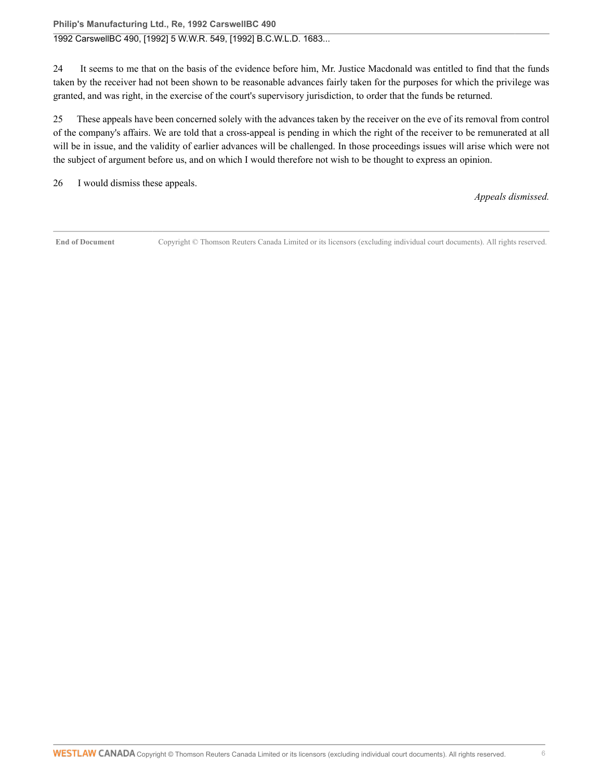#### **Philip's Manufacturing Ltd., Re, 1992 CarswellBC 490**

### 1992 CarswellBC 490, [1992] 5 W.W.R. 549, [1992] B.C.W.L.D. 1683...

24 It seems to me that on the basis of the evidence before him, Mr. Justice Macdonald was entitled to find that the funds taken by the receiver had not been shown to be reasonable advances fairly taken for the purposes for which the privilege was granted, and was right, in the exercise of the court's supervisory jurisdiction, to order that the funds be returned.

25 These appeals have been concerned solely with the advances taken by the receiver on the eve of its removal from control of the company's affairs. We are told that a cross-appeal is pending in which the right of the receiver to be remunerated at all will be in issue, and the validity of earlier advances will be challenged. In those proceedings issues will arise which were not the subject of argument before us, and on which I would therefore not wish to be thought to express an opinion.

26 I would dismiss these appeals.

*Appeals dismissed.*

**End of Document** Copyright © Thomson Reuters Canada Limited or its licensors (excluding individual court documents). All rights reserved.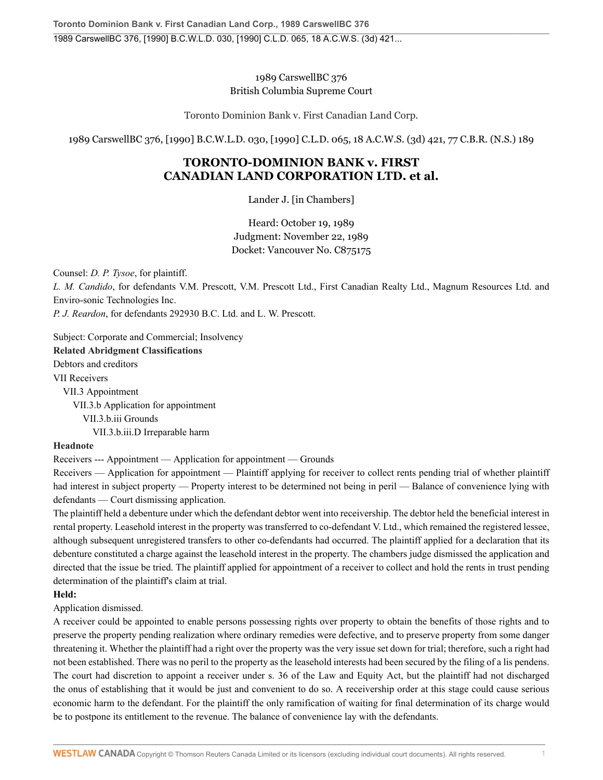1989 CarswellBC 376 British Columbia Supreme Court

Toronto Dominion Bank v. First Canadian Land Corp.

1989 CarswellBC 376, [1990] B.C.W.L.D. 030, [1990] C.L.D. 065, 18 A.C.W.S. (3d) 421, 77 C.B.R. (N.S.) 189

# **TORONTO-DOMINION BANK v. FIRST CANADIAN LAND CORPORATION LTD. et al.**

Lander J. [in Chambers]

Heard: October 19, 1989 Judgment: November 22, 1989 Docket: Vancouver No. C875175

Counsel: *D. P. Tysoe*, for plaintiff.

*L. M. Candido*, for defendants V.M. Prescott, V.M. Prescott Ltd., First Canadian Realty Ltd., Magnum Resources Ltd. and Enviro-sonic Technologies Inc.

*P. J. Reardon*, for defendants 292930 B.C. Ltd. and L. W. Prescott.

Subject: Corporate and Commercial; Insolvency **Related Abridgment Classifications**

Debtors and creditors [VII](http://nextcanada.westlaw.com/Browse/Home/AbridgmentTOC/DCR.VII/View.html?docGuid=I10b717d0645563f0e0440003ba0d6c6d&searchResult=True&originationContext=document&transitionType=DocumentItem&vr=3.0&rs=cblt1.0&contextData=(sc.UserEnteredCitation)) Receivers [VII.3](http://nextcanada.westlaw.com/Browse/Home/AbridgmentTOC/DCR.VII.3/View.html?docGuid=I10b717d0645563f0e0440003ba0d6c6d&searchResult=True&originationContext=document&transitionType=DocumentItem&vr=3.0&rs=cblt1.0&contextData=(sc.UserEnteredCitation)) Appointment [VII.3.b](http://nextcanada.westlaw.com/Browse/Home/AbridgmentTOC/DCR.VII.3.b/View.html?docGuid=I10b717d0645563f0e0440003ba0d6c6d&searchResult=True&originationContext=document&transitionType=DocumentItem&vr=3.0&rs=cblt1.0&contextData=(sc.UserEnteredCitation)) Application for appointment [VII.3.b.iii](http://nextcanada.westlaw.com/Browse/Home/AbridgmentTOC/DCR.VII.3.b.iii/View.html?docGuid=I10b717d0645563f0e0440003ba0d6c6d&searchResult=True&originationContext=document&transitionType=DocumentItem&vr=3.0&rs=cblt1.0&contextData=(sc.UserEnteredCitation)) Grounds [VII.3.b.iii.D](http://nextcanada.westlaw.com/Browse/Home/AbridgmentTOC/DCR.VII.3.b.iii.D/View.html?docGuid=I10b717d0645563f0e0440003ba0d6c6d&searchResult=True&originationContext=document&transitionType=DocumentItem&vr=3.0&rs=cblt1.0&contextData=(sc.UserEnteredCitation)) Irreparable harm

## **Headnote**

Receivers --- Appointment — Application for appointment — Grounds

Receivers — Application for appointment — Plaintiff applying for receiver to collect rents pending trial of whether plaintiff had interest in subject property — Property interest to be determined not being in peril — Balance of convenience lying with defendants — Court dismissing application.

The plaintiff held a debenture under which the defendant debtor went into receivership. The debtor held the beneficial interest in rental property. Leasehold interest in the property was transferred to co-defendant V. Ltd., which remained the registered lessee, although subsequent unregistered transfers to other co-defendants had occurred. The plaintiff applied for a declaration that its debenture constituted a charge against the leasehold interest in the property. The chambers judge dismissed the application and directed that the issue be tried. The plaintiff applied for appointment of a receiver to collect and hold the rents in trust pending determination of the plaintiff's claim at trial.

#### **Held:**

Application dismissed.

A receiver could be appointed to enable persons possessing rights over property to obtain the benefits of those rights and to preserve the property pending realization where ordinary remedies were defective, and to preserve property from some danger threatening it. Whether the plaintiff had a right over the property was the very issue set down for trial; therefore, such a right had not been established. There was no peril to the property as the leasehold interests had been secured by the filing of a lis pendens. The court had discretion to appoint a receiver under s. 36 of the Law and Equity Act, but the plaintiff had not discharged the onus of establishing that it would be just and convenient to do so. A receivership order at this stage could cause serious economic harm to the defendant. For the plaintiff the only ramification of waiting for final determination of its charge would be to postpone its entitlement to the revenue. The balance of convenience lay with the defendants.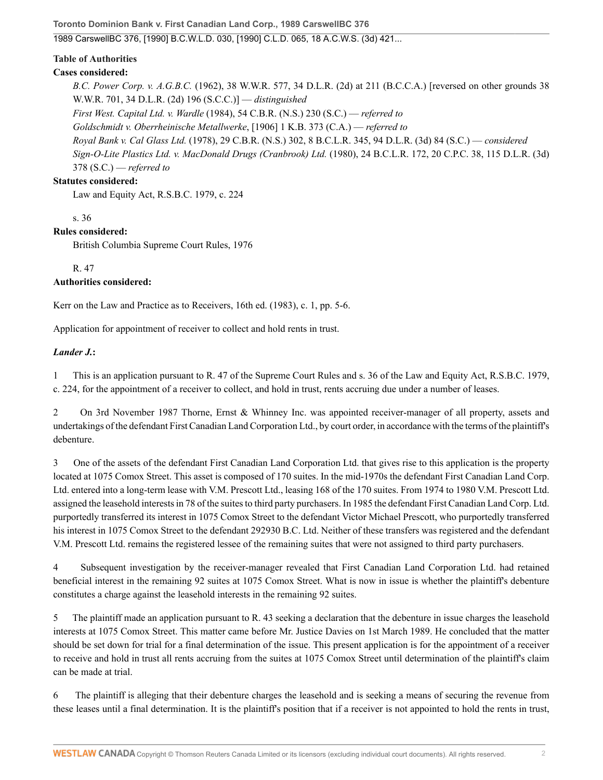**Toronto Dominion Bank v. First Canadian Land Corp., 1989 CarswellBC 376**

1989 CarswellBC 376, [1990] B.C.W.L.D. 030, [1990] C.L.D. 065, 18 A.C.W.S. (3d) 421...

### **Table of Authorities**

### **Cases considered:**

*B.C. Power Corp. v. A.G.B.C.* (1962), 38 W.W.R. 577, 34 D.L.R. (2d) at 211 (B.C.C.A.) [reversed on other grounds 38 W.W.R. 701, 34 D.L.R. (2d) 196 (S.C.C.)] — *distinguished First West. Capital Ltd. v. Wardle* [\(1984\), 54 C.B.R. \(N.S.\) 230](http://nextcanada.westlaw.com/Link/Document/FullText?findType=Y&pubNum=6407&serNum=1984192332&originationContext=document&transitionType=DocumentItem&vr=3.0&rs=cblt1.0&contextData=(sc.UserEnteredCitation)) (S.C.) — *referred to Goldschmidt v. Oberrheinische Metallwerke*, [1906] 1 K.B. 373 (C.A.) — *referred to Royal Bank v. Cal Glass Ltd.* [\(1978\), 29 C.B.R. \(N.S.\) 302, 8 B.C.L.R. 345, 94 D.L.R. \(3d\) 84](http://nextcanada.westlaw.com/Link/Document/FullText?findType=Y&pubNum=6407&serNum=1978158530&originationContext=document&transitionType=DocumentItem&vr=3.0&rs=cblt1.0&contextData=(sc.UserEnteredCitation)) (S.C.) — *considered Sign-O-Lite Plastics Ltd. v. MacDonald Drugs (Cranbrook) Ltd.* [\(1980\), 24 B.C.L.R. 172, 20 C.P.C. 38, 115 D.L.R. \(3d\)](http://nextcanada.westlaw.com/Link/Document/FullText?findType=Y&pubNum=6407&serNum=1980159161&originationContext=document&transitionType=DocumentItem&vr=3.0&rs=cblt1.0&contextData=(sc.UserEnteredCitation)) [378](http://nextcanada.westlaw.com/Link/Document/FullText?findType=Y&pubNum=6407&serNum=1980159161&originationContext=document&transitionType=DocumentItem&vr=3.0&rs=cblt1.0&contextData=(sc.UserEnteredCitation)) (S.C.) — *referred to*

### **Statutes considered:**

Law and Equity Act, R.S.B.C. 1979, c. 224

s. 36

### **Rules considered:**

British Columbia Supreme Court Rules, 1976

R. 47

### **Authorities considered:**

Kerr on the Law and Practice as to Receivers, 16th ed. (1983), c. 1, pp. 5-6.

Application for appointment of receiver to collect and hold rents in trust.

### *Lander J.***:**

1 This is an application pursuant to R. 47 of the Supreme Court Rules and s. 36 of the Law and Equity Act, R.S.B.C. 1979, c. 224, for the appointment of a receiver to collect, and hold in trust, rents accruing due under a number of leases.

2 On 3rd November 1987 Thorne, Ernst & Whinney Inc. was appointed receiver-manager of all property, assets and undertakings of the defendant First Canadian Land Corporation Ltd., by court order, in accordance with the terms of the plaintiff's debenture.

3 One of the assets of the defendant First Canadian Land Corporation Ltd. that gives rise to this application is the property located at 1075 Comox Street. This asset is composed of 170 suites. In the mid-1970s the defendant First Canadian Land Corp. Ltd. entered into a long-term lease with V.M. Prescott Ltd., leasing 168 of the 170 suites. From 1974 to 1980 V.M. Prescott Ltd. assigned the leasehold interests in 78 of the suites to third party purchasers. In 1985 the defendant First Canadian Land Corp. Ltd. purportedly transferred its interest in 1075 Comox Street to the defendant Victor Michael Prescott, who purportedly transferred his interest in 1075 Comox Street to the defendant 292930 B.C. Ltd. Neither of these transfers was registered and the defendant V.M. Prescott Ltd. remains the registered lessee of the remaining suites that were not assigned to third party purchasers.

4 Subsequent investigation by the receiver-manager revealed that First Canadian Land Corporation Ltd. had retained beneficial interest in the remaining 92 suites at 1075 Comox Street. What is now in issue is whether the plaintiff's debenture constitutes a charge against the leasehold interests in the remaining 92 suites.

5 The plaintiff made an application pursuant to R. 43 seeking a declaration that the debenture in issue charges the leasehold interests at 1075 Comox Street. This matter came before Mr. Justice Davies on 1st March 1989. He concluded that the matter should be set down for trial for a final determination of the issue. This present application is for the appointment of a receiver to receive and hold in trust all rents accruing from the suites at 1075 Comox Street until determination of the plaintiff's claim can be made at trial.

6 The plaintiff is alleging that their debenture charges the leasehold and is seeking a means of securing the revenue from these leases until a final determination. It is the plaintiff's position that if a receiver is not appointed to hold the rents in trust,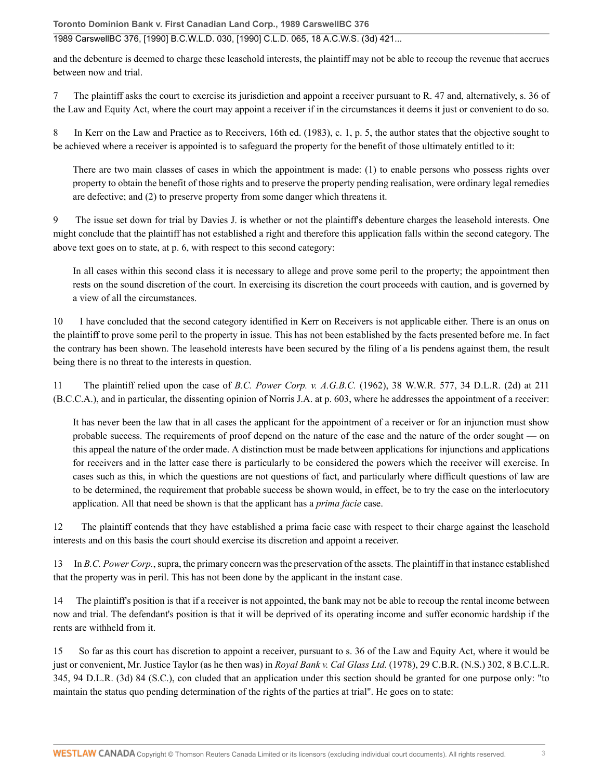**Toronto Dominion Bank v. First Canadian Land Corp., 1989 CarswellBC 376**

### 1989 CarswellBC 376, [1990] B.C.W.L.D. 030, [1990] C.L.D. 065, 18 A.C.W.S. (3d) 421...

and the debenture is deemed to charge these leasehold interests, the plaintiff may not be able to recoup the revenue that accrues between now and trial.

7 The plaintiff asks the court to exercise its jurisdiction and appoint a receiver pursuant to R. 47 and, alternatively, s. 36 of the Law and Equity Act, where the court may appoint a receiver if in the circumstances it deems it just or convenient to do so.

8 In Kerr on the Law and Practice as to Receivers, 16th ed. (1983), c. 1, p. 5, the author states that the objective sought to be achieved where a receiver is appointed is to safeguard the property for the benefit of those ultimately entitled to it:

There are two main classes of cases in which the appointment is made: (1) to enable persons who possess rights over property to obtain the benefit of those rights and to preserve the property pending realisation, were ordinary legal remedies are defective; and (2) to preserve property from some danger which threatens it.

9 The issue set down for trial by Davies J. is whether or not the plaintiff's debenture charges the leasehold interests. One might conclude that the plaintiff has not established a right and therefore this application falls within the second category. The above text goes on to state, at p. 6, with respect to this second category:

In all cases within this second class it is necessary to allege and prove some peril to the property; the appointment then rests on the sound discretion of the court. In exercising its discretion the court proceeds with caution, and is governed by a view of all the circumstances.

10 I have concluded that the second category identified in Kerr on Receivers is not applicable either. There is an onus on the plaintiff to prove some peril to the property in issue. This has not been established by the facts presented before me. In fact the contrary has been shown. The leasehold interests have been secured by the filing of a lis pendens against them, the result being there is no threat to the interests in question.

11 The plaintiff relied upon the case of *B.C. Power Corp. v. A.G.B.C.* (1962), 38 W.W.R. 577, 34 D.L.R. (2d) at 211 (B.C.C.A.), and in particular, the dissenting opinion of Norris J.A. at p. 603, where he addresses the appointment of a receiver:

It has never been the law that in all cases the applicant for the appointment of a receiver or for an injunction must show probable success. The requirements of proof depend on the nature of the case and the nature of the order sought — on this appeal the nature of the order made. A distinction must be made between applications for injunctions and applications for receivers and in the latter case there is particularly to be considered the powers which the receiver will exercise. In cases such as this, in which the questions are not questions of fact, and particularly where difficult questions of law are to be determined, the requirement that probable success be shown would, in effect, be to try the case on the interlocutory application. All that need be shown is that the applicant has a *prima facie* case.

12 The plaintiff contends that they have established a prima facie case with respect to their charge against the leasehold interests and on this basis the court should exercise its discretion and appoint a receiver.

13 In *B.C. Power Corp.*, supra, the primary concern was the preservation of the assets. The plaintiff in that instance established that the property was in peril. This has not been done by the applicant in the instant case.

14 The plaintiff's position is that if a receiver is not appointed, the bank may not be able to recoup the rental income between now and trial. The defendant's position is that it will be deprived of its operating income and suffer economic hardship if the rents are withheld from it.

15 So far as this court has discretion to appoint a receiver, pursuant to s. 36 of the Law and Equity Act, where it would be just or convenient, Mr. Justice Taylor (as he then was) in *Royal Bank v. Cal Glass Ltd.* [\(1978\), 29 C.B.R. \(N.S.\) 302, 8 B.C.L.R.](http://nextcanada.westlaw.com/Link/Document/FullText?findType=Y&pubNum=6407&serNum=1978158530&originationContext=document&transitionType=DocumentItem&vr=3.0&rs=cblt1.0&contextData=(sc.UserEnteredCitation)) [345, 94 D.L.R. \(3d\) 84](http://nextcanada.westlaw.com/Link/Document/FullText?findType=Y&pubNum=6407&serNum=1978158530&originationContext=document&transitionType=DocumentItem&vr=3.0&rs=cblt1.0&contextData=(sc.UserEnteredCitation)) (S.C.), con cluded that an application under this section should be granted for one purpose only: "to maintain the status quo pending determination of the rights of the parties at trial". He goes on to state: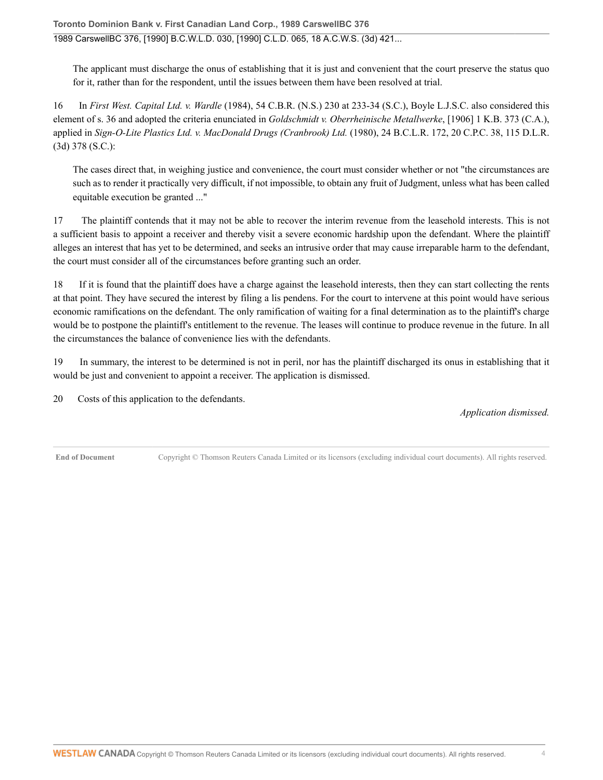The applicant must discharge the onus of establishing that it is just and convenient that the court preserve the status quo for it, rather than for the respondent, until the issues between them have been resolved at trial.

16 In *First West. Capital Ltd. v. Wardle* [\(1984\), 54 C.B.R. \(N.S.\) 230 at 233-34 \(S.C.\)](http://nextcanada.westlaw.com/Link/Document/FullText?findType=Y&serNum=1984192332&pubNum=0005492&originatingDoc=I10b717d0645563f0e0440003ba0d6c6d&refType=IR&fi=co_pp_sp_5492_233&originationContext=document&vr=3.0&rs=cblt1.0&transitionType=DocumentItem&contextData=(sc.UserEnteredCitation)#co_pp_sp_5492_233), Boyle L.J.S.C. also considered this element of s. 36 and adopted the criteria enunciated in *[Goldschmidt v. Oberrheinische Metallwerke](http://nextcanada.westlaw.com/Link/Document/FullText?findType=Y&serNum=1906035738&pubNum=0003719&originatingDoc=I10b717d0645563f0e0440003ba0d6c6d&refType=IC&originationContext=document&vr=3.0&rs=cblt1.0&transitionType=DocumentItem&contextData=(sc.UserEnteredCitation))*, [1906] 1 K.B. 373 (C.A.), applied in *Sign-O-Lite Plastics Ltd. v. MacDonald Drugs (Cranbrook) Ltd.* [\(1980\), 24 B.C.L.R. 172, 20 C.P.C. 38, 115 D.L.R.](http://nextcanada.westlaw.com/Link/Document/FullText?findType=Y&pubNum=6407&serNum=1980159161&originationContext=document&transitionType=DocumentItem&vr=3.0&rs=cblt1.0&contextData=(sc.UserEnteredCitation)) [\(3d\) 378](http://nextcanada.westlaw.com/Link/Document/FullText?findType=Y&pubNum=6407&serNum=1980159161&originationContext=document&transitionType=DocumentItem&vr=3.0&rs=cblt1.0&contextData=(sc.UserEnteredCitation)) (S.C.):

The cases direct that, in weighing justice and convenience, the court must consider whether or not "the circumstances are such as to render it practically very difficult, if not impossible, to obtain any fruit of Judgment, unless what has been called equitable execution be granted ..."

17 The plaintiff contends that it may not be able to recover the interim revenue from the leasehold interests. This is not a sufficient basis to appoint a receiver and thereby visit a severe economic hardship upon the defendant. Where the plaintiff alleges an interest that has yet to be determined, and seeks an intrusive order that may cause irreparable harm to the defendant, the court must consider all of the circumstances before granting such an order.

18 If it is found that the plaintiff does have a charge against the leasehold interests, then they can start collecting the rents at that point. They have secured the interest by filing a lis pendens. For the court to intervene at this point would have serious economic ramifications on the defendant. The only ramification of waiting for a final determination as to the plaintiff's charge would be to postpone the plaintiff's entitlement to the revenue. The leases will continue to produce revenue in the future. In all the circumstances the balance of convenience lies with the defendants.

19 In summary, the interest to be determined is not in peril, nor has the plaintiff discharged its onus in establishing that it would be just and convenient to appoint a receiver. The application is dismissed.

20 Costs of this application to the defendants.

*Application dismissed.*

**End of Document** Copyright © Thomson Reuters Canada Limited or its licensors (excluding individual court documents). All rights reserved.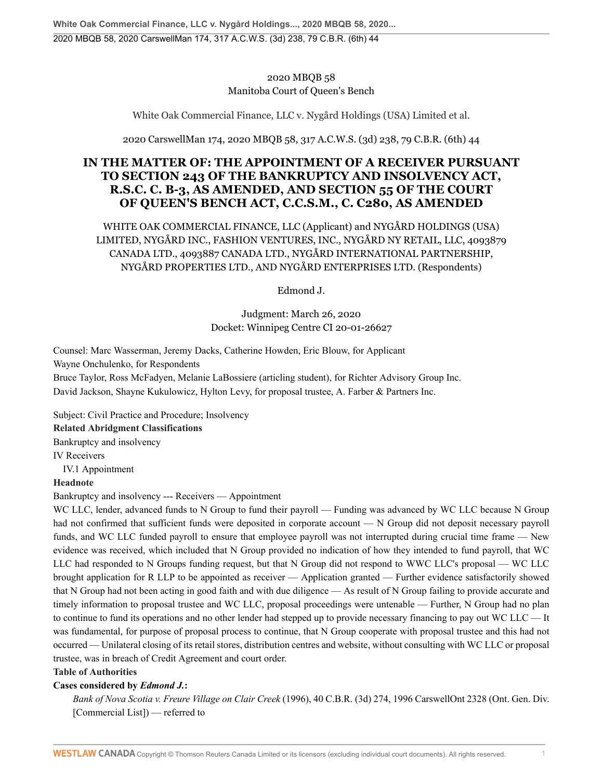## 2020 MBQB 58 Manitoba Court of Queen's Bench

White Oak Commercial Finance, LLC v. Nygård Holdings (USA) Limited et al.

2020 CarswellMan 174, 2020 MBQB 58, 317 A.C.W.S. (3d) 238, 79 C.B.R. (6th) 44

# **IN THE MATTER OF: THE APPOINTMENT OF A RECEIVER PURSUANT TO SECTION 243 OF THE BANKRUPTCY AND INSOLVENCY ACT, R.S.C. C. B-3, AS AMENDED, AND SECTION 55 OF THE COURT OF QUEEN'S BENCH ACT, C.C.S.M., C. C280, AS AMENDED**

WHITE OAK COMMERCIAL FINANCE, LLC (Applicant) and NYGÅRD HOLDINGS (USA) LIMITED, NYGÅRD INC., FASHION VENTURES, INC., NYGÅRD NY RETAIL, LLC, 4093879 CANADA LTD., 4093887 CANADA LTD., NYGÅRD INTERNATIONAL PARTNERSHIP, NYGÅRD PROPERTIES LTD., AND NYGÅRD ENTERPRISES LTD. (Respondents)

Edmond J.

Judgment: March 26, 2020 Docket: Winnipeg Centre CI 20-01-26627

Counsel: Marc Wasserman, Jeremy Dacks, Catherine Howden, Eric Blouw, for Applicant Wayne Onchulenko, for Respondents Bruce Taylor, Ross McFadyen, Melanie LaBossiere (articling student), for Richter Advisory Group Inc.

David Jackson, Shayne Kukulowicz, Hylton Levy, for proposal trustee, A. Farber & Partners Inc.

Subject: Civil Practice and Procedure; Insolvency **Related Abridgment Classifications**

Bankruptcy and insolvency

[IV](http://nextcanada.westlaw.com/Browse/Home/AbridgmentTOC/BKY.IV/View.html?docGuid=Ia348abda01036753e0540010e03eefe0&searchResult=True&originationContext=document&transitionType=DocumentItem&vr=3.0&rs=cblt1.0&contextData=(sc.UserEnteredCitation)) Receivers

[IV.1](http://nextcanada.westlaw.com/Browse/Home/AbridgmentTOC/BKY.IV.1/View.html?docGuid=Ia348abda01036753e0540010e03eefe0&searchResult=True&originationContext=document&transitionType=DocumentItem&vr=3.0&rs=cblt1.0&contextData=(sc.UserEnteredCitation)) Appointment

## **Headnote**

Bankruptcy and insolvency --- Receivers — Appointment

WC LLC, lender, advanced funds to N Group to fund their payroll — Funding was advanced by WC LLC because N Group had not confirmed that sufficient funds were deposited in corporate account — N Group did not deposit necessary payroll funds, and WC LLC funded payroll to ensure that employee payroll was not interrupted during crucial time frame — New evidence was received, which included that N Group provided no indication of how they intended to fund payroll, that WC LLC had responded to N Groups funding request, but that N Group did not respond to WWC LLC's proposal — WC LLC brought application for R LLP to be appointed as receiver — Application granted — Further evidence satisfactorily showed that N Group had not been acting in good faith and with due diligence — As result of N Group failing to provide accurate and timely information to proposal trustee and WC LLC, proposal proceedings were untenable — Further, N Group had no plan to continue to fund its operations and no other lender had stepped up to provide necessary financing to pay out WC LLC — It was fundamental, for purpose of proposal process to continue, that N Group cooperate with proposal trustee and this had not occurred — Unilateral closing of its retail stores, distribution centres and website, without consulting with WC LLC or proposal trustee, was in breach of Credit Agreement and court order.

**Table of Authorities**

## **Cases considered by** *Edmond J.***:**

*Bank of Nova Scotia v. Freure Village on Clair Creek* [\(1996\), 40 C.B.R. \(3d\) 274, 1996 CarswellOnt 2328](http://nextcanada.westlaw.com/Link/Document/FullText?findType=Y&pubNum=6407&serNum=1996444191&originationContext=document&transitionType=DocumentItem&vr=3.0&rs=cblt1.0&contextData=(sc.UserEnteredCitation)) (Ont. Gen. Div. [Commercial List]) — referred to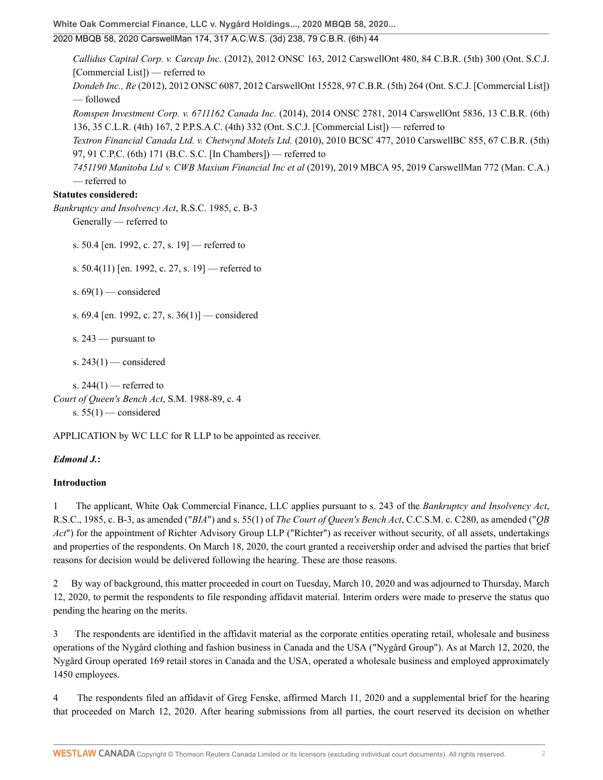**White Oak Commercial Finance, LLC v. Nygård Holdings..., 2020 MBQB 58, 2020...**

## 2020 MBQB 58, 2020 CarswellMan 174, 317 A.C.W.S. (3d) 238, 79 C.B.R. (6th) 44

*Callidus Capital Corp. v. Carcap Inc.* [\(2012\), 2012 ONSC 163, 2012 CarswellOnt 480, 84 C.B.R. \(5th\) 300](http://nextcanada.westlaw.com/Link/Document/FullText?findType=Y&pubNum=6407&serNum=2026850920&originationContext=document&transitionType=DocumentItem&vr=3.0&rs=cblt1.0&contextData=(sc.UserEnteredCitation)) (Ont. S.C.J. [Commercial List]) — referred to *Dondeb Inc., Re* [\(2012\), 2012 ONSC 6087, 2012 CarswellOnt 15528, 97 C.B.R. \(5th\) 264](http://nextcanada.westlaw.com/Link/Document/FullText?findType=Y&pubNum=6407&serNum=2029424014&originationContext=document&transitionType=DocumentItem&vr=3.0&rs=cblt1.0&contextData=(sc.UserEnteredCitation)) (Ont. S.C.J. [Commercial List]) — followed *Romspen Investment Corp. v. 6711162 Canada Inc.* [\(2014\), 2014 ONSC 2781, 2014 CarswellOnt 5836, 13 C.B.R. \(6th\)](http://nextcanada.westlaw.com/Link/Document/FullText?findType=Y&pubNum=6407&serNum=2033330319&originationContext=document&transitionType=DocumentItem&vr=3.0&rs=cblt1.0&contextData=(sc.UserEnteredCitation)) [136, 35 C.L.R. \(4th\) 167, 2 P.P.S.A.C. \(4th\) 332](http://nextcanada.westlaw.com/Link/Document/FullText?findType=Y&pubNum=6407&serNum=2033330319&originationContext=document&transitionType=DocumentItem&vr=3.0&rs=cblt1.0&contextData=(sc.UserEnteredCitation)) (Ont. S.C.J. [Commercial List]) — referred to *Textron Financial Canada Ltd. v. Chetwynd Motels Ltd.* [\(2010\), 2010 BCSC 477, 2010 CarswellBC 855, 67 C.B.R. \(5th\)](http://nextcanada.westlaw.com/Link/Document/FullText?findType=Y&pubNum=6407&serNum=2021744657&originationContext=document&transitionType=DocumentItem&vr=3.0&rs=cblt1.0&contextData=(sc.UserEnteredCitation)) [97, 91 C.P.C. \(6th\) 171](http://nextcanada.westlaw.com/Link/Document/FullText?findType=Y&pubNum=6407&serNum=2021744657&originationContext=document&transitionType=DocumentItem&vr=3.0&rs=cblt1.0&contextData=(sc.UserEnteredCitation)) (B.C. S.C. [In Chambers]) — referred to *7451190 Manitoba Ltd v. CWB Maxium Financial Inc et al* [\(2019\), 2019 MBCA 95, 2019 CarswellMan 772](http://nextcanada.westlaw.com/Link/Document/FullText?findType=Y&pubNum=6407&serNum=2049235491&originationContext=document&transitionType=DocumentItem&vr=3.0&rs=cblt1.0&contextData=(sc.UserEnteredCitation)) (Man. C.A.) — referred to

#### **Statutes considered:**

*Bankruptcy and Insolvency Act*, R.S.C. 1985, c. B-3

Generally — referred to

s. 50.4 [en. 1992, c. 27, s. 19] — referred to

s. 50.4(11) [en. 1992, c. 27, s. 19] — referred to

s.  $69(1)$  — considered

s. 69.4 [en. 1992, c. 27, s. 36(1)] — considered

s. 243 — pursuant to

s.  $243(1)$  — considered

s.  $244(1)$  — referred to *Court of Queen's Bench Act*, S.M. 1988-89, c. 4 s.  $55(1)$  — considered

APPLICATION by WC LLC for R LLP to be appointed as receiver.

#### *Edmond J.***:**

#### **Introduction**

1 The applicant, White Oak Commercial Finance, LLC applies pursuant to s. 243 of the *[Bankruptcy and Insolvency Act](http://nextcanada.westlaw.com/Link/Document/FullText?findType=Y&serNum=0280329932&pubNum=134158&originatingDoc=Ia348abda01036753e0540010e03eefe0&refType=IG&docFamilyGuid=Idba2ccabf42f11d99f28ffa0ae8c2575&targetPreference=DocLanguage%3aEN&originationContext=document&vr=3.0&rs=cblt1.0&transitionType=DocumentItem&contextData=(sc.UserEnteredCitation))*, [R.S.C., 1985, c. B-3](http://nextcanada.westlaw.com/Link/Document/FullText?findType=Y&serNum=0280329932&pubNum=134158&originatingDoc=Ia348abda01036753e0540010e03eefe0&refType=IG&docFamilyGuid=Idba2ccabf42f11d99f28ffa0ae8c2575&targetPreference=DocLanguage%3aEN&originationContext=document&vr=3.0&rs=cblt1.0&transitionType=DocumentItem&contextData=(sc.UserEnteredCitation)), as amended ("*[BIA](http://nextcanada.westlaw.com/Link/Document/FullText?findType=Y&serNum=0280684824&pubNum=134158&originatingDoc=Ia348abda01036753e0540010e03eefe0&refType=IG&docFamilyGuid=I73f073f1f4e011d99f28ffa0ae8c2575&targetPreference=DocLanguage%3aEN&originationContext=document&vr=3.0&rs=cblt1.0&transitionType=DocumentItem&contextData=(sc.UserEnteredCitation))*") and [s. 55\(1\)](http://nextcanada.westlaw.com/Link/Document/FullText?findType=Y&serNum=0280329388&pubNum=134158&originatingDoc=Ia348abda01036753e0540010e03eefe0&refType=IG&docFamilyGuid=I31658e80f43a11d99f28ffa0ae8c2575&targetPreference=DocLanguage%3aEN&originationContext=document&vr=3.0&rs=cblt1.0&transitionType=DocumentItem&contextData=(sc.UserEnteredCitation)) of *The Court of Queen's Bench Act*, C.C.S.M. c. C280, as amended ("*QB Act*") for the appointment of Richter Advisory Group LLP ("Richter") as receiver without security, of all assets, undertakings and properties of the respondents. On March 18, 2020, the court granted a receivership order and advised the parties that brief reasons for decision would be delivered following the hearing. These are those reasons.

2 By way of background, this matter proceeded in court on Tuesday, March 10, 2020 and was adjourned to Thursday, March 12, 2020, to permit the respondents to file responding affidavit material. Interim orders were made to preserve the status quo pending the hearing on the merits.

3 The respondents are identified in the affidavit material as the corporate entities operating retail, wholesale and business operations of the Nygård clothing and fashion business in Canada and the USA ("Nygård Group"). As at March 12, 2020, the Nygård Group operated 169 retail stores in Canada and the USA, operated a wholesale business and employed approximately 1450 employees.

4 The respondents filed an affidavit of Greg Fenske, affirmed March 11, 2020 and a supplemental brief for the hearing that proceeded on March 12, 2020. After hearing submissions from all parties, the court reserved its decision on whether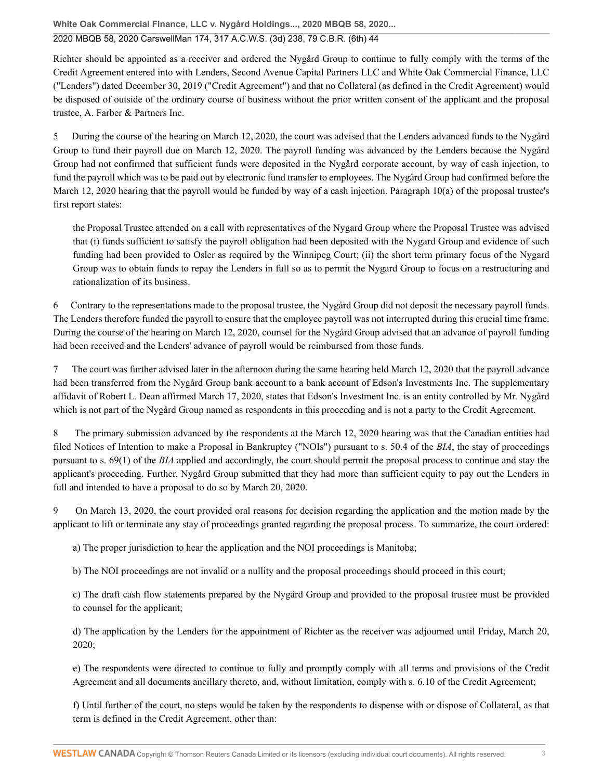**White Oak Commercial Finance, LLC v. Nygård Holdings..., 2020 MBQB 58, 2020...**

### 2020 MBQB 58, 2020 CarswellMan 174, 317 A.C.W.S. (3d) 238, 79 C.B.R. (6th) 44

Richter should be appointed as a receiver and ordered the Nygård Group to continue to fully comply with the terms of the Credit Agreement entered into with Lenders, Second Avenue Capital Partners LLC and White Oak Commercial Finance, LLC ("Lenders") dated December 30, 2019 ("Credit Agreement") and that no Collateral (as defined in the Credit Agreement) would be disposed of outside of the ordinary course of business without the prior written consent of the applicant and the proposal trustee, A. Farber & Partners Inc.

5 During the course of the hearing on March 12, 2020, the court was advised that the Lenders advanced funds to the Nygård Group to fund their payroll due on March 12, 2020. The payroll funding was advanced by the Lenders because the Nygård Group had not confirmed that sufficient funds were deposited in the Nygård corporate account, by way of cash injection, to fund the payroll which was to be paid out by electronic fund transfer to employees. The Nygård Group had confirmed before the March 12, 2020 hearing that the payroll would be funded by way of a cash injection. [Paragraph 10\(a\)](http://nextcanada.westlaw.com/Link/Document/FullText?findType=Y&serNum=0280798780&pubNum=135363&originatingDoc=Ia348abda01036753e0540010e03eefe0&refType=IG&docFamilyGuid=Ia8ddc25cf50411d99f28ffa0ae8c2575&targetPreference=DocLanguage%3aEN&originationContext=document&vr=3.0&rs=cblt1.0&transitionType=DocumentItem&contextData=(sc.UserEnteredCitation)) of the proposal trustee's first report states:

the Proposal Trustee attended on a call with representatives of the Nygard Group where the Proposal Trustee was advised that (i) funds sufficient to satisfy the payroll obligation had been deposited with the Nygard Group and evidence of such funding had been provided to Osler as required by the Winnipeg Court; (ii) the short term primary focus of the Nygard Group was to obtain funds to repay the Lenders in full so as to permit the Nygard Group to focus on a restructuring and rationalization of its business.

6 Contrary to the representations made to the proposal trustee, the Nygård Group did not deposit the necessary payroll funds. The Lenders therefore funded the payroll to ensure that the employee payroll was not interrupted during this crucial time frame. During the course of the hearing on March 12, 2020, counsel for the Nygård Group advised that an advance of payroll funding had been received and the Lenders' advance of payroll would be reimbursed from those funds.

7 The court was further advised later in the afternoon during the same hearing held March 12, 2020 that the payroll advance had been transferred from the Nygård Group bank account to a bank account of Edson's Investments Inc. The supplementary affidavit of Robert L. Dean affirmed March 17, 2020, states that Edson's Investment Inc. is an entity controlled by Mr. Nygård which is not part of the Nygård Group named as respondents in this proceeding and is not a party to the Credit Agreement.

8 The primary submission advanced by the respondents at the March 12, 2020 hearing was that the Canadian entities had filed Notices of Intention to make a Proposal in Bankruptcy ("NOIs") pursuant to [s. 50.4 of the](http://nextcanada.westlaw.com/Link/Document/FullText?findType=Y&serNum=0280329376&pubNum=134158&originatingDoc=Ia348abda01036753e0540010e03eefe0&refType=IG&docFamilyGuid=I1fe30c90f44311d99f28ffa0ae8c2575&targetPreference=DocLanguage%3aEN&originationContext=document&vr=3.0&rs=cblt1.0&transitionType=DocumentItem&contextData=(sc.UserEnteredCitation)) *BIA*, the stay of proceedings pursuant to [s. 69\(1\) of the](http://nextcanada.westlaw.com/Link/Document/FullText?findType=Y&serNum=0280329541&pubNum=134158&originatingDoc=Ia348abda01036753e0540010e03eefe0&refType=IG&docFamilyGuid=I31658ebdf43a11d99f28ffa0ae8c2575&targetPreference=DocLanguage%3aEN&originationContext=document&vr=3.0&rs=cblt1.0&transitionType=DocumentItem&contextData=(sc.UserEnteredCitation)#co_pp_AA6E1BA6DA44052CE0540010E03EEFE0) *BIA* applied and accordingly, the court should permit the proposal process to continue and stay the applicant's proceeding. Further, Nygård Group submitted that they had more than sufficient equity to pay out the Lenders in full and intended to have a proposal to do so by March 20, 2020.

9 On March 13, 2020, the court provided oral reasons for decision regarding the application and the motion made by the applicant to lift or terminate any stay of proceedings granted regarding the proposal process. To summarize, the court ordered:

a) The proper jurisdiction to hear the application and the NOI proceedings is Manitoba;

b) The NOI proceedings are not invalid or a nullity and the proposal proceedings should proceed in this court;

c) The draft cash flow statements prepared by the Nygård Group and provided to the proposal trustee must be provided to counsel for the applicant;

d) The application by the Lenders for the appointment of Richter as the receiver was adjourned until Friday, March 20, 2020;

e) The respondents were directed to continue to fully and promptly comply with all terms and provisions of the Credit Agreement and all documents ancillary thereto, and, without limitation, comply with s. 6.10 of the Credit Agreement;

f) Until further of the court, no steps would be taken by the respondents to dispense with or dispose of Collateral, as that term is defined in the Credit Agreement, other than: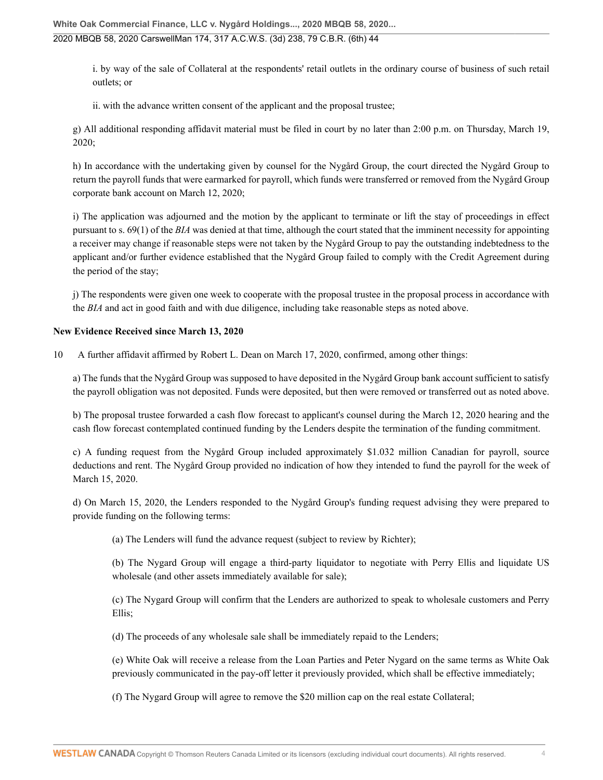i. by way of the sale of Collateral at the respondents' retail outlets in the ordinary course of business of such retail outlets; or

ii. with the advance written consent of the applicant and the proposal trustee;

g) All additional responding affidavit material must be filed in court by no later than 2:00 p.m. on Thursday, March 19, 2020;

h) In accordance with the undertaking given by counsel for the Nygård Group, the court directed the Nygård Group to return the payroll funds that were earmarked for payroll, which funds were transferred or removed from the Nygård Group corporate bank account on March 12, 2020;

i) The application was adjourned and the motion by the applicant to terminate or lift the stay of proceedings in effect pursuant to [s. 69\(1\) of the](http://nextcanada.westlaw.com/Link/Document/FullText?findType=Y&serNum=0280329541&pubNum=134158&originatingDoc=Ia348abda01036753e0540010e03eefe0&refType=IG&docFamilyGuid=I31658ebdf43a11d99f28ffa0ae8c2575&targetPreference=DocLanguage%3aEN&originationContext=document&vr=3.0&rs=cblt1.0&transitionType=DocumentItem&contextData=(sc.UserEnteredCitation)#co_pp_AA6E1BA6DA44052CE0540010E03EEFE0) *BIA* was denied at that time, although the court stated that the imminent necessity for appointing a receiver may change if reasonable steps were not taken by the Nygård Group to pay the outstanding indebtedness to the applicant and/or further evidence established that the Nygård Group failed to comply with the Credit Agreement during the period of the stay;

j) The respondents were given one week to cooperate with the proposal trustee in the proposal process in accordance with the *[BIA](http://nextcanada.westlaw.com/Link/Document/FullText?findType=Y&serNum=0280684824&pubNum=134158&originatingDoc=Ia348abda01036753e0540010e03eefe0&refType=IG&docFamilyGuid=I73f073f1f4e011d99f28ffa0ae8c2575&targetPreference=DocLanguage%3aEN&originationContext=document&vr=3.0&rs=cblt1.0&transitionType=DocumentItem&contextData=(sc.UserEnteredCitation))* and act in good faith and with due diligence, including take reasonable steps as noted above.

### **New Evidence Received since March 13, 2020**

10 A further affidavit affirmed by Robert L. Dean on March 17, 2020, confirmed, among other things:

a) The funds that the Nygård Group was supposed to have deposited in the Nygård Group bank account sufficient to satisfy the payroll obligation was not deposited. Funds were deposited, but then were removed or transferred out as noted above.

b) The proposal trustee forwarded a cash flow forecast to applicant's counsel during the March 12, 2020 hearing and the cash flow forecast contemplated continued funding by the Lenders despite the termination of the funding commitment.

c) A funding request from the Nygård Group included approximately \$1.032 million Canadian for payroll, source deductions and rent. The Nygård Group provided no indication of how they intended to fund the payroll for the week of March 15, 2020.

d) On March 15, 2020, the Lenders responded to the Nygård Group's funding request advising they were prepared to provide funding on the following terms:

(a) The Lenders will fund the advance request (subject to review by Richter);

(b) The Nygard Group will engage a third-party liquidator to negotiate with Perry Ellis and liquidate US wholesale (and other assets immediately available for sale);

(c) The Nygard Group will confirm that the Lenders are authorized to speak to wholesale customers and Perry Ellis;

(d) The proceeds of any wholesale sale shall be immediately repaid to the Lenders;

(e) White Oak will receive a release from the Loan Parties and Peter Nygard on the same terms as White Oak previously communicated in the pay-off letter it previously provided, which shall be effective immediately;

(f) The Nygard Group will agree to remove the \$20 million cap on the real estate Collateral;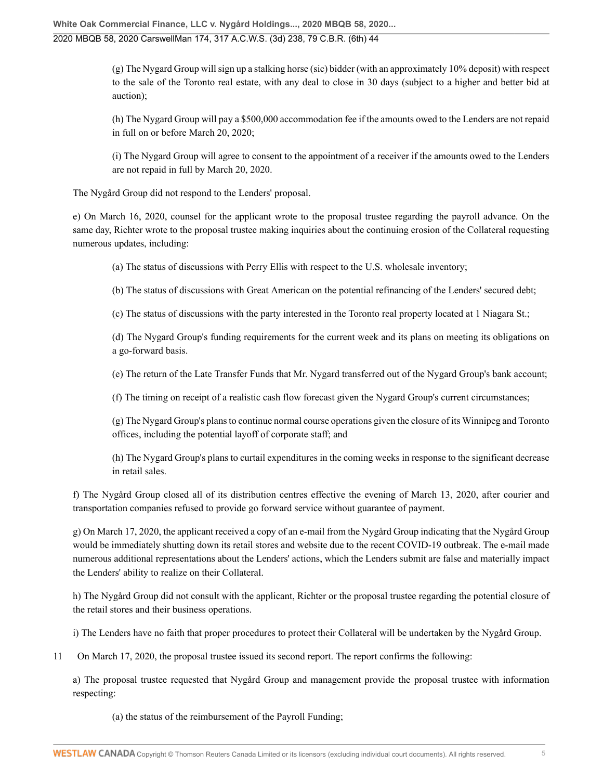(g) The Nygard Group will sign up a stalking horse (sic) bidder (with an approximately 10% deposit) with respect to the sale of the Toronto real estate, with any deal to close in 30 days (subject to a higher and better bid at auction);

(h) The Nygard Group will pay a \$500,000 accommodation fee if the amounts owed to the Lenders are not repaid in full on or before March 20, 2020;

(i) The Nygard Group will agree to consent to the appointment of a receiver if the amounts owed to the Lenders are not repaid in full by March 20, 2020.

The Nygård Group did not respond to the Lenders' proposal.

e) On March 16, 2020, counsel for the applicant wrote to the proposal trustee regarding the payroll advance. On the same day, Richter wrote to the proposal trustee making inquiries about the continuing erosion of the Collateral requesting numerous updates, including:

(a) The status of discussions with Perry Ellis with respect to the U.S. wholesale inventory;

(b) The status of discussions with Great American on the potential refinancing of the Lenders' secured debt;

(c) The status of discussions with the party interested in the Toronto real property located at 1 Niagara St.;

(d) The Nygard Group's funding requirements for the current week and its plans on meeting its obligations on a go-forward basis.

(e) The return of the Late Transfer Funds that Mr. Nygard transferred out of the Nygard Group's bank account;

(f) The timing on receipt of a realistic cash flow forecast given the Nygard Group's current circumstances;

(g) The Nygard Group's plans to continue normal course operations given the closure of its Winnipeg and Toronto offices, including the potential layoff of corporate staff; and

(h) The Nygard Group's plans to curtail expenditures in the coming weeks in response to the significant decrease in retail sales.

f) The Nygård Group closed all of its distribution centres effective the evening of March 13, 2020, after courier and transportation companies refused to provide go forward service without guarantee of payment.

g) On March 17, 2020, the applicant received a copy of an e-mail from the Nygård Group indicating that the Nygård Group would be immediately shutting down its retail stores and website due to the recent COVID-19 outbreak. The e-mail made numerous additional representations about the Lenders' actions, which the Lenders submit are false and materially impact the Lenders' ability to realize on their Collateral.

h) The Nygård Group did not consult with the applicant, Richter or the proposal trustee regarding the potential closure of the retail stores and their business operations.

i) The Lenders have no faith that proper procedures to protect their Collateral will be undertaken by the Nygård Group.

11 On March 17, 2020, the proposal trustee issued its second report. The report confirms the following:

a) The proposal trustee requested that Nygård Group and management provide the proposal trustee with information respecting:

(a) the status of the reimbursement of the Payroll Funding;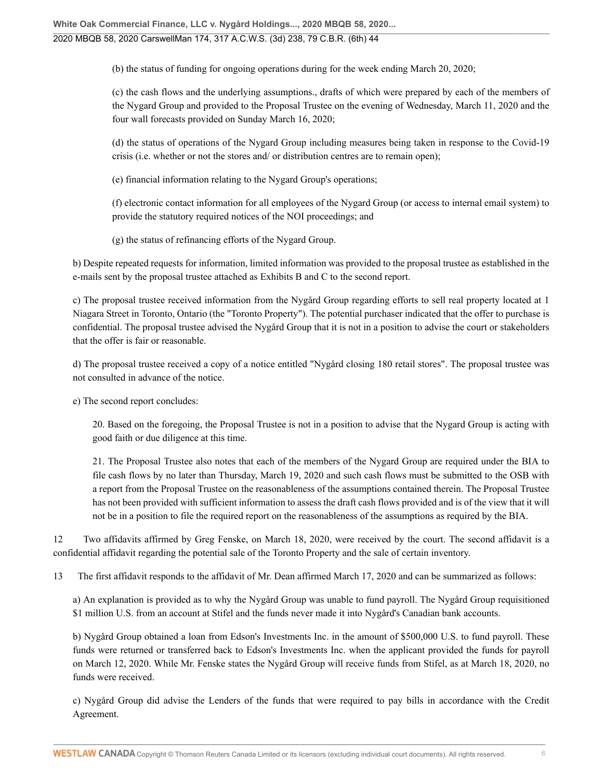(b) the status of funding for ongoing operations during for the week ending March 20, 2020;

(c) the cash flows and the underlying assumptions., drafts of which were prepared by each of the members of the Nygard Group and provided to the Proposal Trustee on the evening of Wednesday, March 11, 2020 and the four wall forecasts provided on Sunday March 16, 2020;

(d) the status of operations of the Nygard Group including measures being taken in response to the Covid-19 crisis (i.e. whether or not the stores and/ or distribution centres are to remain open);

(e) financial information relating to the Nygard Group's operations;

(f) electronic contact information for all employees of the Nygard Group (or access to internal email system) to provide the statutory required notices of the NOI proceedings; and

(g) the status of refinancing efforts of the Nygard Group.

b) Despite repeated requests for information, limited information was provided to the proposal trustee as established in the e-mails sent by the proposal trustee attached as Exhibits B and C to the second report.

c) The proposal trustee received information from the Nygård Group regarding efforts to sell real property located at 1 Niagara Street in Toronto, Ontario (the "Toronto Property"). The potential purchaser indicated that the offer to purchase is confidential. The proposal trustee advised the Nygård Group that it is not in a position to advise the court or stakeholders that the offer is fair or reasonable.

d) The proposal trustee received a copy of a notice entitled "Nygård closing 180 retail stores". The proposal trustee was not consulted in advance of the notice.

e) The second report concludes:

20. Based on the foregoing, the Proposal Trustee is not in a position to advise that the Nygard Group is acting with good faith or due diligence at this time.

21. The Proposal Trustee also notes that each of the members of the Nygard Group are required under the [BIA](http://nextcanada.westlaw.com/Link/Document/FullText?findType=Y&serNum=0280684824&pubNum=134158&originatingDoc=Ia348abda01036753e0540010e03eefe0&refType=IG&docFamilyGuid=I73f073f1f4e011d99f28ffa0ae8c2575&targetPreference=DocLanguage%3aEN&originationContext=document&vr=3.0&rs=cblt1.0&transitionType=DocumentItem&contextData=(sc.UserEnteredCitation)) to file cash flows by no later than Thursday, March 19, 2020 and such cash flows must be submitted to the OSB with a report from the Proposal Trustee on the reasonableness of the assumptions contained therein. The Proposal Trustee has not been provided with sufficient information to assess the draft cash flows provided and is of the view that it will not be in a position to file the required report on the reasonableness of the assumptions as required by the [BIA](http://nextcanada.westlaw.com/Link/Document/FullText?findType=Y&serNum=0280684824&pubNum=134158&originatingDoc=Ia348abda01036753e0540010e03eefe0&refType=IG&docFamilyGuid=I73f073f1f4e011d99f28ffa0ae8c2575&targetPreference=DocLanguage%3aEN&originationContext=document&vr=3.0&rs=cblt1.0&transitionType=DocumentItem&contextData=(sc.UserEnteredCitation)).

12 Two affidavits affirmed by Greg Fenske, on March 18, 2020, were received by the court. The second affidavit is a confidential affidavit regarding the potential sale of the Toronto Property and the sale of certain inventory.

13 The first affidavit responds to the affidavit of Mr. Dean affirmed March 17, 2020 and can be summarized as follows:

a) An explanation is provided as to why the Nygård Group was unable to fund payroll. The Nygård Group requisitioned \$1 million U.S. from an account at Stifel and the funds never made it into Nygård's Canadian bank accounts.

b) Nygård Group obtained a loan from Edson's Investments Inc. in the amount of \$500,000 U.S. to fund payroll. These funds were returned or transferred back to Edson's Investments Inc. when the applicant provided the funds for payroll on March 12, 2020. While Mr. Fenske states the Nygård Group will receive funds from Stifel, as at March 18, 2020, no funds were received.

c) Nygård Group did advise the Lenders of the funds that were required to pay bills in accordance with the Credit Agreement.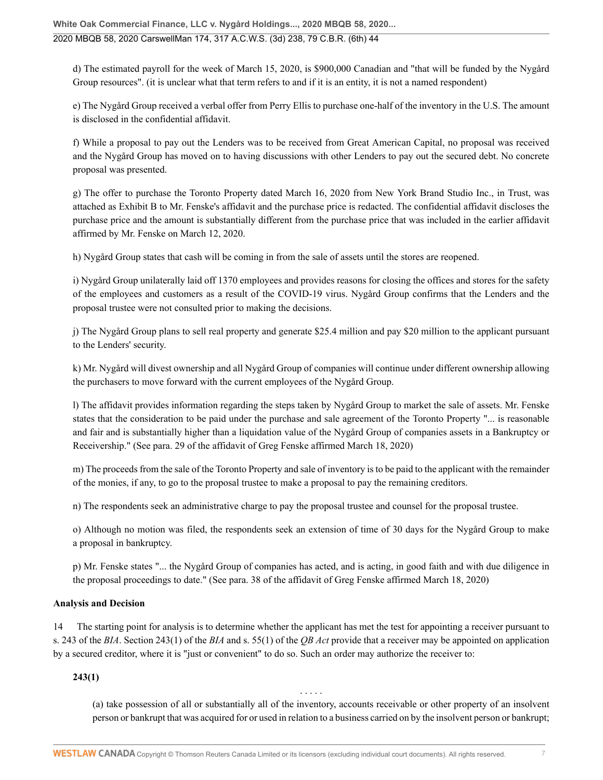d) The estimated payroll for the week of March 15, 2020, is \$900,000 Canadian and "that will be funded by the Nygård Group resources". (it is unclear what that term refers to and if it is an entity, it is not a named respondent)

e) The Nygård Group received a verbal offer from Perry Ellis to purchase one-half of the inventory in the U.S. The amount is disclosed in the confidential affidavit.

f) While a proposal to pay out the Lenders was to be received from Great American Capital, no proposal was received and the Nygård Group has moved on to having discussions with other Lenders to pay out the secured debt. No concrete proposal was presented.

g) The offer to purchase the Toronto Property dated March 16, 2020 from New York Brand Studio Inc., in Trust, was attached as Exhibit B to Mr. Fenske's affidavit and the purchase price is redacted. The confidential affidavit discloses the purchase price and the amount is substantially different from the purchase price that was included in the earlier affidavit affirmed by Mr. Fenske on March 12, 2020.

h) Nygård Group states that cash will be coming in from the sale of assets until the stores are reopened.

i) Nygård Group unilaterally laid off 1370 employees and provides reasons for closing the offices and stores for the safety of the employees and customers as a result of the COVID-19 virus. Nygård Group confirms that the Lenders and the proposal trustee were not consulted prior to making the decisions.

j) The Nygård Group plans to sell real property and generate \$25.4 million and pay \$20 million to the applicant pursuant to the Lenders' security.

k) Mr. Nygård will divest ownership and all Nygård Group of companies will continue under different ownership allowing the purchasers to move forward with the current employees of the Nygård Group.

l) The affidavit provides information regarding the steps taken by Nygård Group to market the sale of assets. Mr. Fenske states that the consideration to be paid under the purchase and sale agreement of the Toronto Property "... is reasonable and fair and is substantially higher than a liquidation value of the Nygård Group of companies assets in a Bankruptcy or Receivership." (See para. 29 of the affidavit of Greg Fenske affirmed March 18, 2020)

m) The proceeds from the sale of the Toronto Property and sale of inventory is to be paid to the applicant with the remainder of the monies, if any, to go to the proposal trustee to make a proposal to pay the remaining creditors.

n) The respondents seek an administrative charge to pay the proposal trustee and counsel for the proposal trustee.

o) Although no motion was filed, the respondents seek an extension of time of 30 days for the Nygård Group to make a proposal in bankruptcy.

p) Mr. Fenske states "... the Nygård Group of companies has acted, and is acting, in good faith and with due diligence in the proposal proceedings to date." (See para. 38 of the affidavit of Greg Fenske affirmed March 18, 2020)

## **Analysis and Decision**

14 The starting point for analysis is to determine whether the applicant has met the test for appointing a receiver pursuant to [s. 243 of the](http://nextcanada.westlaw.com/Link/Document/FullText?findType=Y&serNum=0280329932&pubNum=134158&originatingDoc=Ia348abda01036753e0540010e03eefe0&refType=IG&docFamilyGuid=Idba2ccabf42f11d99f28ffa0ae8c2575&targetPreference=DocLanguage%3aEN&originationContext=document&vr=3.0&rs=cblt1.0&transitionType=DocumentItem&contextData=(sc.UserEnteredCitation)) *BIA*. [Section 243\(1\) of the](http://nextcanada.westlaw.com/Link/Document/FullText?findType=Y&serNum=0280329932&pubNum=134158&originatingDoc=Ia348abda01036753e0540010e03eefe0&refType=IG&docFamilyGuid=Idba2ccabf42f11d99f28ffa0ae8c2575&targetPreference=DocLanguage%3aEN&originationContext=document&vr=3.0&rs=cblt1.0&transitionType=DocumentItem&contextData=(sc.UserEnteredCitation)#co_pp_AA69F595595E466EE0540010E03EEFE0) *BIA* and [s. 55\(1\) of the](http://nextcanada.westlaw.com/Link/Document/FullText?findType=Y&serNum=0280607332&pubNum=135363&originatingDoc=Ia348abda01036753e0540010e03eefe0&refType=IG&docFamilyGuid=I6ac606aaf4de11d99f28ffa0ae8c2575&targetPreference=DocLanguage%3aEN&originationContext=document&vr=3.0&rs=cblt1.0&transitionType=DocumentItem&contextData=(sc.UserEnteredCitation)#co_pp_AA914FF923C83511E0540010E03EEFE0) *QB Act* provide that a receiver may be appointed on application by a secured creditor, where it is "just or convenient" to do so. Such an order may authorize the receiver to:

**243(1)**

(a) take possession of all or substantially all of the inventory, accounts receivable or other property of an insolvent person or bankrupt that was acquired for or used in relation to a business carried on by the insolvent person or bankrupt;

. . . . .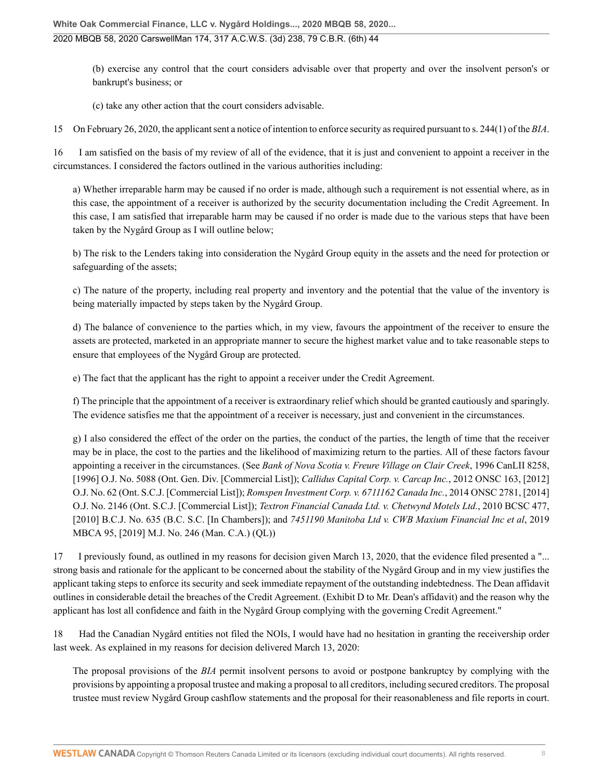(b) exercise any control that the court considers advisable over that property and over the insolvent person's or bankrupt's business; or

(c) take any other action that the court considers advisable.

15 On February 26, 2020, the applicant sent a notice of intention to enforce security as required pursuant to [s. 244\(1\) of the](http://nextcanada.westlaw.com/Link/Document/FullText?findType=Y&serNum=0280329936&pubNum=134158&originatingDoc=Ia348abda01036753e0540010e03eefe0&refType=IG&docFamilyGuid=Idba2ccaef42f11d99f28ffa0ae8c2575&targetPreference=DocLanguage%3aEN&originationContext=document&vr=3.0&rs=cblt1.0&transitionType=DocumentItem&contextData=(sc.UserEnteredCitation)#co_pp_AA69FEDE756B4DCFE0540010E03EEFE0) *BIA*.

16 I am satisfied on the basis of my review of all of the evidence, that it is just and convenient to appoint a receiver in the circumstances. I considered the factors outlined in the various authorities including:

a) Whether irreparable harm may be caused if no order is made, although such a requirement is not essential where, as in this case, the appointment of a receiver is authorized by the security documentation including the Credit Agreement. In this case, I am satisfied that irreparable harm may be caused if no order is made due to the various steps that have been taken by the Nygård Group as I will outline below;

b) The risk to the Lenders taking into consideration the Nygård Group equity in the assets and the need for protection or safeguarding of the assets;

c) The nature of the property, including real property and inventory and the potential that the value of the inventory is being materially impacted by steps taken by the Nygård Group.

d) The balance of convenience to the parties which, in my view, favours the appointment of the receiver to ensure the assets are protected, marketed in an appropriate manner to secure the highest market value and to take reasonable steps to ensure that employees of the Nygård Group are protected.

e) The fact that the applicant has the right to appoint a receiver under the Credit Agreement.

f) The principle that the appointment of a receiver is extraordinary relief which should be granted cautiously and sparingly. The evidence satisfies me that the appointment of a receiver is necessary, just and convenient in the circumstances.

g) I also considered the effect of the order on the parties, the conduct of the parties, the length of time that the receiver may be in place, the cost to the parties and the likelihood of maximizing return to the parties. All of these factors favour appointing a receiver in the circumstances. (See *[Bank of Nova Scotia v. Freure Village on Clair Creek](http://nextcanada.westlaw.com/Link/Document/FullText?findType=Y&pubNum=6407&serNum=1996444191&originationContext=document&transitionType=DocumentItem&vr=3.0&rs=cblt1.0&contextData=(sc.UserEnteredCitation))*, 1996 CanLII 8258, [1996] O.J. No. 5088 (Ont. Gen. Div. [Commercial List]); *Callidus Capital Corp. v. Carcap Inc.*[, 2012 ONSC 163, \[2012\]](http://nextcanada.westlaw.com/Link/Document/FullText?findType=Y&pubNum=6407&serNum=2026850920&originationContext=document&transitionType=DocumentItem&vr=3.0&rs=cblt1.0&contextData=(sc.UserEnteredCitation)) [O.J. No. 62](http://nextcanada.westlaw.com/Link/Document/FullText?findType=Y&pubNum=6407&serNum=2026850920&originationContext=document&transitionType=DocumentItem&vr=3.0&rs=cblt1.0&contextData=(sc.UserEnteredCitation)) (Ont. S.C.J. [Commercial List]); *Romspen Investment Corp. v. 6711162 Canada Inc.*[, 2014 ONSC 2781, \[2014\]](http://nextcanada.westlaw.com/Link/Document/FullText?findType=Y&pubNum=6407&serNum=2033330319&originationContext=document&transitionType=DocumentItem&vr=3.0&rs=cblt1.0&contextData=(sc.UserEnteredCitation)) [O.J. No. 2146](http://nextcanada.westlaw.com/Link/Document/FullText?findType=Y&pubNum=6407&serNum=2033330319&originationContext=document&transitionType=DocumentItem&vr=3.0&rs=cblt1.0&contextData=(sc.UserEnteredCitation)) (Ont. S.C.J. [Commercial List]); *Textron Financial Canada Ltd. v. Chetwynd Motels Ltd.*[, 2010 BCSC 477,](http://nextcanada.westlaw.com/Link/Document/FullText?findType=Y&pubNum=6407&serNum=2021744657&originationContext=document&transitionType=DocumentItem&vr=3.0&rs=cblt1.0&contextData=(sc.UserEnteredCitation)) [\[2010\] B.C.J. No. 635](http://nextcanada.westlaw.com/Link/Document/FullText?findType=Y&pubNum=6407&serNum=2021744657&originationContext=document&transitionType=DocumentItem&vr=3.0&rs=cblt1.0&contextData=(sc.UserEnteredCitation)) (B.C. S.C. [In Chambers]); and *7451190 Manitoba Ltd v. CWB Maxium Financial Inc et al*[, 2019](http://nextcanada.westlaw.com/Link/Document/FullText?findType=Y&pubNum=6407&serNum=2049235491&originationContext=document&transitionType=DocumentItem&vr=3.0&rs=cblt1.0&contextData=(sc.UserEnteredCitation)) [MBCA 95, \[2019\] M.J. No. 246](http://nextcanada.westlaw.com/Link/Document/FullText?findType=Y&pubNum=6407&serNum=2049235491&originationContext=document&transitionType=DocumentItem&vr=3.0&rs=cblt1.0&contextData=(sc.UserEnteredCitation)) (Man. C.A.) (QL))

17 I previously found, as outlined in my reasons for decision given March 13, 2020, that the evidence filed presented a "... strong basis and rationale for the applicant to be concerned about the stability of the Nygård Group and in my view justifies the applicant taking steps to enforce its security and seek immediate repayment of the outstanding indebtedness. The Dean affidavit outlines in considerable detail the breaches of the Credit Agreement. (Exhibit D to Mr. Dean's affidavit) and the reason why the applicant has lost all confidence and faith in the Nygård Group complying with the governing Credit Agreement."

18 Had the Canadian Nygård entities not filed the NOIs, I would have had no hesitation in granting the receivership order last week. As explained in my reasons for decision delivered March 13, 2020:

The proposal provisions of the *[BIA](http://nextcanada.westlaw.com/Link/Document/FullText?findType=Y&serNum=0280684824&pubNum=134158&originatingDoc=Ia348abda01036753e0540010e03eefe0&refType=IG&docFamilyGuid=I73f073f1f4e011d99f28ffa0ae8c2575&targetPreference=DocLanguage%3aEN&originationContext=document&vr=3.0&rs=cblt1.0&transitionType=DocumentItem&contextData=(sc.UserEnteredCitation))* permit insolvent persons to avoid or postpone bankruptcy by complying with the provisions by appointing a proposal trustee and making a proposal to all creditors, including secured creditors. The proposal trustee must review Nygård Group cashflow statements and the proposal for their reasonableness and file reports in court.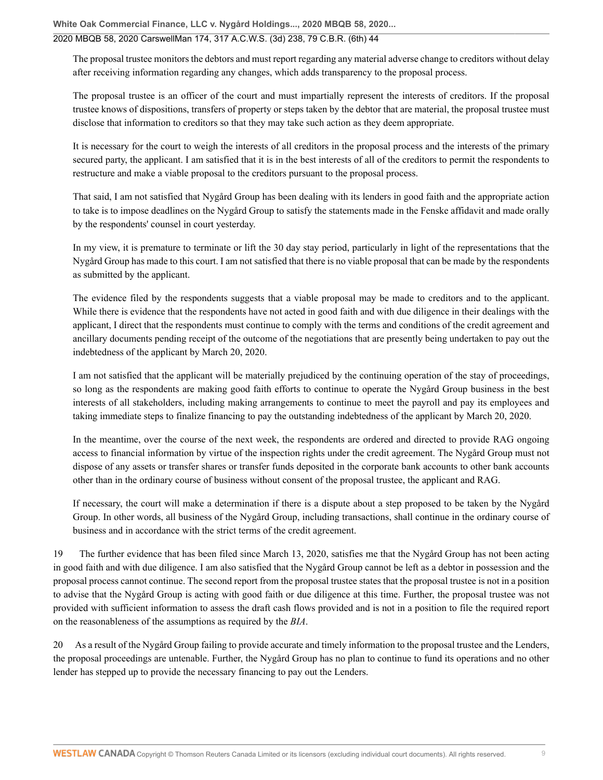### 2020 MBQB 58, 2020 CarswellMan 174, 317 A.C.W.S. (3d) 238, 79 C.B.R. (6th) 44

The proposal trustee monitors the debtors and must report regarding any material adverse change to creditors without delay after receiving information regarding any changes, which adds transparency to the proposal process.

The proposal trustee is an officer of the court and must impartially represent the interests of creditors. If the proposal trustee knows of dispositions, transfers of property or steps taken by the debtor that are material, the proposal trustee must disclose that information to creditors so that they may take such action as they deem appropriate.

It is necessary for the court to weigh the interests of all creditors in the proposal process and the interests of the primary secured party, the applicant. I am satisfied that it is in the best interests of all of the creditors to permit the respondents to restructure and make a viable proposal to the creditors pursuant to the proposal process.

That said, I am not satisfied that Nygård Group has been dealing with its lenders in good faith and the appropriate action to take is to impose deadlines on the Nygård Group to satisfy the statements made in the Fenske affidavit and made orally by the respondents' counsel in court yesterday.

In my view, it is premature to terminate or lift the 30 day stay period, particularly in light of the representations that the Nygård Group has made to this court. I am not satisfied that there is no viable proposal that can be made by the respondents as submitted by the applicant.

The evidence filed by the respondents suggests that a viable proposal may be made to creditors and to the applicant. While there is evidence that the respondents have not acted in good faith and with due diligence in their dealings with the applicant, I direct that the respondents must continue to comply with the terms and conditions of the credit agreement and ancillary documents pending receipt of the outcome of the negotiations that are presently being undertaken to pay out the indebtedness of the applicant by March 20, 2020.

I am not satisfied that the applicant will be materially prejudiced by the continuing operation of the stay of proceedings, so long as the respondents are making good faith efforts to continue to operate the Nygård Group business in the best interests of all stakeholders, including making arrangements to continue to meet the payroll and pay its employees and taking immediate steps to finalize financing to pay the outstanding indebtedness of the applicant by March 20, 2020.

In the meantime, over the course of the next week, the respondents are ordered and directed to provide RAG ongoing access to financial information by virtue of the inspection rights under the credit agreement. The Nygård Group must not dispose of any assets or transfer shares or transfer funds deposited in the corporate bank accounts to other bank accounts other than in the ordinary course of business without consent of the proposal trustee, the applicant and RAG.

If necessary, the court will make a determination if there is a dispute about a step proposed to be taken by the Nygård Group. In other words, all business of the Nygård Group, including transactions, shall continue in the ordinary course of business and in accordance with the strict terms of the credit agreement.

19 The further evidence that has been filed since March 13, 2020, satisfies me that the Nygård Group has not been acting in good faith and with due diligence. I am also satisfied that the Nygård Group cannot be left as a debtor in possession and the proposal process cannot continue. The second report from the proposal trustee states that the proposal trustee is not in a position to advise that the Nygård Group is acting with good faith or due diligence at this time. Further, the proposal trustee was not provided with sufficient information to assess the draft cash flows provided and is not in a position to file the required report on the reasonableness of the assumptions as required by the *[BIA](http://nextcanada.westlaw.com/Link/Document/FullText?findType=Y&serNum=0280684824&pubNum=134158&originatingDoc=Ia348abda01036753e0540010e03eefe0&refType=IG&docFamilyGuid=I73f073f1f4e011d99f28ffa0ae8c2575&targetPreference=DocLanguage%3aEN&originationContext=document&vr=3.0&rs=cblt1.0&transitionType=DocumentItem&contextData=(sc.UserEnteredCitation))*.

20 As a result of the Nygård Group failing to provide accurate and timely information to the proposal trustee and the Lenders, the proposal proceedings are untenable. Further, the Nygård Group has no plan to continue to fund its operations and no other lender has stepped up to provide the necessary financing to pay out the Lenders.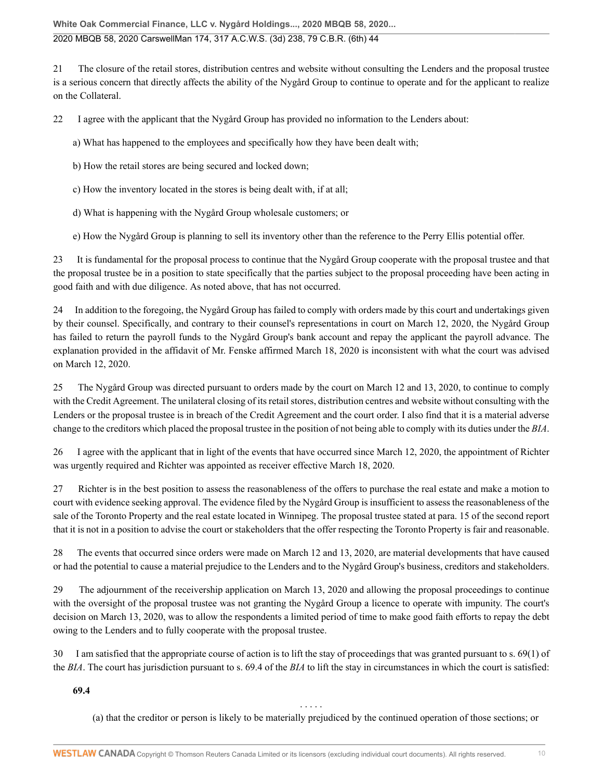21 The closure of the retail stores, distribution centres and website without consulting the Lenders and the proposal trustee is a serious concern that directly affects the ability of the Nygård Group to continue to operate and for the applicant to realize on the Collateral.

22 I agree with the applicant that the Nygård Group has provided no information to the Lenders about:

a) What has happened to the employees and specifically how they have been dealt with;

b) How the retail stores are being secured and locked down;

c) How the inventory located in the stores is being dealt with, if at all;

d) What is happening with the Nygård Group wholesale customers; or

e) How the Nygård Group is planning to sell its inventory other than the reference to the Perry Ellis potential offer.

23 It is fundamental for the proposal process to continue that the Nygård Group cooperate with the proposal trustee and that the proposal trustee be in a position to state specifically that the parties subject to the proposal proceeding have been acting in good faith and with due diligence. As noted above, that has not occurred.

24 In addition to the foregoing, the Nygård Group has failed to comply with orders made by this court and undertakings given by their counsel. Specifically, and contrary to their counsel's representations in court on March 12, 2020, the Nygård Group has failed to return the payroll funds to the Nygård Group's bank account and repay the applicant the payroll advance. The explanation provided in the affidavit of Mr. Fenske affirmed March 18, 2020 is inconsistent with what the court was advised on March 12, 2020.

25 The Nygård Group was directed pursuant to orders made by the court on March 12 and 13, 2020, to continue to comply with the Credit Agreement. The unilateral closing of its retail stores, distribution centres and website without consulting with the Lenders or the proposal trustee is in breach of the Credit Agreement and the court order. I also find that it is a material adverse change to the creditors which placed the proposal trustee in the position of not being able to comply with its duties under the *[BIA](http://nextcanada.westlaw.com/Link/Document/FullText?findType=Y&serNum=0280684824&pubNum=134158&originatingDoc=Ia348abda01036753e0540010e03eefe0&refType=IG&docFamilyGuid=I73f073f1f4e011d99f28ffa0ae8c2575&targetPreference=DocLanguage%3aEN&originationContext=document&vr=3.0&rs=cblt1.0&transitionType=DocumentItem&contextData=(sc.UserEnteredCitation))*.

26 I agree with the applicant that in light of the events that have occurred since March 12, 2020, the appointment of Richter was urgently required and Richter was appointed as receiver effective March 18, 2020.

27 Richter is in the best position to assess the reasonableness of the offers to purchase the real estate and make a motion to court with evidence seeking approval. The evidence filed by the Nygård Group is insufficient to assess the reasonableness of the sale of the Toronto Property and the real estate located in Winnipeg. The proposal trustee stated at para. 15 of the second report that it is not in a position to advise the court or stakeholders that the offer respecting the Toronto Property is fair and reasonable.

28 The events that occurred since orders were made on March 12 and 13, 2020, are material developments that have caused or had the potential to cause a material prejudice to the Lenders and to the Nygård Group's business, creditors and stakeholders.

29 The adjournment of the receivership application on March 13, 2020 and allowing the proposal proceedings to continue with the oversight of the proposal trustee was not granting the Nygård Group a licence to operate with impunity. The court's decision on March 13, 2020, was to allow the respondents a limited period of time to make good faith efforts to repay the debt owing to the Lenders and to fully cooperate with the proposal trustee.

30 I am satisfied that the appropriate course of action is to lift the stay of proceedings that was granted pursuant to [s. 69\(1\) of](http://nextcanada.westlaw.com/Link/Document/FullText?findType=Y&serNum=0280329541&pubNum=134158&originatingDoc=Ia348abda01036753e0540010e03eefe0&refType=IG&docFamilyGuid=I31658ebdf43a11d99f28ffa0ae8c2575&targetPreference=DocLanguage%3aEN&originationContext=document&vr=3.0&rs=cblt1.0&transitionType=DocumentItem&contextData=(sc.UserEnteredCitation)#co_pp_AA6E1BA6DA44052CE0540010E03EEFE0) the *[BIA](http://nextcanada.westlaw.com/Link/Document/FullText?findType=Y&serNum=0280329541&pubNum=134158&originatingDoc=Ia348abda01036753e0540010e03eefe0&refType=IG&docFamilyGuid=I31658ebdf43a11d99f28ffa0ae8c2575&targetPreference=DocLanguage%3aEN&originationContext=document&vr=3.0&rs=cblt1.0&transitionType=DocumentItem&contextData=(sc.UserEnteredCitation)#co_pp_AA6E1BA6DA44052CE0540010E03EEFE0)*. The court has jurisdiction pursuant to [s. 69.4 of the](http://nextcanada.westlaw.com/Link/Document/FullText?findType=Y&serNum=0280329552&pubNum=134158&originatingDoc=Ia348abda01036753e0540010e03eefe0&refType=IG&docFamilyGuid=Idba2a55ff42f11d99f28ffa0ae8c2575&targetPreference=DocLanguage%3aEN&originationContext=document&vr=3.0&rs=cblt1.0&transitionType=DocumentItem&contextData=(sc.UserEnteredCitation)) *BIA* to lift the stay in circumstances in which the court is satisfied:

**69.4**

(a) that the creditor or person is likely to be materially prejudiced by the continued operation of those sections; or

. . . . .